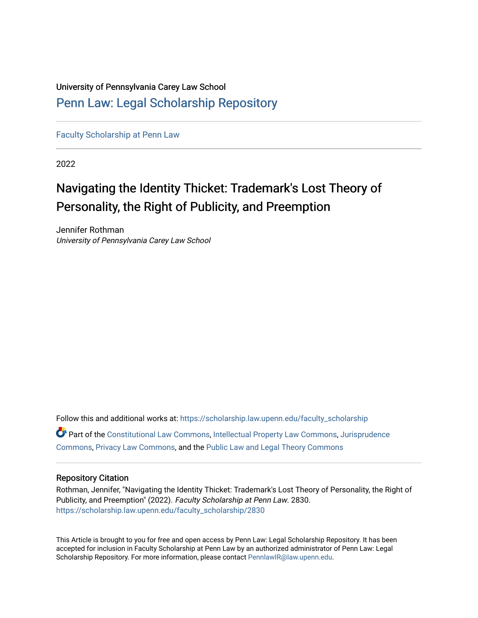## University of Pennsylvania Carey Law School [Penn Law: Legal Scholarship Repository](https://scholarship.law.upenn.edu/)

[Faculty Scholarship at Penn Law](https://scholarship.law.upenn.edu/faculty_scholarship)

2022

# Navigating the Identity Thicket: Trademark's Lost Theory of Personality, the Right of Publicity, and Preemption

Jennifer Rothman University of Pennsylvania Carey Law School

Follow this and additional works at: [https://scholarship.law.upenn.edu/faculty\\_scholarship](https://scholarship.law.upenn.edu/faculty_scholarship?utm_source=scholarship.law.upenn.edu%2Ffaculty_scholarship%2F2830&utm_medium=PDF&utm_campaign=PDFCoverPages)  Part of the [Constitutional Law Commons,](http://network.bepress.com/hgg/discipline/589?utm_source=scholarship.law.upenn.edu%2Ffaculty_scholarship%2F2830&utm_medium=PDF&utm_campaign=PDFCoverPages) [Intellectual Property Law Commons,](http://network.bepress.com/hgg/discipline/896?utm_source=scholarship.law.upenn.edu%2Ffaculty_scholarship%2F2830&utm_medium=PDF&utm_campaign=PDFCoverPages) [Jurisprudence](http://network.bepress.com/hgg/discipline/610?utm_source=scholarship.law.upenn.edu%2Ffaculty_scholarship%2F2830&utm_medium=PDF&utm_campaign=PDFCoverPages)  [Commons](http://network.bepress.com/hgg/discipline/610?utm_source=scholarship.law.upenn.edu%2Ffaculty_scholarship%2F2830&utm_medium=PDF&utm_campaign=PDFCoverPages), [Privacy Law Commons](http://network.bepress.com/hgg/discipline/1234?utm_source=scholarship.law.upenn.edu%2Ffaculty_scholarship%2F2830&utm_medium=PDF&utm_campaign=PDFCoverPages), and the [Public Law and Legal Theory Commons](http://network.bepress.com/hgg/discipline/871?utm_source=scholarship.law.upenn.edu%2Ffaculty_scholarship%2F2830&utm_medium=PDF&utm_campaign=PDFCoverPages)

## Repository Citation

Rothman, Jennifer, "Navigating the Identity Thicket: Trademark's Lost Theory of Personality, the Right of Publicity, and Preemption" (2022). Faculty Scholarship at Penn Law. 2830. [https://scholarship.law.upenn.edu/faculty\\_scholarship/2830](https://scholarship.law.upenn.edu/faculty_scholarship/2830?utm_source=scholarship.law.upenn.edu%2Ffaculty_scholarship%2F2830&utm_medium=PDF&utm_campaign=PDFCoverPages)

This Article is brought to you for free and open access by Penn Law: Legal Scholarship Repository. It has been accepted for inclusion in Faculty Scholarship at Penn Law by an authorized administrator of Penn Law: Legal Scholarship Repository. For more information, please contact [PennlawIR@law.upenn.edu.](mailto:PennlawIR@law.upenn.edu)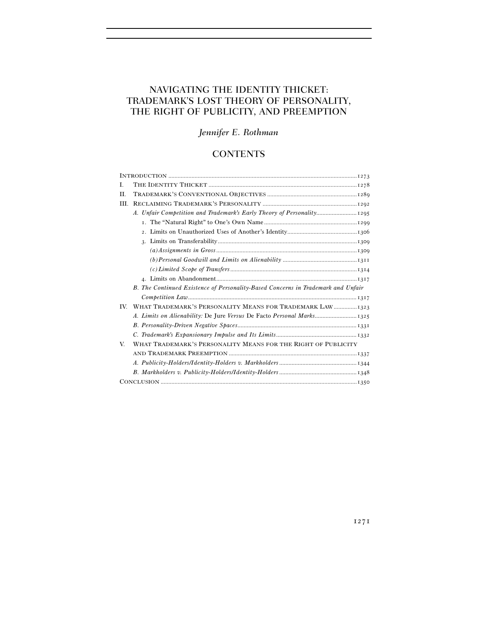## NAVIGATING THE IDENTITY THICKET: TRADEMARK'S LOST THEORY OF PERSONALITY, THE RIGHT OF PUBLICITY, AND PREEMPTION

## *Jennifer E. Rothman*

### **CONTENTS**

| B. The Continued Existence of Personality-Based Concerns in Trademark and Unfair |
|----------------------------------------------------------------------------------|
|                                                                                  |
| WHAT TRADEMARK'S PERSONALITY MEANS FOR TRADEMARK LAW 1323                        |
|                                                                                  |
|                                                                                  |
|                                                                                  |
| WHAT TRADEMARK'S PERSONALITY MEANS FOR THE RIGHT OF PUBLICITY                    |
|                                                                                  |
|                                                                                  |
|                                                                                  |
|                                                                                  |
|                                                                                  |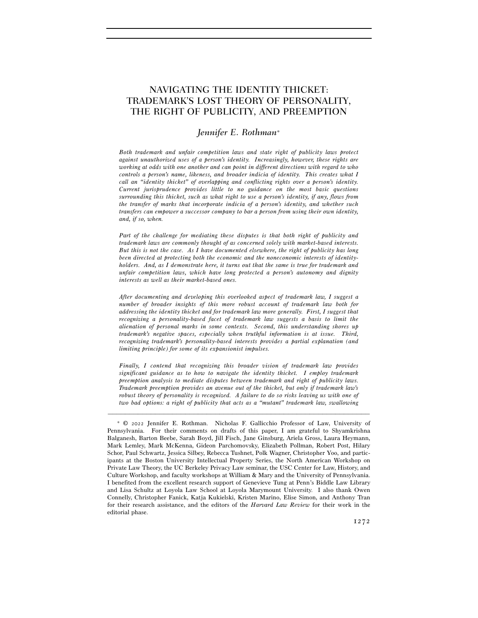## NAVIGATING THE IDENTITY THICKET: TRADEMARK'S LOST THEORY OF PERSONALITY, THE RIGHT OF PUBLICITY, AND PREEMPTION

#### *Jennifer E. Rothman*<sup>∗</sup>

*Both trademark and unfair competition laws and state right of publicity laws protect against unauthorized uses of a person's identity. Increasingly, however, these rights are working at odds with one another and can point in different directions with regard to who controls a person's name, likeness, and broader indicia of identity. This creates what I call an "identity thicket" of overlapping and conflicting rights over a person's identity. Current jurisprudence provides little to no guidance on the most basic questions surrounding this thicket, such as what right to use a person's identity, if any, flows from the transfer of marks that incorporate indicia of a person's identity, and whether such transfers can empower a successor company to bar a person from using their own identity, and, if so, when.* 

*Part of the challenge for mediating these disputes is that both right of publicity and trademark laws are commonly thought of as concerned solely with market-based interests. But this is not the case. As I have documented elsewhere, the right of publicity has long been directed at protecting both the economic and the noneconomic interests of identityholders. And, as I demonstrate here, it turns out that the same is true for trademark and unfair competition laws, which have long protected a person's autonomy and dignity interests as well as their market-based ones.* 

*After documenting and developing this overlooked aspect of trademark law, I suggest a number of broader insights of this more robust account of trademark law both for addressing the identity thicket and for trademark law more generally. First, I suggest that recognizing a personality-based facet of trademark law suggests a basis to limit the alienation of personal marks in some contexts. Second, this understanding shores up trademark's negative spaces, especially when truthful information is at issue. Third, recognizing trademark's personality-based interests provides a partial explanation (and limiting principle) for some of its expansionist impulses.* 

*Finally, I contend that recognizing this broader vision of trademark law provides significant guidance as to how to navigate the identity thicket. I employ trademark preemption analysis to mediate disputes between trademark and right of publicity laws. Trademark preemption provides an avenue out of the thicket, but only if trademark law's robust theory of personality is recognized. A failure to do so risks leaving us with one of two bad options: a right of publicity that acts as a "mutant" trademark law, swallowing* 

<sup>∗</sup> © 2022 Jennifer E. Rothman. Nicholas F. Gallicchio Professor of Law, University of Pennsylvania. For their comments on drafts of this paper, I am grateful to Shyamkrishna Balganesh, Barton Beebe, Sarah Boyd, Jill Fisch, Jane Ginsburg, Ariela Gross, Laura Heymann, Mark Lemley, Mark McKenna, Gideon Parchomovsky, Elizabeth Pollman, Robert Post, Hilary Schor, Paul Schwartz, Jessica Silbey, Rebecca Tushnet, Polk Wagner, Christopher Yoo, and participants at the Boston University Intellectual Property Series, the North American Workshop on Private Law Theory, the UC Berkeley Privacy Law seminar, the USC Center for Law, History, and Culture Workshop, and faculty workshops at William & Mary and the University of Pennsylvania. I benefited from the excellent research support of Genevieve Tung at Penn's Biddle Law Library and Lisa Schultz at Loyola Law School at Loyola Marymount University. I also thank Owen Connelly, Christopher Fanick, Katja Kukielski, Kristen Marino, Elise Simon, and Anthony Tran for their research assistance, and the editors of the *Harvard Law Review* for their work in the editorial phase.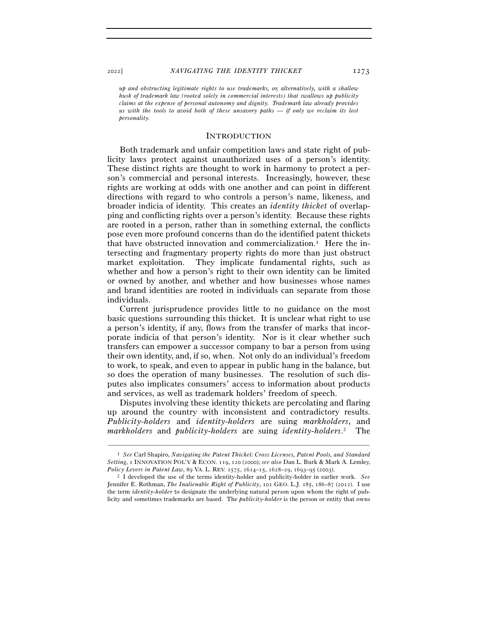*up and obstructing legitimate rights to use trademarks, or, alternatively, with a shallow husk of trademark law (rooted solely in commercial interests) that swallows up publicity claims at the expense of personal autonomy and dignity. Trademark law already provides us with the tools to avoid both of these unsavory paths — if only we reclaim its lost personality.* 

#### **INTRODUCTION**

Both trademark and unfair competition laws and state right of publicity laws protect against unauthorized uses of a person's identity. These distinct rights are thought to work in harmony to protect a person's commercial and personal interests. Increasingly, however, these rights are working at odds with one another and can point in different directions with regard to who controls a person's name, likeness, and broader indicia of identity. This creates an *identity thicket* of overlapping and conflicting rights over a person's identity. Because these rights are rooted in a person, rather than in something external, the conflicts pose even more profound concerns than do the identified patent thickets that have obstructed innovation and commercialization.<sup>1</sup> Here the intersecting and fragmentary property rights do more than just obstruct market exploitation. They implicate fundamental rights, such as whether and how a person's right to their own identity can be limited or owned by another, and whether and how businesses whose names and brand identities are rooted in individuals can separate from those individuals.

Current jurisprudence provides little to no guidance on the most basic questions surrounding this thicket. It is unclear what right to use a person's identity, if any, flows from the transfer of marks that incorporate indicia of that person's identity. Nor is it clear whether such transfers can empower a successor company to bar a person from using their own identity, and, if so, when. Not only do an individual's freedom to work, to speak, and even to appear in public hang in the balance, but so does the operation of many businesses. The resolution of such disputes also implicates consumers' access to information about products and services, as well as trademark holders' freedom of speech.

Disputes involving these identity thickets are percolating and flaring up around the country with inconsistent and contradictory results. *Publicity-holders* and *identity-holders* are suing *markholders*, and *markholders* and *publicity-holders* are suing *identity-holders*. 2 The

<sup>1</sup> *See* Carl Shapiro, *Navigating the Patent Thicket: Cross Licenses, Patent Pools, and Standard Setting*, 1 INNOVATION POL'Y & ECON. 119, 120 (2000); *see also* Dan L. Burk & Mark A. Lemley, *Policy Levers in Patent Law*, 89 VA. L. REV. 1575, 1614–15, 1628–29, 1693–95 (<sup>2003</sup>). 2 I developed the use of the terms identity-holder and publicity-holder in earlier work. *See* 

Jennifer E. Rothman, *The Inalienable Right of Publicity*, 101 GEO. L.J. 185, 186–87 (2012). I use the term *identity-holder* to designate the underlying natural person upon whom the right of publicity and sometimes trademarks are based. The *publicity-holder* is the person or entity that owns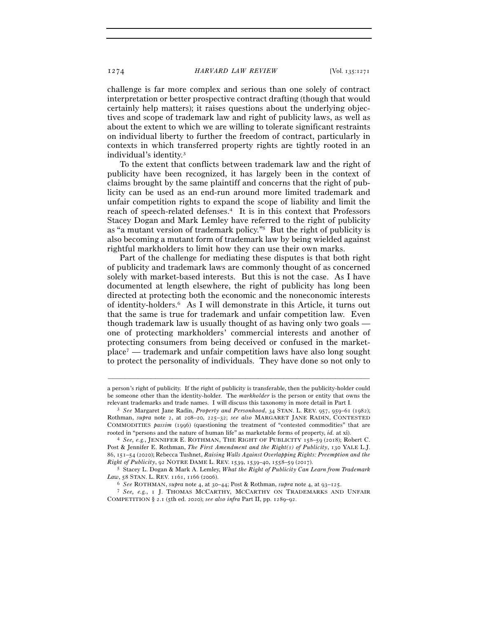challenge is far more complex and serious than one solely of contract interpretation or better prospective contract drafting (though that would certainly help matters); it raises questions about the underlying objectives and scope of trademark law and right of publicity laws, as well as about the extent to which we are willing to tolerate significant restraints on individual liberty to further the freedom of contract, particularly in contexts in which transferred property rights are tightly rooted in an individual's identity.3

To the extent that conflicts between trademark law and the right of publicity have been recognized, it has largely been in the context of claims brought by the same plaintiff and concerns that the right of publicity can be used as an end-run around more limited trademark and unfair competition rights to expand the scope of liability and limit the reach of speech-related defenses.4 It is in this context that Professors Stacey Dogan and Mark Lemley have referred to the right of publicity as "a mutant version of trademark policy."5 But the right of publicity is also becoming a mutant form of trademark law by being wielded against rightful markholders to limit how they can use their own marks.

Part of the challenge for mediating these disputes is that both right of publicity and trademark laws are commonly thought of as concerned solely with market-based interests. But this is not the case. As I have documented at length elsewhere, the right of publicity has long been directed at protecting both the economic and the noneconomic interests of identity-holders.6 As I will demonstrate in this Article, it turns out that the same is true for trademark and unfair competition law. Even though trademark law is usually thought of as having only two goals one of protecting markholders' commercial interests and another of protecting consumers from being deceived or confused in the marketplace7 — trademark and unfair competition laws have also long sought to protect the personality of individuals. They have done so not only to

a person's right of publicity. If the right of publicity is transferable, then the publicity-holder could be someone other than the identity-holder. The *markholder* is the person or entity that owns the

relevant trademarks and trade names. I will discuss this taxonomy in more detail in Part I. 3 *See* Margaret Jane Radin, *Property and Personhood*, 34 STAN. L. REV. <sup>957</sup>, 959–61 (1982); Rothman, *supra* note 2, at 208–20, 225–32; *see also* MARGARET JANE RADIN, CONTESTED COMMODITIES *passim* (1996) (questioning the treatment of "contested commodities" that are rooted in "persons and the nature of human life" as marketable forms of property, *id.* at xi). 4 *See, e.g.*, JENNIFER E. ROTHMAN, THE RIGHT OF PUBLICITY <sup>158</sup>–<sup>59</sup> (2018); Robert C.

Post & Jennifer E. Rothman, *The First Amendment and the Right(s) of Publicity*, 130 YALE L.J. 86, 151–54 (2020); Rebecca Tushnet, *Raising Walls Against Overlapping Rights: Preemption and the Right of Publicity*, 92 NOTRE DAME L. REV. <sup>1539</sup>, 1539–40, 1558–59 (<sup>2017</sup>). 5 Stacey L. Dogan & Mark A. Lemley, *What the Right of Publicity Can Learn from Trademark* 

Law, 58 STAN. L. REV. 1161, 1166 (2006).

<sup>6</sup> *See* ROTHMAN, *supra* note 4, at 30–44; Post & Rothman, *supra* note 4, at 93–<sup>125</sup>. 7 *See, e.g.*, <sup>1</sup> J. THOMAS MCCARTHY, MCCARTHY ON TRADEMARKS AND UNFAIR COMPETITION § 2.1 (5th ed. 2020); *see also infra* Part II, pp. 1289–92.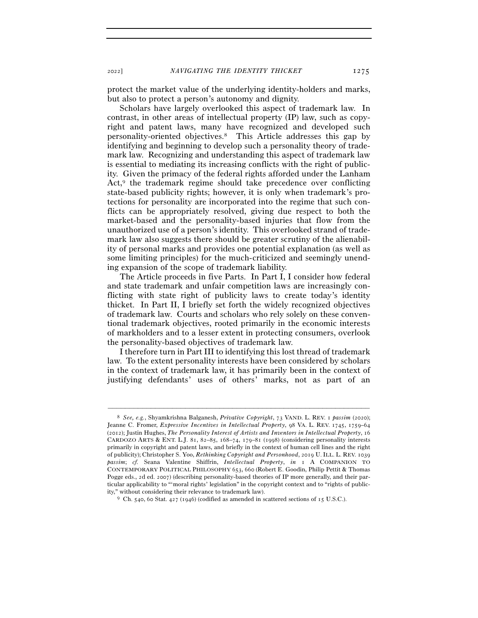protect the market value of the underlying identity-holders and marks, but also to protect a person's autonomy and dignity.

Scholars have largely overlooked this aspect of trademark law. In contrast, in other areas of intellectual property (IP) law, such as copyright and patent laws, many have recognized and developed such personality-oriented objectives.8 This Article addresses this gap by identifying and beginning to develop such a personality theory of trademark law. Recognizing and understanding this aspect of trademark law is essential to mediating its increasing conflicts with the right of publicity. Given the primacy of the federal rights afforded under the Lanham Act,<sup>9</sup> the trademark regime should take precedence over conflicting state-based publicity rights; however, it is only when trademark's protections for personality are incorporated into the regime that such conflicts can be appropriately resolved, giving due respect to both the market-based and the personality-based injuries that flow from the unauthorized use of a person's identity. This overlooked strand of trademark law also suggests there should be greater scrutiny of the alienability of personal marks and provides one potential explanation (as well as some limiting principles) for the much-criticized and seemingly unending expansion of the scope of trademark liability.

The Article proceeds in five Parts. In Part I, I consider how federal and state trademark and unfair competition laws are increasingly conflicting with state right of publicity laws to create today's identity thicket. In Part II, I briefly set forth the widely recognized objectives of trademark law. Courts and scholars who rely solely on these conventional trademark objectives, rooted primarily in the economic interests of markholders and to a lesser extent in protecting consumers, overlook the personality-based objectives of trademark law.

I therefore turn in Part III to identifying this lost thread of trademark law. To the extent personality interests have been considered by scholars in the context of trademark law, it has primarily been in the context of justifying defendants' uses of others' marks, not as part of an

<sup>8</sup> *See, e.g.*, Shyamkrishna Balganesh, *Privative Copyright*, 73 VAND. L. REV. 1 *passim* (2020); Jeanne C. Fromer, *Expressive Incentives in Intellectual Property*, 98 VA. L. REV. 1745, 1759–64 (2012); Justin Hughes, *The Personality Interest of Artists and Inventors in Intellectual Property*, 16 CARDOZO ARTS & ENT. L.J. 81, 82–85, 168–74, 179–81 (1998) (considering personality interests primarily in copyright and patent laws, and briefly in the context of human cell lines and the right of publicity); Christopher S. Yoo, *Rethinking Copyright and Personhood*, 2019 U. ILL. L. REV. 1039 *passim*; *cf.* Seana Valentine Shiffrin, *Intellectual Property*, *in* 1 A COMPANION TO CONTEMPORARY POLITICAL PHILOSOPHY 653, 660 (Robert E. Goodin, Philip Pettit & Thomas Pogge eds., 2d ed. 2007) (describing personality-based theories of IP more generally, and their particular applicability to "'moral rights' legislation" in the copyright context and to "rights of public-

ity," without considering their relevance to trademark law).  $9 \text{ Ch. } 540, 60 \text{ Stat. } 427 \text{ (1946)}$  (codified as amended in scattered sections of 15 U.S.C.).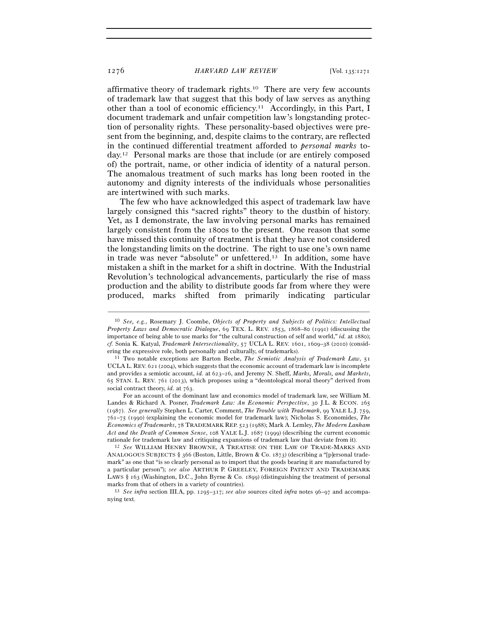affirmative theory of trademark rights.10 There are very few accounts of trademark law that suggest that this body of law serves as anything other than a tool of economic efficiency.11 Accordingly, in this Part, I document trademark and unfair competition law's longstanding protection of personality rights. These personality-based objectives were present from the beginning, and, despite claims to the contrary, are reflected in the continued differential treatment afforded to *personal marks* today.12 Personal marks are those that include (or are entirely composed of) the portrait, name, or other indicia of identity of a natural person. The anomalous treatment of such marks has long been rooted in the autonomy and dignity interests of the individuals whose personalities are intertwined with such marks.

The few who have acknowledged this aspect of trademark law have largely consigned this "sacred rights" theory to the dustbin of history. Yet, as I demonstrate, the law involving personal marks has remained largely consistent from the 1800s to the present. One reason that some have missed this continuity of treatment is that they have not considered the longstanding limits on the doctrine. The right to use one's own name in trade was never "absolute" or unfettered.13 In addition, some have mistaken a shift in the market for a shift in doctrine. With the Industrial Revolution's technological advancements, particularly the rise of mass production and the ability to distribute goods far from where they were produced, marks shifted from primarily indicating particular

<sup>10</sup> *See, e.g.*, Rosemary J. Coombe, *Objects of Property and Subjects of Politics: Intellectual Property Laws and Democratic Dialogue*, 69 TEX. L. REV. 1853, 1868–80 (1991) (discussing the importance of being able to use marks for "the cultural construction of self and world," *id.* at 1880); *cf.* Sonia K. Katyal, *Trademark Intersectionality*, 57 UCLA L. REV. 1601, 1609–38 (2010) (considering the expressive role, both personally and culturally, of trademarks).

<sup>&</sup>lt;sup>11</sup> Two notable exceptions are Barton Beebe, *The Semiotic Analysis of Trademark Law*, 51 UCLA L. REV. 621 (2004), which suggests that the economic account of trademark law is incomplete and provides a semiotic account, *id.* at 623–26, and Jeremy N. Sheff, *Marks, Morals, and Markets*, 65 STAN. L. REV. 761 (2013), which proposes using a "deontological moral theory" derived from social contract theory, *id.* at 763.

For an account of the dominant law and economics model of trademark law, see William M. Landes & Richard A. Posner, *Trademark Law: An Economic Perspective*, 30 J.L. & ECON. 265 (1987). *See generally* Stephen L. Carter, Comment, *The Trouble with Trademark*, 99 YALE L.J. 759, 761–75 (1990) (explaining the economic model for trademark law); Nicholas S. Economides, *The Economics of Trademarks*, 78 TRADEMARK REP. 523 (1988); Mark A. Lemley, *The Modern Lanham Act and the Death of Common Sense*, 108 YALE L.J. 1687 (1999) (describing the current economic rationale for trademark law and critiquing expansions of trademark law that deviate from it). 12 *See* WILLIAM HENRY BROWNE, <sup>A</sup> TREATISE ON THE LAW OF TRADE-MARKS AND

ANALOGOUS SUBJECTS § 366 (Boston, Little, Brown & Co. 1873) (describing a "[p]ersonal trademark" as one that "is so clearly personal as to import that the goods bearing it are manufactured by a particular person"); *see also* ARTHUR P. GREELEY, FOREIGN PATENT AND TRADEMARK LAWS § 163 (Washington, D.C., John Byrne & Co. 1899) (distinguishing the treatment of personal marks from that of others in a variety of countries).<br><sup>13</sup> *See infra* section III.A, pp. 1295–317; *see also* sources cited *infra* notes 96–97 and accompa-

nying text.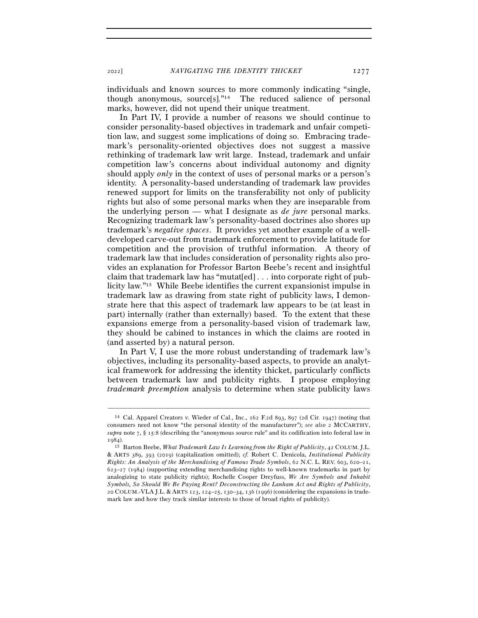<sup>2022</sup>] *NAVIGATING THE IDENTITY THICKET* 1277

individuals and known sources to more commonly indicating "single, though anonymous, source[s]."14 The reduced salience of personal marks, however, did not upend their unique treatment.

In Part IV, I provide a number of reasons we should continue to consider personality-based objectives in trademark and unfair competition law, and suggest some implications of doing so. Embracing trademark's personality-oriented objectives does not suggest a massive rethinking of trademark law writ large. Instead, trademark and unfair competition law's concerns about individual autonomy and dignity should apply *only* in the context of uses of personal marks or a person's identity. A personality-based understanding of trademark law provides renewed support for limits on the transferability not only of publicity rights but also of some personal marks when they are inseparable from the underlying person — what I designate as *de jure* personal marks. Recognizing trademark law's personality-based doctrines also shores up trademark's *negative spaces*. It provides yet another example of a welldeveloped carve-out from trademark enforcement to provide latitude for competition and the provision of truthful information. A theory of trademark law that includes consideration of personality rights also provides an explanation for Professor Barton Beebe's recent and insightful claim that trademark law has "mutat[ed] . . . into corporate right of publicity law."15 While Beebe identifies the current expansionist impulse in trademark law as drawing from state right of publicity laws, I demonstrate here that this aspect of trademark law appears to be (at least in part) internally (rather than externally) based. To the extent that these expansions emerge from a personality-based vision of trademark law, they should be cabined to instances in which the claims are rooted in (and asserted by) a natural person.

In Part V, I use the more robust understanding of trademark law's objectives, including its personality-based aspects, to provide an analytical framework for addressing the identity thicket, particularly conflicts between trademark law and publicity rights. I propose employing *trademark preemption* analysis to determine when state publicity laws

<sup>14</sup> Cal. Apparel Creators v. Wieder of Cal., Inc., 162 F.2d 893, 897 (2d Cir. 1947) (noting that consumers need not know "the personal identity of the manufacturer"); *see also* 2 MCCARTHY, *supra* note 7, § 15:8 (describing the "anonymous source rule" and its codification into federal law in 1984).

<sup>15</sup> Barton Beebe, *What Trademark Law Is Learning from the Right of Publicity*, 42 COLUM. J.L. & ARTS 389, 393 (2019) (capitalization omitted); *cf.* Robert C. Denicola, *Institutional Publicity Rights: An Analysis of the Merchandising of Famous Trade Symbols*, 62 N.C. L. REV. 603, 620–21,  $623-27$  (1984) (supporting extending merchandising rights to well-known trademarks in part by analogizing to state publicity rights); Rochelle Cooper Dreyfuss, *We Are Symbols and Inhabit Symbols, So Should We Be Paying Rent? Deconstructing the Lanham Act and Rights of Publicity*, 20 COLUM.-VLA J.L. & ARTS 123, 124–25, 130–34, 136 (1996) (considering the expansions in trademark law and how they track similar interests to those of broad rights of publicity).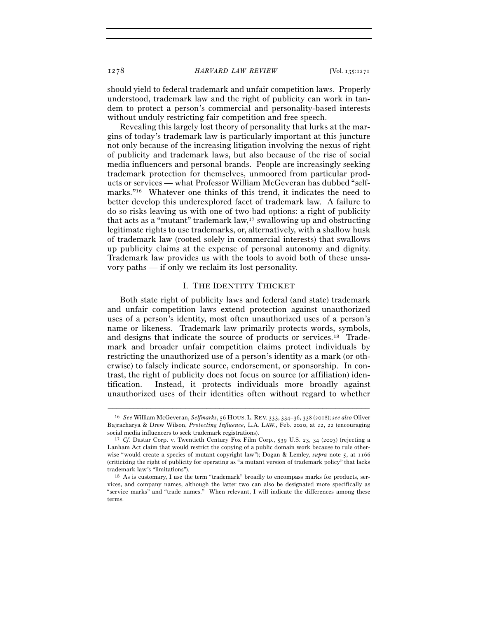should yield to federal trademark and unfair competition laws. Properly understood, trademark law and the right of publicity can work in tandem to protect a person's commercial and personality-based interests without unduly restricting fair competition and free speech.

Revealing this largely lost theory of personality that lurks at the margins of today's trademark law is particularly important at this juncture not only because of the increasing litigation involving the nexus of right of publicity and trademark laws, but also because of the rise of social media influencers and personal brands. People are increasingly seeking trademark protection for themselves, unmoored from particular products or services — what Professor William McGeveran has dubbed "selfmarks."16 Whatever one thinks of this trend, it indicates the need to better develop this underexplored facet of trademark law. A failure to do so risks leaving us with one of two bad options: a right of publicity that acts as a "mutant" trademark law,17 swallowing up and obstructing legitimate rights to use trademarks, or, alternatively, with a shallow husk of trademark law (rooted solely in commercial interests) that swallows up publicity claims at the expense of personal autonomy and dignity. Trademark law provides us with the tools to avoid both of these unsavory paths — if only we reclaim its lost personality.

#### I. THE IDENTITY THICKET

Both state right of publicity laws and federal (and state) trademark and unfair competition laws extend protection against unauthorized uses of a person's identity, most often unauthorized uses of a person's name or likeness. Trademark law primarily protects words, symbols, and designs that indicate the source of products or services.18 Trademark and broader unfair competition claims protect individuals by restricting the unauthorized use of a person's identity as a mark (or otherwise) to falsely indicate source, endorsement, or sponsorship. In contrast, the right of publicity does not focus on source (or affiliation) identification. Instead, it protects individuals more broadly against unauthorized uses of their identities often without regard to whether

<sup>16</sup> *See* William McGeveran, *Selfmarks*, 56 HOUS. L. REV. 333, 334–36, 338 (2018); *see also* Oliver Bajracharya & Drew Wilson, *Protecting Influence*, L.A. LAW., Feb. 2020, at 22, 22 (encouraging social media influencers to seek trademark registrations). 17 *Cf.* Dastar Corp. v. Twentieth Century Fox Film Corp., 539 U.S. 23, 34 (2003) (rejecting a

Lanham Act claim that would restrict the copying of a public domain work because to rule otherwise "would create a species of mutant copyright law"); Dogan & Lemley, *supra* note 5, at 1166 (criticizing the right of publicity for operating as "a mutant version of trademark policy" that lacks trademark law's "limitations"). 18 As is customary, I use the term "trademark" broadly to encompass marks for products, ser-

vices, and company names, although the latter two can also be designated more specifically as "service marks" and "trade names." When relevant, I will indicate the differences among these terms.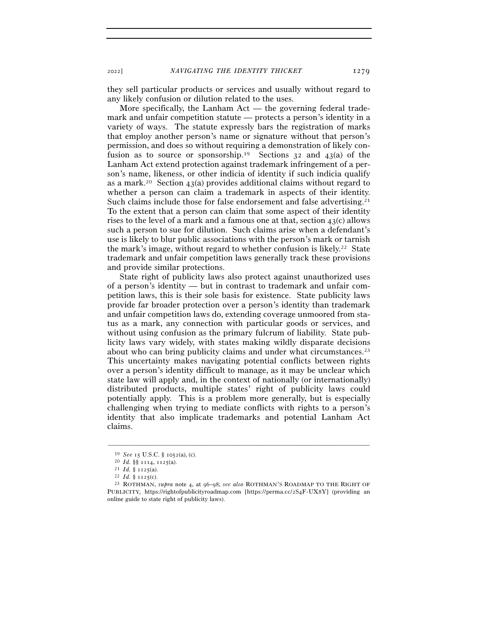they sell particular products or services and usually without regard to any likely confusion or dilution related to the uses.

More specifically, the Lanham Act — the governing federal trademark and unfair competition statute — protects a person's identity in a variety of ways. The statute expressly bars the registration of marks that employ another person's name or signature without that person's permission, and does so without requiring a demonstration of likely confusion as to source or sponsorship.<sup>19</sup> Sections  $32$  and  $43(a)$  of the Lanham Act extend protection against trademark infringement of a person's name, likeness, or other indicia of identity if such indicia qualify as a mark.<sup>20</sup> Section 43(a) provides additional claims without regard to whether a person can claim a trademark in aspects of their identity. Such claims include those for false endorsement and false advertising.<sup>21</sup> To the extent that a person can claim that some aspect of their identity rises to the level of a mark and a famous one at that, section  $43(c)$  allows such a person to sue for dilution. Such claims arise when a defendant's use is likely to blur public associations with the person's mark or tarnish the mark's image, without regard to whether confusion is likely.22 State trademark and unfair competition laws generally track these provisions and provide similar protections.

State right of publicity laws also protect against unauthorized uses of a person's identity — but in contrast to trademark and unfair competition laws, this is their sole basis for existence. State publicity laws provide far broader protection over a person's identity than trademark and unfair competition laws do, extending coverage unmoored from status as a mark, any connection with particular goods or services, and without using confusion as the primary fulcrum of liability. State publicity laws vary widely, with states making wildly disparate decisions about who can bring publicity claims and under what circumstances.<sup>23</sup> This uncertainty makes navigating potential conflicts between rights over a person's identity difficult to manage, as it may be unclear which state law will apply and, in the context of nationally (or internationally) distributed products, multiple states' right of publicity laws could potentially apply. This is a problem more generally, but is especially challenging when trying to mediate conflicts with rights to a person's identity that also implicate trademarks and potential Lanham Act claims.

<sup>19</sup> *See* 15 U.S.C. § <sup>1052</sup>(a), (c). 20 *Id.* §§ 1114, <sup>1125</sup>(a). 21 *Id.* § <sup>1125</sup>(a). 22 *Id.* § <sup>1125</sup>(c). 23 ROTHMAN, *supra* note 4, at 96–98; *see also* ROTHMAN'S ROADMAP TO THE RIGHT OF PUBLICITY, https://rightofpublicityroadmap.com [https://perma.cc/2S4F-UX8Y] (providing an online guide to state right of publicity laws).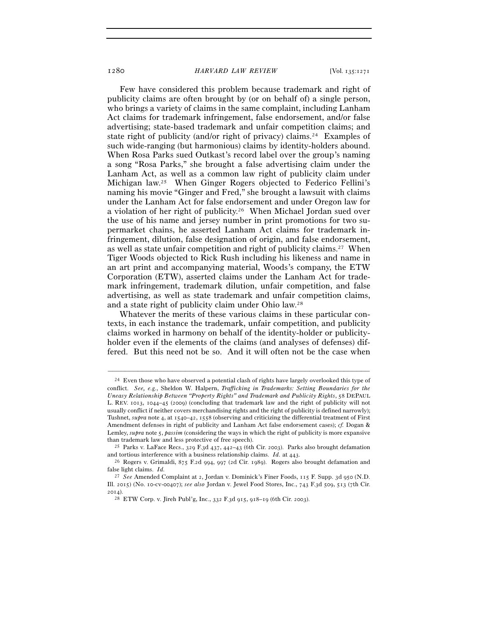Few have considered this problem because trademark and right of publicity claims are often brought by (or on behalf of) a single person, who brings a variety of claims in the same complaint, including Lanham Act claims for trademark infringement, false endorsement, and/or false advertising; state-based trademark and unfair competition claims; and state right of publicity (and/or right of privacy) claims.24 Examples of such wide-ranging (but harmonious) claims by identity-holders abound. When Rosa Parks sued Outkast's record label over the group's naming a song "Rosa Parks," she brought a false advertising claim under the Lanham Act, as well as a common law right of publicity claim under Michigan law.25 When Ginger Rogers objected to Federico Fellini's naming his movie "Ginger and Fred," she brought a lawsuit with claims under the Lanham Act for false endorsement and under Oregon law for a violation of her right of publicity.26 When Michael Jordan sued over the use of his name and jersey number in print promotions for two supermarket chains, he asserted Lanham Act claims for trademark infringement, dilution, false designation of origin, and false endorsement, as well as state unfair competition and right of publicity claims.27 When Tiger Woods objected to Rick Rush including his likeness and name in an art print and accompanying material, Woods's company, the ETW Corporation (ETW), asserted claims under the Lanham Act for trademark infringement, trademark dilution, unfair competition, and false advertising, as well as state trademark and unfair competition claims, and a state right of publicity claim under Ohio law.28

Whatever the merits of these various claims in these particular contexts, in each instance the trademark, unfair competition, and publicity claims worked in harmony on behalf of the identity-holder or publicityholder even if the elements of the claims (and analyses of defenses) differed. But this need not be so. And it will often not be the case when

<sup>&</sup>lt;sup>24</sup> Even those who have observed a potential clash of rights have largely overlooked this type of conflict. *See, e.g.*, Sheldon W. Halpern, *Trafficking in Trademarks: Setting Boundaries for the Uneasy Relationship Between "Property Rights" and Trademark and Publicity Rights*, 58 DEPAUL L. REV. 1013, 1044–45 (2009) (concluding that trademark law and the right of publicity will not usually conflict if neither covers merchandising rights and the right of publicity is defined narrowly); Tushnet, *supra* note 4, at 1540–42, 1558 (observing and criticizing the differential treatment of First Amendment defenses in right of publicity and Lanham Act false endorsement cases); *cf.* Dogan & Lemley, *supra* note 5, *passim* (considering the ways in which the right of publicity is more expansive than trademark law and less protective of free speech).<br><sup>25</sup> Parks v. LaFace Recs., 329 F.3d 437, 442–43 (6th Cir. 2003). Parks also brought defamation

and tortious interference with a business relationship claims. *Id.* at 443.<br><sup>26</sup> Rogers v. Grimaldi, 875 F.2d 994, 997 (2d Cir. 1989). Rogers also brought defamation and

false light claims. *Id.* 

<sup>27</sup> *See* Amended Complaint at 2, Jordan v. Dominick's Finer Foods, 115 F. Supp. 3d 950 (N.D. Ill. 2015) (No. 10-cv-00407); *see also* Jordan v. Jewel Food Stores, Inc., 743 F.3d 509, 513 (7th Cir. 2014).

<sup>28</sup> ETW Corp. v. Jireh Publ'g, Inc., 332 F.3d 915, 918–19 (6th Cir. 2003).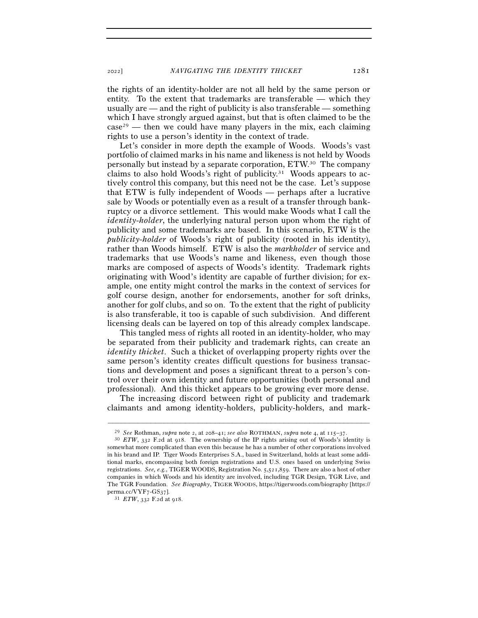the rights of an identity-holder are not all held by the same person or entity. To the extent that trademarks are transferable — which they usually are — and the right of publicity is also transferable — something which I have strongly argued against, but that is often claimed to be the  $case^{29}$  — then we could have many players in the mix, each claiming rights to use a person's identity in the context of trade.

Let's consider in more depth the example of Woods. Woods's vast portfolio of claimed marks in his name and likeness is not held by Woods personally but instead by a separate corporation, ETW.30 The company claims to also hold Woods's right of publicity.31 Woods appears to actively control this company, but this need not be the case. Let's suppose that ETW is fully independent of Woods — perhaps after a lucrative sale by Woods or potentially even as a result of a transfer through bankruptcy or a divorce settlement. This would make Woods what I call the *identity-holder*, the underlying natural person upon whom the right of publicity and some trademarks are based. In this scenario, ETW is the *publicity-holder* of Woods's right of publicity (rooted in his identity), rather than Woods himself. ETW is also the *markholder* of service and trademarks that use Woods's name and likeness, even though those marks are composed of aspects of Woods's identity. Trademark rights originating with Wood's identity are capable of further division; for example, one entity might control the marks in the context of services for golf course design, another for endorsements, another for soft drinks, another for golf clubs, and so on. To the extent that the right of publicity is also transferable, it too is capable of such subdivision. And different licensing deals can be layered on top of this already complex landscape.

This tangled mess of rights all rooted in an identity-holder, who may be separated from their publicity and trademark rights, can create an *identity thicket*. Such a thicket of overlapping property rights over the same person's identity creates difficult questions for business transactions and development and poses a significant threat to a person's control over their own identity and future opportunities (both personal and professional). And this thicket appears to be growing ever more dense.

The increasing discord between right of publicity and trademark claimants and among identity-holders, publicity-holders, and mark-

<sup>29</sup> *See* Rothman, *supra* note 2, at 208–41; *see also* ROTHMAN, *supra* note 4, at 115–<sup>37</sup>. 30 *ETW*, 332 F.2d at 918. The ownership of the IP rights arising out of Woods's identity is somewhat more complicated than even this because he has a number of other corporations involved in his brand and IP. Tiger Woods Enterprises S.A., based in Switzerland, holds at least some additional marks, encompassing both foreign registrations and U.S. ones based on underlying Swiss registrations. *See, e.g.*, TIGER WOODS, Registration No. 5,521,859. There are also a host of other companies in which Woods and his identity are involved, including TGR Design, TGR Live, and The TGR Foundation. *See Biography*, TIGER WOODS, https://tigerwoods.com/biography [https:// perma.cc/VYF7-GS<sup>37</sup>]. 31 *ETW*, 332 F.2d at 918.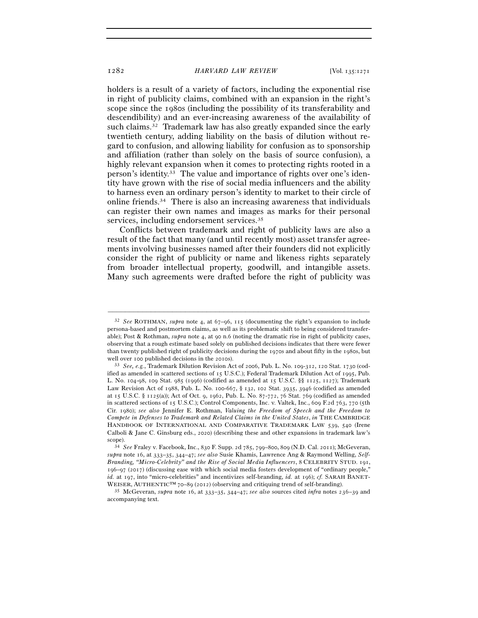holders is a result of a variety of factors, including the exponential rise in right of publicity claims, combined with an expansion in the right's scope since the 1980s (including the possibility of its transferability and descendibility) and an ever-increasing awareness of the availability of such claims.32 Trademark law has also greatly expanded since the early twentieth century, adding liability on the basis of dilution without regard to confusion, and allowing liability for confusion as to sponsorship and affiliation (rather than solely on the basis of source confusion), a highly relevant expansion when it comes to protecting rights rooted in a person's identity.33 The value and importance of rights over one's identity have grown with the rise of social media influencers and the ability to harness even an ordinary person's identity to market to their circle of online friends.34 There is also an increasing awareness that individuals can register their own names and images as marks for their personal services, including endorsement services.35

Conflicts between trademark and right of publicity laws are also a result of the fact that many (and until recently most) asset transfer agreements involving businesses named after their founders did not explicitly consider the right of publicity or name and likeness rights separately from broader intellectual property, goodwill, and intangible assets. Many such agreements were drafted before the right of publicity was

<sup>32</sup> *See* ROTHMAN, *supra* note 4, at 67–96, 115 (documenting the right's expansion to include persona-based and postmortem claims, as well as its problematic shift to being considered transferable); Post & Rothman, *supra* note 4, at 90 n.6 (noting the dramatic rise in right of publicity cases, observing that a rough estimate based solely on published decisions indicates that there were fewer than twenty published right of publicity decisions during the 1970s and about fifty in the 1980s, but well over 100 published decisions in the 2010s).<br><sup>33</sup> *See, e.g.*, Trademark Dilution Revision Act of 2006, Pub. L. No. 109-312, 120 Stat. 1730 (cod-

ified as amended in scattered sections of 15 U.S.C.); Federal Trademark Dilution Act of 1995, Pub. L. No. 104-98, 109 Stat. 985 (1996) (codified as amended at 15 U.S.C. §§ 1125, 1127); Trademark Law Revision Act of 1988, Pub. L. No. 100-667, § 132, 102 Stat. 3935, 3946 (codified as amended at 15 U.S.C. § 1125(a)); Act of Oct. 9, 1962, Pub. L. No. 87-772, 76 Stat. 769 (codified as amended in scattered sections of 15 U.S.C.); Control Components, Inc. v. Valtek, Inc., 609 F.2d 763, 770 (5th Cir. 1980); *see also* Jennifer E. Rothman, *Valuing the Freedom of Speech and the Freedom to Compete in Defenses to Trademark and Related Claims in the United States*, *in* THE CAMBRIDGE HANDBOOK OF INTERNATIONAL AND COMPARATIVE TRADEMARK LAW 539, 540 (Irene Calboli & Jane C. Ginsburg eds., 2020) (describing these and other expansions in trademark law's

scope). 34 *See* Fraley v. Facebook, Inc., 830 F. Supp. 2d 785, 799–800, 809 (N.D. Cal. 2011); McGeveran, *supra* note 16, at 333–35, 344–47; *see also* Susie Khamis, Lawrence Ang & Raymond Welling, *Self-Branding, "Micro-Celebrity" and the Rise of Social Media Influencers*, 8 CELEBRITY STUD. 191, 196–97 (2017) (discussing ease with which social media fosters development of "ordinary people," *id.* at 197, into "micro-celebrities" and incentivizes self-branding, *id.* at 196); *cf.* SARAH BANET-WEISER, AUTHENTIC<sup>TM</sup> 70–89 (2012) (observing and critiquing trend of self-branding).<br><sup>35</sup> McGeveran, *supra* note 16, at 333–35, 344–47; *see also* sources cited *infra* notes 236–39 and

accompanying text.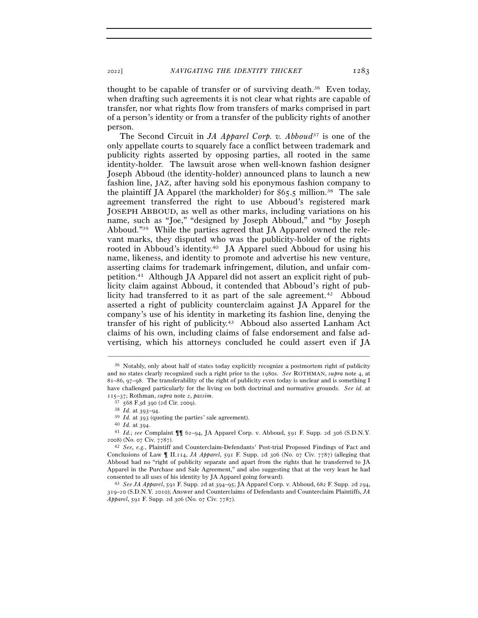thought to be capable of transfer or of surviving death.36 Even today, when drafting such agreements it is not clear what rights are capable of transfer, nor what rights flow from transfers of marks comprised in part of a person's identity or from a transfer of the publicity rights of another person.

The Second Circuit in *JA Apparel Corp. v. Abboud*37 is one of the only appellate courts to squarely face a conflict between trademark and publicity rights asserted by opposing parties, all rooted in the same identity-holder. The lawsuit arose when well-known fashion designer Joseph Abboud (the identity-holder) announced plans to launch a new fashion line, JAZ, after having sold his eponymous fashion company to the plaintiff JA Apparel (the markholder) for  $$65.5$  million.<sup>38</sup> The sale agreement transferred the right to use Abboud's registered mark JOSEPH ABBOUD, as well as other marks, including variations on his name, such as "Joe," "designed by Joseph Abboud," and "by Joseph Abboud."39 While the parties agreed that JA Apparel owned the relevant marks, they disputed who was the publicity-holder of the rights rooted in Abboud's identity.40 JA Apparel sued Abboud for using his name, likeness, and identity to promote and advertise his new venture, asserting claims for trademark infringement, dilution, and unfair competition.41 Although JA Apparel did not assert an explicit right of publicity claim against Abboud, it contended that Abboud's right of publicity had transferred to it as part of the sale agreement.<sup>42</sup> Abboud asserted a right of publicity counterclaim against JA Apparel for the company's use of his identity in marketing its fashion line, denying the transfer of his right of publicity.43 Abboud also asserted Lanham Act claims of his own, including claims of false endorsement and false advertising, which his attorneys concluded he could assert even if JA

<sup>36</sup> Notably, only about half of states today explicitly recognize a postmortem right of publicity and no states clearly recognized such a right prior to the 1980s. *See* ROTHMAN, *supra* note 4, at 81–86, 97–98. The transferability of the right of publicity even today is unclear and is something I have challenged particularly for the living on both doctrinal and normative grounds. *See id.* at 115–37; Rothman, *supra* note 2, *passim*.

<sup>&</sup>lt;sup>38</sup> *Id.* at 393–94.<br><sup>39</sup> *Id.* at 393 (quoting the parties' sale agreement).<br><sup>40</sup> *Id.* at 394.<br><sup>41</sup> *Id.*; *see* Complaint  $\P\P$  62–94, JA Apparel Corp. v. Abboud, 591 F. Supp. 2d 306 (S.D.N.Y. <sup>2008</sup>) (No. 07 Civ. <sup>7787</sup>). 42 *See, e.g.*, Plaintiff and Counterclaim-Defendants' Post-trial Proposed Findings of Fact and

Conclusions of Law ¶ II.114, *JA Apparel*, 591 F. Supp. 2d 306 (No. 07 Civ. 7787) (alleging that Abboud had no "right of publicity separate and apart from the rights that he transferred to JA Apparel in the Purchase and Sale Agreement," and also suggesting that at the very least he had consented to all uses of his identity by JA Apparel going forward). 43 *See JA Apparel*, 591 F. Supp. 2d at 394–95; JA Apparel Corp. v. Abboud, 682 F. Supp. 2d 294,

<sup>319</sup>–20 (S.D.N.Y. 2010); Answer and Counterclaims of Defendants and Counterclaim Plaintiffs, *JA Apparel*, 591 F. Supp. 2d 306 (No. 07 Civ. 7787).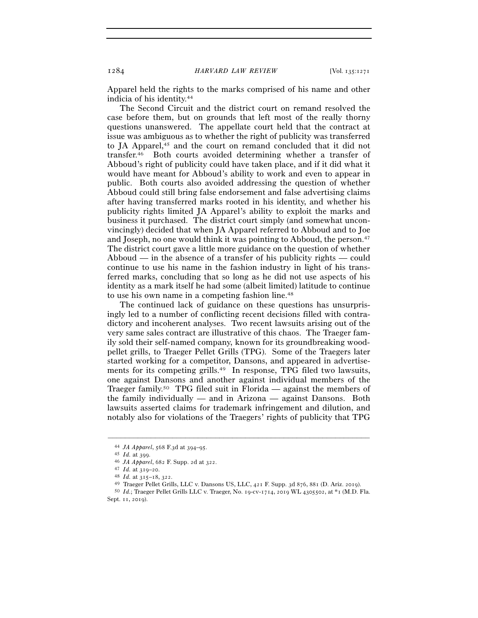Apparel held the rights to the marks comprised of his name and other indicia of his identity.44

The Second Circuit and the district court on remand resolved the case before them, but on grounds that left most of the really thorny questions unanswered. The appellate court held that the contract at issue was ambiguous as to whether the right of publicity was transferred to JA Apparel,<sup>45</sup> and the court on remand concluded that it did not transfer.46 Both courts avoided determining whether a transfer of Abboud's right of publicity could have taken place, and if it did what it would have meant for Abboud's ability to work and even to appear in public. Both courts also avoided addressing the question of whether Abboud could still bring false endorsement and false advertising claims after having transferred marks rooted in his identity, and whether his publicity rights limited JA Apparel's ability to exploit the marks and business it purchased. The district court simply (and somewhat unconvincingly) decided that when JA Apparel referred to Abboud and to Joe and Joseph, no one would think it was pointing to Abboud, the person.<sup>47</sup> The district court gave a little more guidance on the question of whether Abboud — in the absence of a transfer of his publicity rights — could continue to use his name in the fashion industry in light of his transferred marks, concluding that so long as he did not use aspects of his identity as a mark itself he had some (albeit limited) latitude to continue to use his own name in a competing fashion line.48

The continued lack of guidance on these questions has unsurprisingly led to a number of conflicting recent decisions filled with contradictory and incoherent analyses. Two recent lawsuits arising out of the very same sales contract are illustrative of this chaos. The Traeger family sold their self-named company, known for its groundbreaking woodpellet grills, to Traeger Pellet Grills (TPG). Some of the Traegers later started working for a competitor, Dansons, and appeared in advertisements for its competing grills.49 In response, TPG filed two lawsuits, one against Dansons and another against individual members of the Traeger family.<sup>50</sup> TPG filed suit in Florida — against the members of the family individually — and in Arizona — against Dansons. Both lawsuits asserted claims for trademark infringement and dilution, and notably also for violations of the Traegers' rights of publicity that TPG

<sup>44</sup> *JA Apparel*, 568 F.3d at 394–95.

<sup>&</sup>lt;sup>46</sup> *JA Apparel*, 682 F. Supp. 2d at 322.<br><sup>47</sup> *Id.* at 319–20.<br><sup>48</sup> *Id.* at 315–18, 322.<br><sup>49</sup> Traeger Pellet Grills, LLC v. Dansons US, LLC, 421 F. Supp. 3d 876, 881 (D. Ariz. 2019).<br><sup>50</sup> *Id.*; Traeger Pellet Grills L Sept. 11, 2019).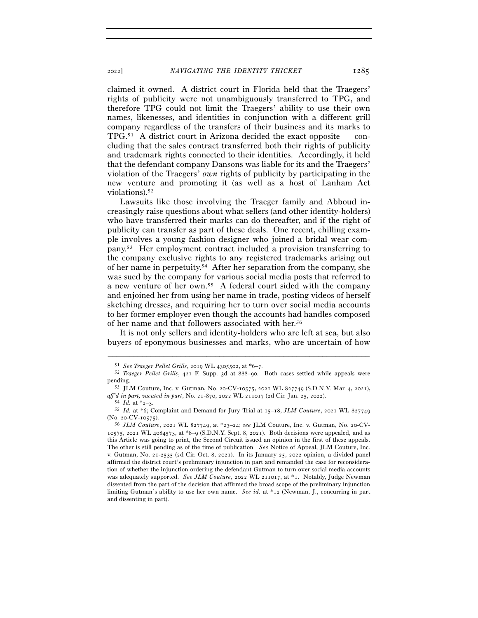claimed it owned. A district court in Florida held that the Traegers' rights of publicity were not unambiguously transferred to TPG, and therefore TPG could not limit the Traegers' ability to use their own names, likenesses, and identities in conjunction with a different grill company regardless of the transfers of their business and its marks to  $TPG<sub>51</sub>$  A district court in Arizona decided the exact opposite — concluding that the sales contract transferred both their rights of publicity and trademark rights connected to their identities. Accordingly, it held that the defendant company Dansons was liable for its and the Traegers' violation of the Traegers' *own* rights of publicity by participating in the new venture and promoting it (as well as a host of Lanham Act violations).<sup>52</sup>

Lawsuits like those involving the Traeger family and Abboud increasingly raise questions about what sellers (and other identity-holders) who have transferred their marks can do thereafter, and if the right of publicity can transfer as part of these deals. One recent, chilling example involves a young fashion designer who joined a bridal wear company.53 Her employment contract included a provision transferring to the company exclusive rights to any registered trademarks arising out of her name in perpetuity.54 After her separation from the company, she was sued by the company for various social media posts that referred to a new venture of her own.55 A federal court sided with the company and enjoined her from using her name in trade, posting videos of herself sketching dresses, and requiring her to turn over social media accounts to her former employer even though the accounts had handles composed of her name and that followers associated with her.56

It is not only sellers and identity-holders who are left at sea, but also buyers of eponymous businesses and marks, who are uncertain of how

<sup>51</sup> *See Traeger Pellet Grills*, 2019 WL 4305502, at \*6–<sup>7</sup>. 52 *Traeger Pellet Grills*, 421 F. Supp. 3d at 888–90. Both cases settled while appeals were

pending. 53 JLM Couture, Inc. v. Gutman, No. 20-CV-10575, 2021 WL 827749 (S.D.N.Y. Mar. 4, 2021), *aff'd in part, vacated in part*, No. 21-870, 2022 WL 211017 (2d Cir. Jan. 25, <sup>2022</sup>). 54 *Id.* at \*2–<sup>3</sup>. 55 *Id.* at \*6; Complaint and Demand for Jury Trial at 15–18, *JLM Couture*, 2021 WL <sup>827749</sup>

<sup>(</sup>No. 20-CV-10575). 56 *JLM Couture*, 2021 WL 827749, at \*23–24; *see* JLM Couture, Inc. v. Gutman, No. 20-CV-

<sup>10575</sup>, 2021 WL 4084573, at \*8–9 (S.D.N.Y. Sept. 8, 2021). Both decisions were appealed, and as this Article was going to print, the Second Circuit issued an opinion in the first of these appeals. The other is still pending as of the time of publication. *See* Notice of Appeal, JLM Couture, Inc. v. Gutman, No. 21-2535 (2d Cir. Oct. 8, 2021). In its January 25, 2022 opinion, a divided panel affirmed the district court's preliminary injunction in part and remanded the case for reconsideration of whether the injunction ordering the defendant Gutman to turn over social media accounts was adequately supported. *See JLM Couture*, 2022 WL 211017, at \*1. Notably, Judge Newman dissented from the part of the decision that affirmed the broad scope of the preliminary injunction limiting Gutman's ability to use her own name. *See id.* at \*12 (Newman, J., concurring in part and dissenting in part).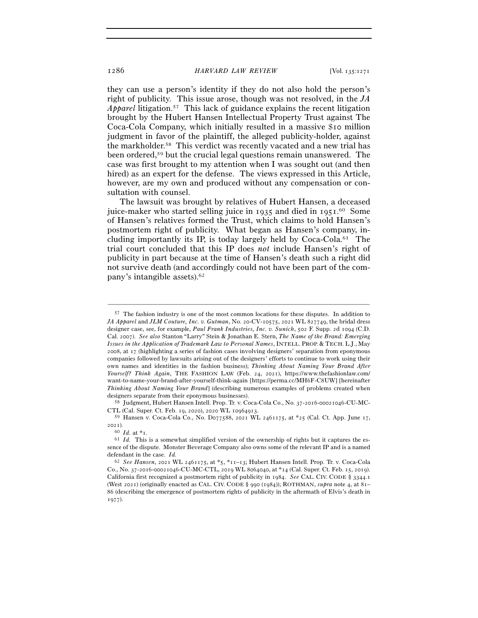they can use a person's identity if they do not also hold the person's right of publicity. This issue arose, though was not resolved, in the *JA Apparel* litigation.57 This lack of guidance explains the recent litigation brought by the Hubert Hansen Intellectual Property Trust against The Coca-Cola Company, which initially resulted in a massive \$10 million judgment in favor of the plaintiff, the alleged publicity-holder, against the markholder.58 This verdict was recently vacated and a new trial has been ordered,59 but the crucial legal questions remain unanswered. The case was first brought to my attention when I was sought out (and then hired) as an expert for the defense. The views expressed in this Article, however, are my own and produced without any compensation or consultation with counsel.

The lawsuit was brought by relatives of Hubert Hansen, a deceased juice-maker who started selling juice in 1935 and died in 1951. 60 Some of Hansen's relatives formed the Trust, which claims to hold Hansen's postmortem right of publicity. What began as Hansen's company, including importantly its IP, is today largely held by Coca-Cola.61 The trial court concluded that this IP does *not* include Hansen's right of publicity in part because at the time of Hansen's death such a right did not survive death (and accordingly could not have been part of the company's intangible assets).62

–––––––––––––––––––––––––––––––––––––––––––––––––––––––––––––

CTL (Cal. Super. Ct. Feb. 19, 2020), 2020 WL <sup>10964913</sup>. 59 Hansen v. Coca-Cola Co., No. D077588, 2021 WL 2461175, at \*25 (Cal. Ct. App. June 17,

2021).<br><sup>60</sup> *Id.* at \*1.

<sup>57</sup> The fashion industry is one of the most common locations for these disputes. In addition to *JA Apparel* and *JLM Couture, Inc. v. Gutman*, No. 20-CV-10575, 2021 WL 827749, the bridal dress designer case, see, for example, *Paul Frank Industries, Inc. v. Sunich*, 502 F. Supp. 2d 1094 (C.D. Cal. 2007). *See also* Stanton "Larry" Stein & Jonathan E. Stern, *The Name of the Brand: Emerging Issues in the Application of Trademark Law to Personal Names*, INTELL. PROP. & TECH. L.J., May 2008, at 17 (highlighting a series of fashion cases involving designers' separation from eponymous companies followed by lawsuits arising out of the designers' efforts to continue to work using their own names and identities in the fashion business); *Thinking About Naming Your Brand After Yourself? Think Again*, THE FASHION LAW (Feb. 24, 2021), https://www.thefashionlaw.com/ want-to-name-your-brand-after-yourself-think-again [https://perma.cc/MH6F-C8UW] [hereinafter *Thinking About Naming Your Brand*] (describing numerous examples of problems created when designers separate from their eponymous businesses).<br>58 Judgment, Hubert Hansen Intell. Prop. Tr. v. Coca-Cola Co., No. 37-2016-00021046-CU-MC-

 $61$  *Id.* This is a somewhat simplified version of the ownership of rights but it captures the essence of the dispute. Monster Beverage Company also owns some of the relevant IP and is a named defendant in the case. *Id.* 62 *See Hansen*, 2021 WL 2461175, at \*5, \*11–13; Hubert Hansen Intell. Prop. Tr. v. Coca-Cola

Co., No. 37-2016-00021046-CU-MC-CTL, 2019 WL 8064040, at \*14 (Cal. Super. Ct. Feb. 15, 2019). California first recognized a postmortem right of publicity in 1984. *See* CAL. CIV. CODE § 3344.1 (West 2021) (originally enacted as CAL. CIV. CODE § 990 (1984)); ROTHMAN, *supra* note 4, at 81– 86 (describing the emergence of postmortem rights of publicity in the aftermath of Elvis's death in 1977).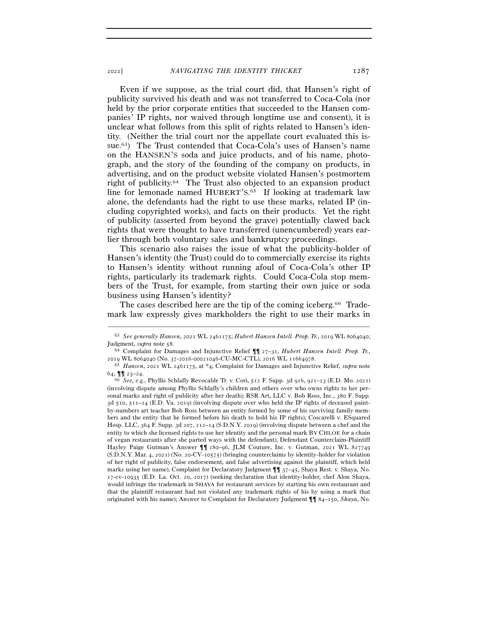Even if we suppose, as the trial court did, that Hansen's right of publicity survived his death and was not transferred to Coca-Cola (nor held by the prior corporate entities that succeeded to the Hansen companies' IP rights, nor waived through longtime use and consent), it is unclear what follows from this split of rights related to Hansen's identity. (Neither the trial court nor the appellate court evaluated this issue.63) The Trust contended that Coca-Cola's uses of Hansen's name on the HANSEN'S soda and juice products, and of his name, photograph, and the story of the founding of the company on products, in advertising, and on the product website violated Hansen's postmortem right of publicity.64 The Trust also objected to an expansion product line for lemonade named HUBERT'S. 65 If looking at trademark law alone, the defendants had the right to use these marks, related IP (including copyrighted works), and facts on their products. Yet the right of publicity (asserted from beyond the grave) potentially clawed back rights that were thought to have transferred (unencumbered) years earlier through both voluntary sales and bankruptcy proceedings.

This scenario also raises the issue of what the publicity-holder of Hansen's identity (the Trust) could do to commercially exercise its rights to Hansen's identity without running afoul of Coca-Cola's other IP rights, particularly its trademark rights. Could Coca-Cola stop members of the Trust, for example, from starting their own juice or soda business using Hansen's identity?

The cases described here are the tip of the coming iceberg.<sup>66</sup> Trademark law expressly gives markholders the right to use their marks in

<sup>–––––––––––––––––––––––––––––––––––––––––––––––––––––––––––––</sup> <sup>63</sup> *See generally Hansen*, 2021 WL 2461175; *Hubert Hansen Intell. Prop. Tr.*, 2019 WL 8064040; Judgment, *supra* note <sup>58</sup>. 64 Complaint for Damages and Injunctive Relief ¶¶ 27–31, *Hubert Hansen Intell. Prop. Tr.*,

<sup>2019</sup> WL <sup>8064040</sup> (No. 37-2016-00021046-CU-MC-CTL), 2016 WL <sup>11664978</sup>. 65 *Hansen*, 2021 WL 2461175, at \*4; Complaint for Damages and Injunctive Relief, *supra* note

<sup>64</sup>, ¶¶ 23–<sup>24</sup>. 66 *See, e.g.*, Phyllis Schlafly Revocable Tr. v. Cori, 512 F. Supp. 3d 916, 921–23 (E.D. Mo. 2021)

<sup>(</sup>involving dispute among Phyllis Schlafly's children and others over who owns rights to her personal marks and right of publicity after her death); RSR Art, LLC v. Bob Ross, Inc., 380 F. Supp. 3d 510, 511–14 (E.D. Va. 2019) (involving dispute over who held the IP rights of deceased paintby-numbers art teacher Bob Ross between an entity formed by some of his surviving family members and the entity that he formed before his death to hold his IP rights); Coscarelli v. ESquared Hosp. LLC, 364 F. Supp. 3d 207, 212–14 (S.D.N.Y. 2019) (involving dispute between a chef and the entity to which she licensed rights to use her identity and the personal mark BY CHLOE for a chain of vegan restaurants after she parted ways with the defendant); Defendant Counterclaim-Plaintiff Hayley Paige Gutman's Answer ¶¶ 180–96, JLM Couture, Inc. v. Gutman, 2021 WL 827749 (S.D.N.Y. Mar. 4, 2021) (No. 20-CV-10575) (bringing counterclaims by identity-holder for violation of her right of publicity, false endorsement, and false advertising against the plaintiff, which held marks using her name); Complaint for Declaratory Judgment ¶¶ 37–45, Shaya Rest. v. Shaya, No. 17-cv-10935 (E.D. La. Oct. 20, 2017) (seeking declaration that identity-holder, chef Alon Shaya, would infringe the trademark in SHAYA for restaurant services by starting his own restaurant and that the plaintiff restaurant had not violated any trademark rights of his by using a mark that originated with his name); Answer to Complaint for Declaratory Judgment ¶¶ 84–150, *Shaya*, No.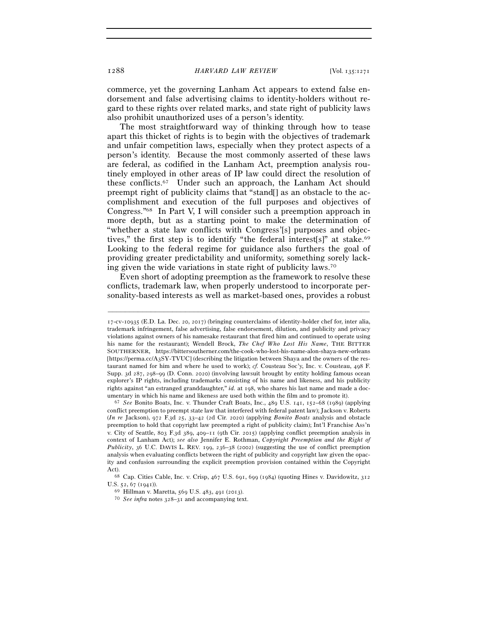commerce, yet the governing Lanham Act appears to extend false endorsement and false advertising claims to identity-holders without regard to these rights over related marks, and state right of publicity laws also prohibit unauthorized uses of a person's identity.

The most straightforward way of thinking through how to tease apart this thicket of rights is to begin with the objectives of trademark and unfair competition laws, especially when they protect aspects of a person's identity. Because the most commonly asserted of these laws are federal, as codified in the Lanham Act, preemption analysis routinely employed in other areas of IP law could direct the resolution of these conflicts.67 Under such an approach, the Lanham Act should preempt right of publicity claims that "stand[] as an obstacle to the accomplishment and execution of the full purposes and objectives of Congress."68 In Part V, I will consider such a preemption approach in more depth, but as a starting point to make the determination of "whether a state law conflicts with Congress'[s] purposes and objectives," the first step is to identify "the federal interest[s]" at stake.<sup>69</sup> Looking to the federal regime for guidance also furthers the goal of providing greater predictability and uniformity, something sorely lacking given the wide variations in state right of publicity laws.70

Even short of adopting preemption as the framework to resolve these conflicts, trademark law, when properly understood to incorporate personality-based interests as well as market-based ones, provides a robust

<sup>17</sup>-cv-10935 (E.D. La. Dec. 20, 2017) (bringing counterclaims of identity-holder chef for, inter alia, trademark infringement, false advertising, false endorsement, dilution, and publicity and privacy violations against owners of his namesake restaurant that fired him and continued to operate using his name for the restaurant); Wendell Brock, *The Chef Who Lost His Name*, THE BITTER SOUTHERNER, https://bittersoutherner.com/the-cook-who-lost-his-name-alon-shaya-new-orleans [https://perma.cc/A3SY-TVUC] (describing the litigation between Shaya and the owners of the restaurant named for him and where he used to work); *cf.* Cousteau Soc'y, Inc. v. Cousteau, 498 F. Supp. 3d 287, 298–99 (D. Conn. 2020) (involving lawsuit brought by entity holding famous ocean explorer's IP rights, including trademarks consisting of his name and likeness, and his publicity rights against "an estranged granddaughter," *id.* at 198, who shares his last name and made a doc-

umentary in which his name and likeness are used both within the film and to promote it). 67 *See* Bonito Boats, Inc. v. Thunder Craft Boats, Inc., 489 U.S. 141, 152–68 (1989) (applying conflict preemption to preempt state law that interfered with federal patent law); Jackson v. Roberts (*In re* Jackson), 972 F.3d 25, 33–42 (2d Cir. 2020) (applying *Bonito Boats* analysis and obstacle preemption to hold that copyright law preempted a right of publicity claim); Int'l Franchise Ass'n v. City of Seattle, 803 F.3d 389, 409–11 (9th Cir. 2015) (applying conflict preemption analysis in context of Lanham Act); *see also* Jennifer E. Rothman, *Copyright Preemption and the Right of Publicity*, 36 U.C. DAVIS L. REV. 199, 236–38 (2002) (suggesting the use of conflict preemption analysis when evaluating conflicts between the right of publicity and copyright law given the opacity and confusion surrounding the explicit preemption provision contained within the Copyright

Act). 68 Cap. Cities Cable, Inc. v. Crisp, 467 U.S. 691, 699 (1984) (quoting Hines v. Davidowitz, <sup>312</sup> U.S. 52, 67 (1941)). 69 Hillman v. Maretta, 569 U.S. 483, 491 (2013). 70 *See infra* notes 328–31 and accompanying text.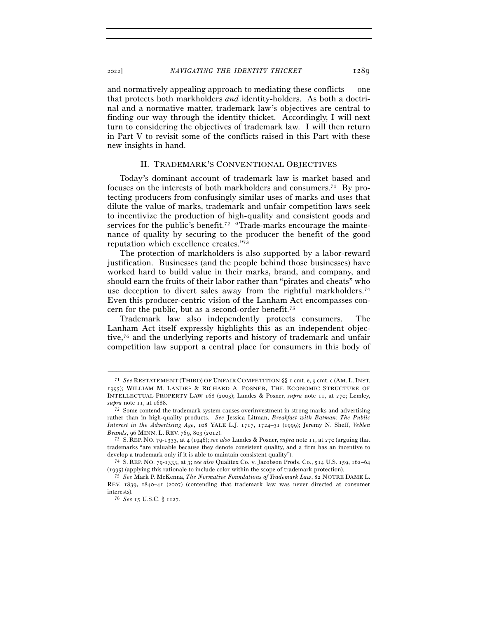and normatively appealing approach to mediating these conflicts — one that protects both markholders *and* identity-holders. As both a doctrinal and a normative matter, trademark law's objectives are central to finding our way through the identity thicket. Accordingly, I will next turn to considering the objectives of trademark law. I will then return in Part V to revisit some of the conflicts raised in this Part with these new insights in hand.

#### II. TRADEMARK'S CONVENTIONAL OBJECTIVES

Today's dominant account of trademark law is market based and focuses on the interests of both markholders and consumers.71 By protecting producers from confusingly similar uses of marks and uses that dilute the value of marks, trademark and unfair competition laws seek to incentivize the production of high-quality and consistent goods and services for the public's benefit.<sup>72</sup> "Trade-marks encourage the maintenance of quality by securing to the producer the benefit of the good reputation which excellence creates."73

The protection of markholders is also supported by a labor-reward justification. Businesses (and the people behind those businesses) have worked hard to build value in their marks, brand, and company, and should earn the fruits of their labor rather than "pirates and cheats" who use deception to divert sales away from the rightful markholders.<sup>74</sup> Even this producer-centric vision of the Lanham Act encompasses concern for the public, but as a second-order benefit.75

Trademark law also independently protects consumers. The Lanham Act itself expressly highlights this as an independent objective,76 and the underlying reports and history of trademark and unfair competition law support a central place for consumers in this body of

<sup>71</sup> *See* RESTATEMENT (THIRD) OF UNFAIR COMPETITION §§ 1 cmt. e, 9 cmt. c (AM. L.INST. 1995); WILLIAM M. LANDES & RICHARD A. POSNER, THE ECONOMIC STRUCTURE OF INTELLECTUAL PROPERTY LAW 168 (2003); Landes & Posner, *supra* note 11, at 270; Lemley, *supra* note 11, at 1688.<br><sup>72</sup> Some contend the trademark system causes overinvestment in strong marks and advertising

rather than in high-quality products. *See* Jessica Litman, *Breakfast with Batman: The Public Interest in the Advertising Age*, 108 YALE L.J. 1717, 1724–31 (1999); Jeremy N. Sheff, *Veblen Brands*, 96 MINN. L. REV. <sup>769</sup>, 803 (<sup>2012</sup>). 73 S. REP. NO. 79-1333, at 4 (1946); *see also* Landes & Posner, *supra* note 11, at <sup>270</sup> (arguing that

trademarks "are valuable because they denote consistent quality, and a firm has an incentive to develop a trademark only if it is able to maintain consistent quality"). 74 S. REP. NO. 79-1333, at 3; *see also* Qualitex Co. v. Jacobson Prods. Co., 514 U.S. 159, 162–<sup>64</sup>

<sup>(</sup><sup>1995</sup>) (applying this rationale to include color within the scope of trademark protection). 75 *See* Mark P. McKenna, *The Normative Foundations of Trademark Law*, 82 NOTRE DAME L.

REV. 1839, 1840–41 (2007) (contending that trademark law was never directed at consumer interests). 76 *See* 15 U.S.C. § 1127.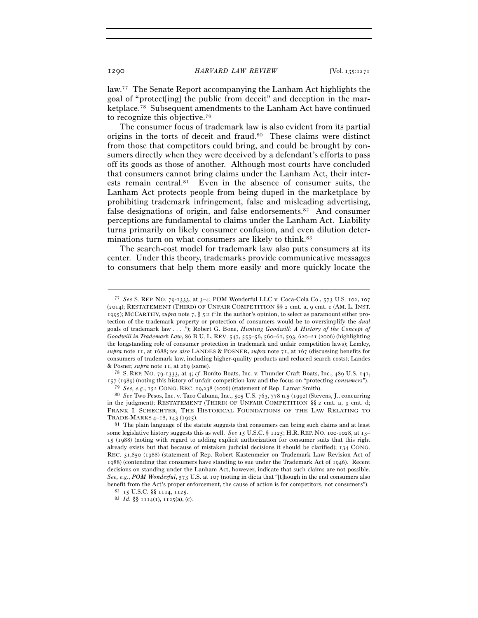law.77 The Senate Report accompanying the Lanham Act highlights the goal of "protect[ing] the public from deceit" and deception in the marketplace.78 Subsequent amendments to the Lanham Act have continued to recognize this objective.79

The consumer focus of trademark law is also evident from its partial origins in the torts of deceit and fraud.80 These claims were distinct from those that competitors could bring, and could be brought by consumers directly when they were deceived by a defendant's efforts to pass off its goods as those of another. Although most courts have concluded that consumers cannot bring claims under the Lanham Act, their interests remain central.81 Even in the absence of consumer suits, the Lanham Act protects people from being duped in the marketplace by prohibiting trademark infringement, false and misleading advertising, false designations of origin, and false endorsements.<sup>82</sup> And consumer perceptions are fundamental to claims under the Lanham Act. Liability turns primarily on likely consumer confusion, and even dilution determinations turn on what consumers are likely to think.<sup>83</sup>

The search-cost model for trademark law also puts consumers at its center. Under this theory, trademarks provide communicative messages to consumers that help them more easily and more quickly locate the

<sup>77</sup> *See* S. REP. NO. 79-1333, at 3–4; POM Wonderful LLC v. Coca-Cola Co., 573 U.S. 102, 107 (2014); RESTATEMENT (THIRD) OF UNFAIR COMPETITION §§ 2 cmt. a, 9 cmt. c (AM. L. INST. 1995); MCCARTHY, *supra* note 7, § 5:2 ("In the author's opinion, to select as paramount either protection of the trademark property or protection of consumers would be to oversimplify the *dual* goals of trademark law . . . ."); Robert G. Bone, *Hunting Goodwill: A History of the Concept of Goodwill in Trademark Law*, 86 B.U. L. REV. 547, 555–56, 560–61, 593, 620–21 (2006) (highlighting the longstanding role of consumer protection in trademark and unfair competition laws); Lemley, *supra* note 11, at 1688; *see also* LANDES & POSNER, *supra* note 71, at 167 (discussing benefits for consumers of trademark law, including higher-quality products and reduced search costs); Landes & Posner, *supra* note 11, at <sup>269</sup> (same). 78 S. REP. NO. 79-1333, at 4; *cf.* Bonito Boats, Inc. v. Thunder Craft Boats, Inc., 489 U.S. 141,

<sup>157 (1989)</sup> (noting this history of unfair competition law and the focus on "protecting *consumers*").

<sup>79</sup> *See, e.g.*, 152 CONG. REC. 19,238 (<sup>2006</sup>) (statement of Rep. Lamar Smith). 80 *See* Two Pesos, Inc. v. Taco Cabana, Inc., 505 U.S. 763, 778 n.5 (1992) (Stevens, J., concurring in the judgment); RESTATEMENT (THIRD) OF UNFAIR COMPETITION §§ 2 cmt. a, 9 cmt. d; FRANK I. SCHECHTER, THE HISTORICAL FOUNDATIONS OF THE LAW RELATING TO

TRADE-MARKS 4–18, 143 (1925).<br><sup>81</sup> The plain language of the statute suggests that consumers can bring such claims and at least some legislative history suggests this as well. *See* 15 U.S.C. § 1125; H.R. REP. NO. 100-1028, at 13– 15 (1988) (noting with regard to adding explicit authorization for consumer suits that this right already exists but that because of mistaken judicial decisions it should be clarified); 134 CONG. REC. 31,850 (1988) (statement of Rep. Robert Kastenmeier on Trademark Law Revision Act of 1988) (contending that consumers have standing to sue under the Trademark Act of 1946). Recent decisions on standing under the Lanham Act, however, indicate that such claims are not possible. *See, e.g.*, *POM Wonderful*, 573 U.S. at 107 (noting in dicta that "[t]hough in the end consumers also benefit from the Act's proper enforcement, the cause of action is for competitors, not consumers"). <sup>82</sup>  $15$  U.S.C. §§ 1114, 1125. 83 *Id.* §§ 1114(1), 1125(a), (c).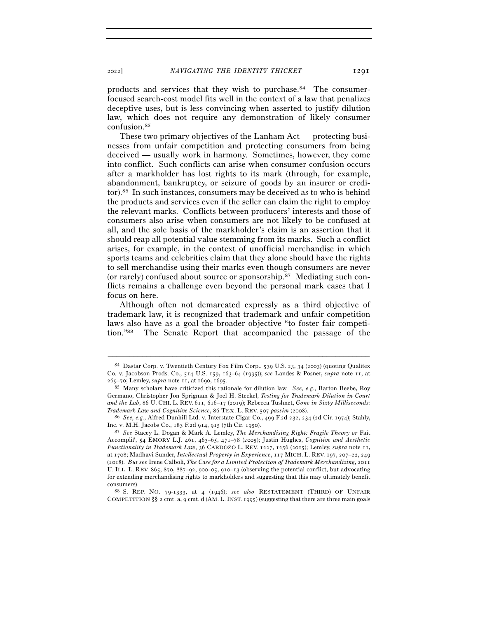products and services that they wish to purchase.84 The consumerfocused search-cost model fits well in the context of a law that penalizes deceptive uses, but is less convincing when asserted to justify dilution law, which does not require any demonstration of likely consumer confusion.85

These two primary objectives of the Lanham Act — protecting businesses from unfair competition and protecting consumers from being deceived — usually work in harmony. Sometimes, however, they come into conflict. Such conflicts can arise when consumer confusion occurs after a markholder has lost rights to its mark (through, for example, abandonment, bankruptcy, or seizure of goods by an insurer or creditor).86 In such instances, consumers may be deceived as to who is behind the products and services even if the seller can claim the right to employ the relevant marks. Conflicts between producers' interests and those of consumers also arise when consumers are not likely to be confused at all, and the sole basis of the markholder's claim is an assertion that it should reap all potential value stemming from its marks. Such a conflict arises, for example, in the context of unofficial merchandise in which sports teams and celebrities claim that they alone should have the rights to sell merchandise using their marks even though consumers are never (or rarely) confused about source or sponsorship.87 Mediating such conflicts remains a challenge even beyond the personal mark cases that I focus on here.

Although often not demarcated expressly as a third objective of trademark law, it is recognized that trademark and unfair competition laws also have as a goal the broader objective "to foster fair competition."88 The Senate Report that accompanied the passage of the

–––––––––––––––––––––––––––––––––––––––––––––––––––––––––––––

COMPETITION  $\S\S$  2 cmt. a, 9 cmt. d (AM. L. INST. 1995) (suggesting that there are three main goals

<sup>84</sup> Dastar Corp. v. Twentieth Century Fox Film Corp., 539 U.S. 23, 34 (2003) (quoting Qualitex Co. v. Jacobson Prods. Co., 514 U.S. 159, 163–64 (1995)); *see* Landes & Posner, *supra* note 11, at <sup>269</sup>–70; Lemley, *supra* note 11, at <sup>1690</sup>, <sup>1695</sup>. 85 Many scholars have criticized this rationale for dilution law. *See, e.g.*, Barton Beebe, Roy

Germano, Christopher Jon Sprigman & Joel H. Steckel, *Testing for Trademark Dilution in Court and the Lab*, 86 U. CHI. L. REV. 611, 616–17 (2019); Rebecca Tushnet, *Gone in Sixty Milliseconds:* 

*Trademark Law and Cognitive Science*, 86 TEX. L. REV. <sup>507</sup> *passim* (<sup>2008</sup>). 86 *See, e.g.*, Alfred Dunhill Ltd. v. Interstate Cigar Co., 499 F.2d 232, 234 (2d Cir. 1974); Stahly,

Inc. v. M.H. Jacobs Co., 183 F.2d 914, 915 (7th Cir. <sup>1950</sup>). 87 *See* Stacey L. Dogan & Mark A. Lemley, *The Merchandising Right: Fragile Theory or* Fait Accompli*?*, 54 EMORY L.J. 461, 463–65, 471–78 (2005); Justin Hughes, *Cognitive and Aesthetic Functionality in Trademark Law*, 36 CARDOZO L. REV. 1227, 1256 (2015); Lemley, *supra* note 11, at 1708; Madhavi Sunder, *Intellectual Property in Experience*, 117 MICH. L. REV. 197, 207–22, 249 (2018). *But see* Irene Calboli, *The Case for a Limited Protection of Trademark Merchandising*, 2011 U. ILL. L. REV. 865, 870, 887–92, 900–05, 910–13 (observing the potential conflict, but advocating for extending merchandising rights to markholders and suggesting that this may ultimately benefit consumers). 88 S. REP. NO. 79-1333, at 4 (1946); *see also* RESTATEMENT (THIRD) OF UNFAIR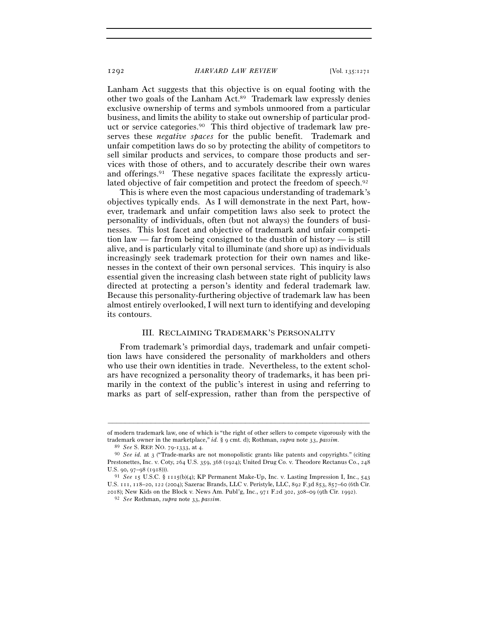Lanham Act suggests that this objective is on equal footing with the other two goals of the Lanham Act.89 Trademark law expressly denies exclusive ownership of terms and symbols unmoored from a particular business, and limits the ability to stake out ownership of particular product or service categories.90 This third objective of trademark law preserves these *negative spaces* for the public benefit. Trademark and unfair competition laws do so by protecting the ability of competitors to sell similar products and services, to compare those products and services with those of others, and to accurately describe their own wares and offerings.91 These negative spaces facilitate the expressly articulated objective of fair competition and protect the freedom of speech.<sup>92</sup>

This is where even the most capacious understanding of trademark's objectives typically ends. As I will demonstrate in the next Part, however, trademark and unfair competition laws also seek to protect the personality of individuals, often (but not always) the founders of businesses. This lost facet and objective of trademark and unfair competition law — far from being consigned to the dustbin of history — is still alive, and is particularly vital to illuminate (and shore up) as individuals increasingly seek trademark protection for their own names and likenesses in the context of their own personal services. This inquiry is also essential given the increasing clash between state right of publicity laws directed at protecting a person's identity and federal trademark law. Because this personality-furthering objective of trademark law has been almost entirely overlooked, I will next turn to identifying and developing its contours.

#### III. RECLAIMING TRADEMARK'S PERSONALITY

From trademark's primordial days, trademark and unfair competition laws have considered the personality of markholders and others who use their own identities in trade. Nevertheless, to the extent scholars have recognized a personality theory of trademarks, it has been primarily in the context of the public's interest in using and referring to marks as part of self-expression, rather than from the perspective of

<sup>–––––––––––––––––––––––––––––––––––––––––––––––––––––––––––––</sup> of modern trademark law, one of which is "the right of other sellers to compete vigorously with the trademark owner in the market<br>place," id. § 9 cmt. d); Rothman, *supra* note 33, *passim*.<br><sup>89</sup> See S. REP. NO. 79-1333, at 4.<br><sup>90</sup> See id. at 3 ("Trade-marks are not monopolistic grants like patents and copyrights." (cit

Prestonettes, Inc. v. Coty, 264 U.S. 359, 368 (1924); United Drug Co. v. Theodore Rectanus Co., 248

U.S. 90, 97–98 (1918))). 91 *See* 15 U.S.C. § 1115(b)(4); KP Permanent Make-Up, Inc. v. Lasting Impression I, Inc., 543 U.S. 111, 118–20, 122 (2004); Sazerac Brands, LLC v. Peristyle, LLC, 892 F.3d 853, 857–60 (6th Cir. <sup>2018</sup>); New Kids on the Block v. News Am. Publ'g, Inc., 971 F.2d 302, 308–09 (9th Cir. <sup>1992</sup>). 92 *See* Rothman, *supra* note 33, *passim*.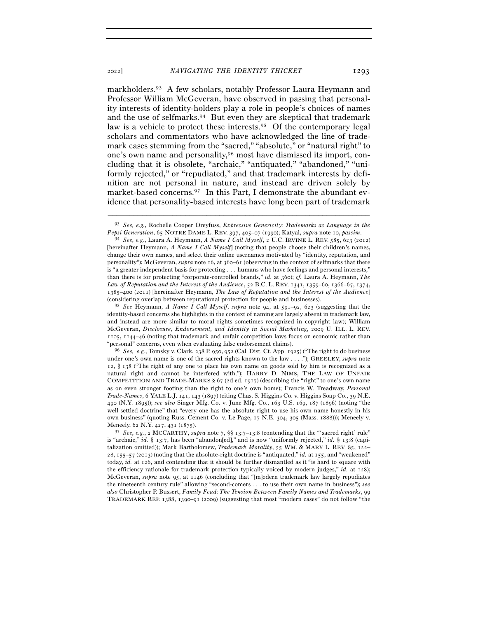markholders.93 A few scholars, notably Professor Laura Heymann and Professor William McGeveran, have observed in passing that personality interests of identity-holders play a role in people's choices of names and the use of selfmarks.94 But even they are skeptical that trademark law is a vehicle to protect these interests.<sup>95</sup> Of the contemporary legal scholars and commentators who have acknowledged the line of trademark cases stemming from the "sacred," "absolute," or "natural right" to one's own name and personality,96 most have dismissed its import, concluding that it is obsolete, "archaic," "antiquated," "abandoned," "uniformly rejected," or "repudiated," and that trademark interests by definition are not personal in nature, and instead are driven solely by market-based concerns.97 In this Part, I demonstrate the abundant evidence that personality-based interests have long been part of trademark

"personal" concerns, even when evaluating false endorsement claims). 96 *See, e.g.*, Tomsky v. Clark, 238 P. 950, 952 (Cal. Dist. Ct. App. 1925) ("The right to do business under one's own name is one of the sacred rights known to the law . . . ."); GREELEY, *supra* note 12, § 138 ("The right of any one to place his own name on goods sold by him is recognized as a natural right and cannot be interfered with."); HARRY D. NIMS, THE LAW OF UNFAIR COMPETITION AND TRADE-MARKS § 67 (2d ed. 1917) (describing the "right" to one's own name as on even stronger footing than the right to one's own home); Francis W. Treadway, *Personal Trade-Names*, 6 YALE L.J. 141, 143 (1897) (citing Chas. S. Higgins Co. v. Higgins Soap Co., 39 N.E. 490 (N.Y. 1895)); *see also* Singer Mfg. Co. v. June Mfg. Co., 163 U.S. 169, 187 (1896) (noting "the well settled doctrine" that "every one has the absolute right to use his own name honestly in his own business" (quoting Russ. Cement Co. v. Le Page, 17 N.E. 304, 305 (Mass. 1888))); Meneely v. Meneely, 62 N.Y. 427, 431 (1875).

<sup>97</sup> *See, e.g.*, 2 MCCARTHY, *supra* note 7, §§ 13:7–13:8 (contending that the "'sacred right' rule" is "archaic," *id.* § 13:7, has been "abandon[ed]," and is now "uniformly rejected," *id.* § 13:8 (capitalization omitted)); Mark Bartholomew, *Trademark Morality*, 55 WM. & MARY L. REV. 85, 122– 28, 155–57 (2013) (noting that the absolute-right doctrine is "antiquated," *id.* at 155, and "weakened" today, *id.* at 126, and contending that it should be further dismantled as it "is hard to square with the efficiency rationale for trademark protection typically voiced by modern judges," *id.* at 128); McGeveran, *supra* note 95, at 1146 (concluding that "[m]odern trademark law largely repudiates the nineteenth century rule" allowing "second-comers . . . to use their own name in business"); *see also* Christopher P. Bussert, *Family Feud: The Tension Between Family Names and Trademarks*, 99 TRADEMARK REP. 1388, 1390–91 (2009) (suggesting that most "modern cases" do not follow "the

<sup>–––––––––––––––––––––––––––––––––––––––––––––––––––––––––––––</sup> 93 *See, e.g.*, Rochelle Cooper Dreyfuss, *Expressive Genericity: Trademarks as Language in the Pepsi Generation*, 65 NOTRE DAME L. REV. <sup>397</sup>, 405–07 (1990); Katyal, *supra* note 10, *passim*. 94 *See, e.g.*, Laura A. Heymann, *A Name I Call Myself*, 2 U.C. IRVINE L. REV. <sup>585</sup>, 623 (2012)

<sup>[</sup>hereinafter Heymann, *A Name I Call Myself*] (noting that people choose their children's names, change their own names, and select their online usernames motivated by "identity, reputation, and personality"); McGeveran, *supra* note 16, at 360–61 (observing in the context of selfmarks that there is "a greater independent basis for protecting . . . humans who have feelings and personal interests," than there is for protecting "corporate-controlled brands," *id.* at 360); *cf.* Laura A. Heymann, *The Law of Reputation and the Interest of the Audience*, 52 B.C. L. REV. 1341, 1359–60, 1366–67, 1374, 1385–400 (2011) [hereinafter Heymann, *The Law of Reputation and the Interest of the Audience*] (considering overlap between reputational protection for people and businesses).

<sup>95</sup> *See* Heymann, *A Name I Call Myself*, *supra* note 94, at 591–92, 623 (suggesting that the identity-based concerns she highlights in the context of naming are largely absent in trademark law, and instead are more similar to moral rights sometimes recognized in copyright law); William McGeveran, *Disclosure, Endorsement, and Identity in Social Marketing*, 2009 U. ILL. L. REV. 1105, 1144–46 (noting that trademark and unfair competition laws focus on economic rather than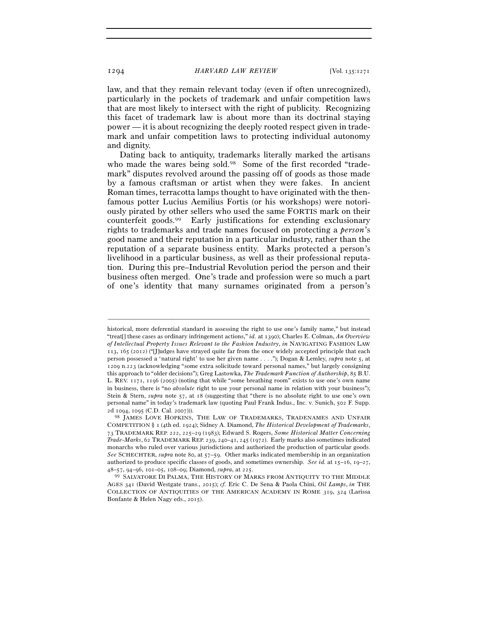law, and that they remain relevant today (even if often unrecognized), particularly in the pockets of trademark and unfair competition laws that are most likely to intersect with the right of publicity. Recognizing this facet of trademark law is about more than its doctrinal staying power — it is about recognizing the deeply rooted respect given in trademark and unfair competition laws to protecting individual autonomy and dignity.

Dating back to antiquity, trademarks literally marked the artisans who made the wares being sold.<sup>98</sup> Some of the first recorded "trademark" disputes revolved around the passing off of goods as those made by a famous craftsman or artist when they were fakes. In ancient Roman times, terracotta lamps thought to have originated with the thenfamous potter Lucius Aemilius Fortis (or his workshops) were notoriously pirated by other sellers who used the same FORTIS mark on their counterfeit goods.99 Early justifications for extending exclusionary rights to trademarks and trade names focused on protecting a *person*'s good name and their reputation in a particular industry, rather than the reputation of a separate business entity. Marks protected a person's livelihood in a particular business, as well as their professional reputation. During this pre–Industrial Revolution period the person and their business often merged. One's trade and profession were so much a part of one's identity that many surnames originated from a person's

historical, more deferential standard in assessing the right to use one's family name," but instead "treat[] these cases as ordinary infringement actions," *id.* at 1390); Charles E. Colman, *An Overview of Intellectual Property Issues Relevant to the Fashion Industry*, *in* NAVIGATING FASHION LAW 113, 165 (2012) ("[J]udges have strayed quite far from the once widely accepted principle that each person possessed a 'natural right' to use her given name . . . ."); Dogan & Lemley, *supra* note 5, at 1209 n.223 (acknowledging "some extra solicitude toward personal names," but largely consigning this approach to "older decisions"); Greg Lastowka, *The Trademark Function of Authorship*, 85 B.U. L. REV. 1171, 1196 (2005) (noting that while "some breathing room" exists to use one's own name in business, there is "no *absolute* right to use your personal name in relation with your business"); Stein & Stern, *supra* note 57, at 18 (suggesting that "there is no absolute right to use one's own personal name" in today's trademark law (quoting Paul Frank Indus., Inc. v. Sunich, 502 F. Supp. 2d 1094, 1095 (C.D. Cal. 2007))). 98 JAMES LOVE HOPKINS, THE LAW OF TRADEMARKS, TRADENAMES AND UNFAIR

COMPETITION § 1 (4th ed. 1924); Sidney A. Diamond, *The Historical Development of Trademarks*, 73 TRADEMARK REP. 222, 225–29 (1983); Edward S. Rogers, *Some Historical Matter Concerning Trade-Marks*, 62 TRADEMARK REP. 239, 240–41, 245 (1972). Early marks also sometimes indicated monarchs who ruled over various jurisdictions and authorized the production of particular goods. *See* SCHECHTER, *supra* note 80, at 57–59. Other marks indicated membership in an organization authorized to produce specific classes of goods, and sometimes ownership. *See id.* at 15–16, 19–27,

<sup>48</sup>–57, 94–96, 101–05, 108–09; Diamond, *supra*, at <sup>225</sup>. 99 SALVATORE DI PALMA, THE HISTORY OF MARKS FROM ANTIQUITY TO THE MIDDLE AGES 341 (David Westgate trans., 2015); *cf.* Eric C. De Sena & Paola Chini, *Oil Lamps*, *in* THE COLLECTION OF ANTIQUITIES OF THE AMERICAN ACADEMY IN ROME 319, 324 (Larissa Bonfante & Helen Nagy eds., 2015).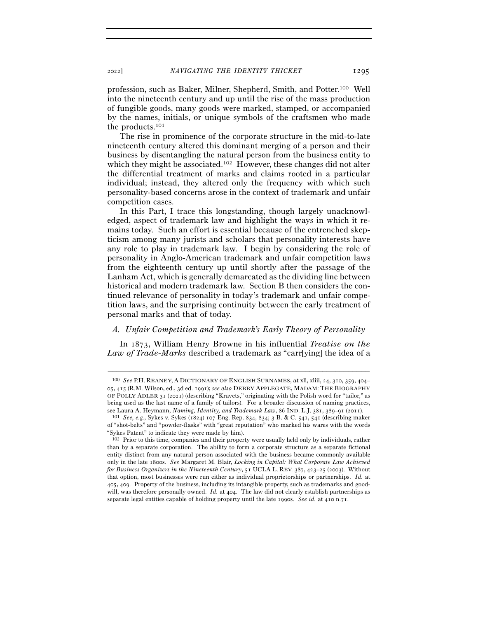profession, such as Baker, Milner, Shepherd, Smith, and Potter.100 Well into the nineteenth century and up until the rise of the mass production of fungible goods, many goods were marked, stamped, or accompanied by the names, initials, or unique symbols of the craftsmen who made the products.101

The rise in prominence of the corporate structure in the mid-to-late nineteenth century altered this dominant merging of a person and their business by disentangling the natural person from the business entity to which they might be associated.<sup>102</sup> However, these changes did not alter the differential treatment of marks and claims rooted in a particular individual; instead, they altered only the frequency with which such personality-based concerns arose in the context of trademark and unfair competition cases.

In this Part, I trace this longstanding, though largely unacknowledged, aspect of trademark law and highlight the ways in which it remains today. Such an effort is essential because of the entrenched skepticism among many jurists and scholars that personality interests have any role to play in trademark law. I begin by considering the role of personality in Anglo-American trademark and unfair competition laws from the eighteenth century up until shortly after the passage of the Lanham Act, which is generally demarcated as the dividing line between historical and modern trademark law. Section B then considers the continued relevance of personality in today's trademark and unfair competition laws, and the surprising continuity between the early treatment of personal marks and that of today.

#### *A. Unfair Competition and Trademark's Early Theory of Personality*

In 1873, William Henry Browne in his influential *Treatise on the Law of Trade-Marks* described a trademark as "carr[ying] the idea of a

<sup>100</sup> *See* P.H. REANEY, A DICTIONARY OF ENGLISH SURNAMES, at xli, xliii, 24, 310, 359, 404– 05, 415 (R.M. Wilson, ed., 3d ed. 1991); *see also* DEBBY APPLEGATE, MADAM: THE BIOGRAPHY OF POLLY ADLER 31 (2021) (describing "Kravets," originating with the Polish word for "tailor," as being used as the last name of a family of tailors). For a broader discussion of naming practices, see Laura A. Heymann, *Naming, Identity, and Trademark Law*, 86 IND. L.J. <sup>381</sup>, 389–91 (<sup>2011</sup>). 101 *See, e.g.*, Sykes v. Sykes (1824) 107 Eng. Rep. 834, 834; 3 B. & C. 541, 541 (describing maker

of "shot-belts" and "powder-flasks" with "great reputation" who marked his wares with the words "Sykes Patent" to indicate they were made by him).

<sup>102</sup> Prior to this time, companies and their property were usually held only by individuals, rather than by a separate corporation. The ability to form a corporate structure as a separate fictional entity distinct from any natural person associated with the business became commonly available only in the late 1800s. *See* Margaret M. Blair, *Locking in Capital: What Corporate Law Achieved for Business Organizers in the Nineteenth Century*, 51 UCLA L. REV. 387, 423–25 (2003). Without that option, most businesses were run either as individual proprietorships or partnerships. *Id.* at 405, 409. Property of the business, including its intangible property, such as trademarks and goodwill, was therefore personally owned. *Id.* at 404. The law did not clearly establish partnerships as separate legal entities capable of holding property until the late 1990s. *See id.* at 410 n.71.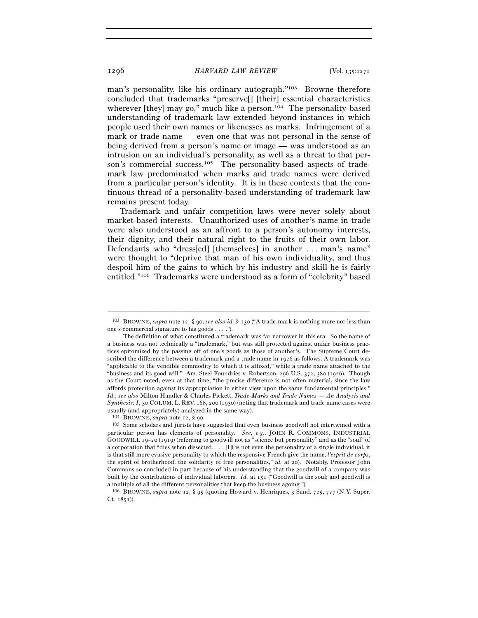man's personality, like his ordinary autograph."103 Browne therefore concluded that trademarks "preserve[] [their] essential characteristics wherever [they] may go," much like a person.<sup>104</sup> The personality-based understanding of trademark law extended beyond instances in which people used their own names or likenesses as marks. Infringement of a mark or trade name — even one that was not personal in the sense of being derived from a person's name or image — was understood as an intrusion on an individual's personality, as well as a threat to that person's commercial success.<sup>105</sup> The personality-based aspects of trademark law predominated when marks and trade names were derived from a particular person's identity. It is in these contexts that the continuous thread of a personality-based understanding of trademark law remains present today.

Trademark and unfair competition laws were never solely about market-based interests. Unauthorized uses of another's name in trade were also understood as an affront to a person's autonomy interests, their dignity, and their natural right to the fruits of their own labor. Defendants who "dress[ed] [themselves] in another . . . man's name" were thought to "deprive that man of his own individuality, and thus despoil him of the gains to which by his industry and skill he is fairly entitled."106 Trademarks were understood as a form of "celebrity" based

<sup>–––––––––––––––––––––––––––––––––––––––––––––––––––––––––––––</sup> <sup>103</sup> BROWNE, *supra* note 12, § 90; *see also id.* § 130 ("A trade-mark is nothing more nor less than one's commercial signature to his goods . . . .").

The definition of what constituted a trademark was far narrower in this era. So the name of a business was not technically a "trademark," but was still protected against unfair business practices epitomized by the passing off of one's goods as those of another's. The Supreme Court described the difference between a trademark and a trade name in 1926 as follows: A trademark was "applicable to the vendible commodity to which it is affixed," while a trade name attached to the "business and its good will." Am. Steel Foundries v. Robertson, 296 U.S. 372, 380 (1926). Though as the Court noted, even at that time, "the precise difference is not often material, since the law affords protection against its appropriation in either view upon the same fundamental principles." *Id.*; *see also* Milton Handler & Charles Pickett, *Trade-Marks and Trade Names — An Analysis and Synthesis: I*, 30 COLUM. L. REV. 168, 200 (1930) (noting that trademark and trade name cases were usually (and appropriately) analyzed in the same way).

<sup>&</sup>lt;sup>104</sup> BROWNE, *supra* note 12, § 90. 105 Some scholars and jurists have suggested that even business goodwill not intertwined with a particular person has elements of personality. *See, e.g.*, JOHN R. COMMONS, INDUSTRIAL GOODWILL 19–20 (1919) (referring to goodwill not as "science but personality" and as the "soul" of a corporation that "dies when dissected. . . . [I]t is not even the personality of a single individual, it is that still more evasive personality to which the responsive French give the name, *l'esprit de corps*, the spirit of brotherhood, the solidarity of free personalities," *id.* at 20). Notably, Professor John Commons so concluded in part because of his understanding that the goodwill of a company was built by the contributions of individual laborers. *Id.* at 151 ("Goodwill is the soul; and goodwill is a multiple of all the different personalities that keep the business agoing.").

<sup>106</sup> BROWNE, *supra* note 12, § 95 (quoting Howard v. Henriques, 3 Sand. 725, 727 (N.Y. Super. Ct.  $1851)$ .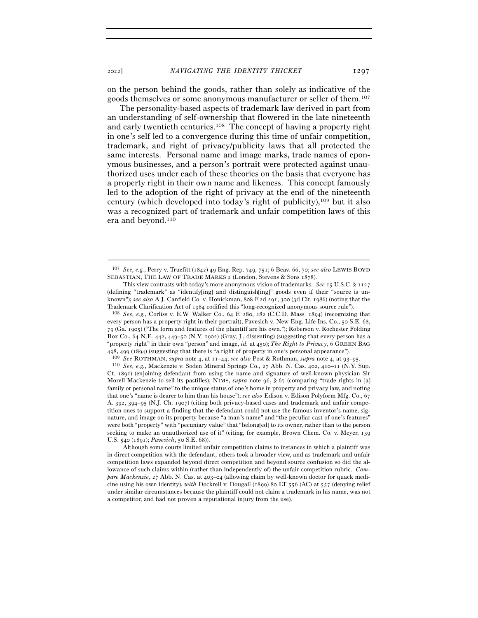on the person behind the goods, rather than solely as indicative of the goods themselves or some anonymous manufacturer or seller of them.107

The personality-based aspects of trademark law derived in part from an understanding of self-ownership that flowered in the late nineteenth and early twentieth centuries.108 The concept of having a property right in one's self led to a convergence during this time of unfair competition, trademark, and right of privacy/publicity laws that all protected the same interests. Personal name and image marks, trade names of eponymous businesses, and a person's portrait were protected against unauthorized uses under each of these theories on the basis that everyone has a property right in their own name and likeness. This concept famously led to the adoption of the right of privacy at the end of the nineteenth century (which developed into today's right of publicity),109 but it also was a recognized part of trademark and unfair competition laws of this era and beyond.110

every person has a property right in their portrait); Pavesich v. New Eng. Life Ins. Co., 50 S.E. 68, 79 (Ga. 1905) ("The form and features of the plaintiff are his own."); Roberson v. Rochester Folding Box Co., 64 N.E. 442, 449–50 (N.Y. 1902) (Gray, J., dissenting) (suggesting that every person has a "property right" in their own "person" and image, *id.* at 450); *The Right to Privacy*, 6 GREEN BAG 498, 499 (1894) (suggesting that there is "a right of property in one's personal appearance").<br><sup>109</sup> See ROTHMAN, *supra* note 4, at 11–44; *see also* Post & Rothman, *supra* note 4, at 93–95.<br><sup>110</sup> See, e.g., Mackenzie v

Ct. 1891) (enjoining defendant from using the name and signature of well-known physician Sir Morell Mackenzie to sell its pastilles); NIMS, *supra* note 96, § 67 (comparing "trade rights in [a] family or personal name" to the unique status of one's home in property and privacy law, and noting that one's "name is dearer to him than his house"); *see also* Edison v. Edison Polyform Mfg. Co., 67 A. 392, 394–95 (N.J. Ch. 1907) (citing both privacy-based cases and trademark and unfair competition ones to support a finding that the defendant could not use the famous inventor's name, signature, and image on its property because "a man's name" and "the peculiar cast of one's features" were both "property" with "pecuniary value" that "belong[ed] to its owner, rather than to the person seeking to make an unauthorized use of it" (citing, for example, Brown Chem. Co. v. Meyer, 139 U.S. 540 (1891); *Pavesich*, 50 S.E. 68)).

 Although some courts limited unfair competition claims to instances in which a plaintiff was in direct competition with the defendant, others took a broader view, and as trademark and unfair competition laws expanded beyond direct competition and beyond source confusion so did the allowance of such claims within (rather than independently of) the unfair competition rubric. *Compare Mackenzie*, 27 Abb. N. Cas. at 403–04 (allowing claim by well-known doctor for quack medicine using his own identity), *with* Dockrell v. Dougall (1899) 80 LT 556 (AC) at 557 (denying relief under similar circumstances because the plaintiff could not claim a trademark in his name, was not a competitor, and had not proven a reputational injury from the use).

<sup>–––––––––––––––––––––––––––––––––––––––––––––––––––––––––––––</sup> <sup>107</sup> *See, e.g.*, Perry v. Truefitt (1842) 49 Eng. Rep. 749, 751; 6 Beav. 66, 70; *see also* LEWIS BOYD SEBASTIAN, THE LAW OF TRADE MARKS 2 (London, Stevens & Sons 1878).

This view contrasts with today's more anonymous vision of trademarks. *See* 15 U.S.C. § 1127 (defining "trademark" as "identify[ing] and distinguish[ing]" goods even if their "source is unknown"); *see also* A.J. Canfield Co. v. Honickman, 808 F.2d 291, 300 (3d Cir. 1986) (noting that the Trademark Clarification Act of <sup>1984</sup> codified this "long-recognized anonymous source rule"). 108 *See, e.g.*, Corliss v. E.W. Walker Co., 64 F. 280, 282 (C.C.D. Mass. 1894) (recognizing that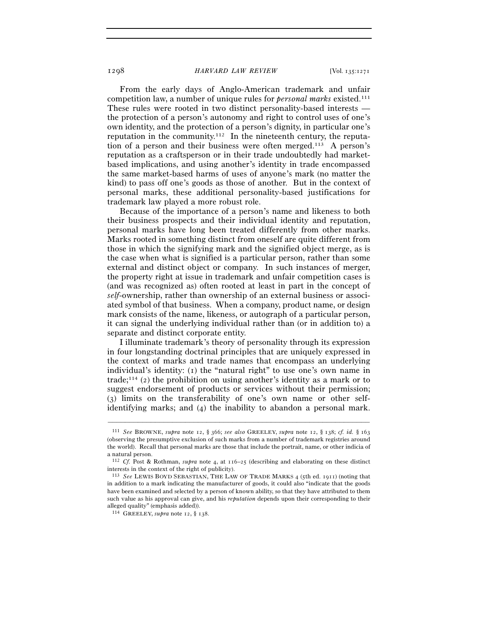From the early days of Anglo-American trademark and unfair competition law, a number of unique rules for *personal marks* existed.111 These rules were rooted in two distinct personality-based interests the protection of a person's autonomy and right to control uses of one's own identity, and the protection of a person's dignity, in particular one's reputation in the community.<sup>112</sup> In the nineteenth century, the reputation of a person and their business were often merged.113 A person's reputation as a craftsperson or in their trade undoubtedly had marketbased implications, and using another's identity in trade encompassed the same market-based harms of uses of anyone's mark (no matter the kind) to pass off one's goods as those of another. But in the context of personal marks, these additional personality-based justifications for trademark law played a more robust role.

Because of the importance of a person's name and likeness to both their business prospects and their individual identity and reputation, personal marks have long been treated differently from other marks. Marks rooted in something distinct from oneself are quite different from those in which the signifying mark and the signified object merge, as is the case when what is signified is a particular person, rather than some external and distinct object or company. In such instances of merger, the property right at issue in trademark and unfair competition cases is (and was recognized as) often rooted at least in part in the concept of *self*-ownership, rather than ownership of an external business or associated symbol of that business. When a company, product name, or design mark consists of the name, likeness, or autograph of a particular person, it can signal the underlying individual rather than (or in addition to) a separate and distinct corporate entity.

I illuminate trademark's theory of personality through its expression in four longstanding doctrinal principles that are uniquely expressed in the context of marks and trade names that encompass an underlying individual's identity: (1) the "natural right" to use one's own name in trade;114 (2) the prohibition on using another's identity as a mark or to suggest endorsement of products or services without their permission; (3) limits on the transferability of one's own name or other selfidentifying marks; and (4) the inability to abandon a personal mark.

<sup>111</sup> *See* BROWNE, *supra* note 12, § 366; *see also* GREELEY, *supra* note 12, § 138; *cf. id.* § 163 (observing the presumptive exclusion of such marks from a number of trademark registries around the world). Recall that personal marks are those that include the portrait, name, or other indicia of a natural person.

<sup>112</sup> *Cf.* Post & Rothman, *supra* note 4, at 116–25 (describing and elaborating on these distinct interests in the context of the right of publicity).

<sup>113</sup> *See* LEWIS BOYD SEBASTIAN, THE LAW OF TRADE MARKS 4 (5th ed. 1911) (noting that in addition to a mark indicating the manufacturer of goods, it could also "indicate that the goods have been examined and selected by a person of known ability, so that they have attributed to them such value as his approval can give, and his *reputation* depends upon their corresponding to their alleged quality" (emphasis added)).

<sup>114</sup> GREELEY, *supra* note 12, § 138.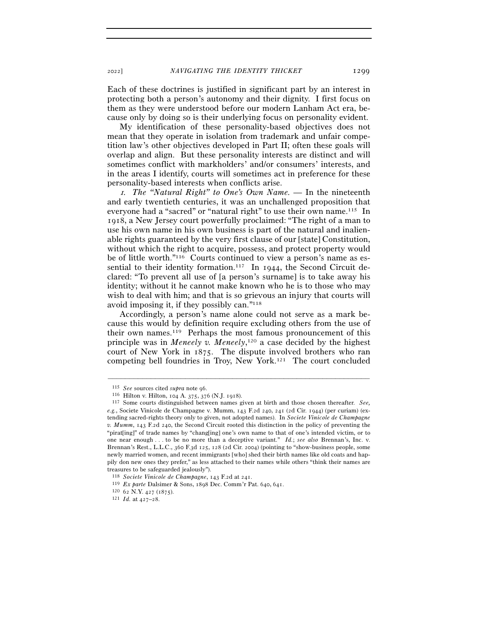<sup>2022</sup>] *NAVIGATING THE IDENTITY THICKET* 1299

Each of these doctrines is justified in significant part by an interest in protecting both a person's autonomy and their dignity. I first focus on them as they were understood before our modern Lanham Act era, because only by doing so is their underlying focus on personality evident.

My identification of these personality-based objectives does not mean that they operate in isolation from trademark and unfair competition law's other objectives developed in Part II; often these goals will overlap and align. But these personality interests are distinct and will sometimes conflict with markholders' and/or consumers' interests, and in the areas I identify, courts will sometimes act in preference for these personality-based interests when conflicts arise.

<sup>1</sup>*. The "Natural Right" to One's Own Name. —* In the nineteenth and early twentieth centuries, it was an unchallenged proposition that everyone had a "sacred" or "natural right" to use their own name.115 In 1918, a New Jersey court powerfully proclaimed: "The right of a man to use his own name in his own business is part of the natural and inalienable rights guaranteed by the very first clause of our [state] Constitution, without which the right to acquire, possess, and protect property would be of little worth."116 Courts continued to view a person's name as essential to their identity formation.<sup>117</sup> In 1944, the Second Circuit declared: "To prevent all use of [a person's surname] is to take away his identity; without it he cannot make known who he is to those who may wish to deal with him; and that is so grievous an injury that courts will avoid imposing it, if they possibly can."118

Accordingly, a person's name alone could not serve as a mark because this would by definition require excluding others from the use of their own names.119 Perhaps the most famous pronouncement of this principle was in *Meneely v. Meneely*, 120 a case decided by the highest court of New York in 1875. The dispute involved brothers who ran competing bell foundries in Troy, New York.121 The court concluded

<sup>115</sup> *See* sources cited *supra* note <sup>96</sup>. 116 Hilton v. Hilton, 104 A. 375, 376 (N.J. <sup>1918</sup>). 117 Some courts distinguished between names given at birth and those chosen thereafter. *See, e.g.*, Societe Vinicole de Champagne v. Mumm, 143 F.2d 240, 241 (2d Cir. 1944) (per curiam) (extending sacred-rights theory only to given, not adopted names). In *Societe Vinicole de Champagne v. Mumm*, 143 F.2d 240, the Second Circuit rooted this distinction in the policy of preventing the "pirat[ing]" of trade names by "chang[ing] one's own name to that of one's intended victim, or to one near enough . . . to be no more than a deceptive variant." *Id.*; *see also* Brennan's, Inc. v. Brennan's Rest., L.L.C., 360 F.3d 125, 128 (2d Cir. 2004) (pointing to "show-business people, some newly married women, and recent immigrants [who] shed their birth names like old coats and happily don new ones they prefer," as less attached to their names while others "think their names are treasures to be safeguarded jealously").

<sup>118</sup> *Societe Vinicole de Champagne*, 143 F.2d at <sup>241</sup>. 119 *Ex parte* Dalsimer & Sons, 1898 Dec. Comm'r Pat. 640, <sup>641</sup>. 120 <sup>62</sup> N.Y. 427 (1875). 121 *Id.* at 427–28.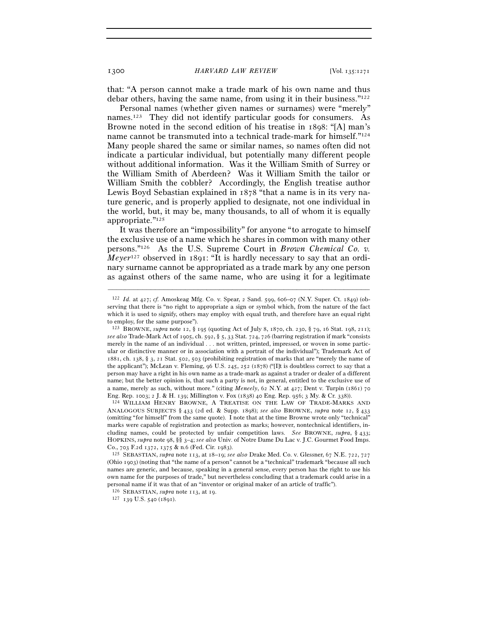that: "A person cannot make a trade mark of his own name and thus debar others, having the same name, from using it in their business.<sup>"122</sup>

Personal names (whether given names or surnames) were "merely" names.123 They did not identify particular goods for consumers. As Browne noted in the second edition of his treatise in 1898: "[A] man's name cannot be transmuted into a technical trade-mark for himself."<sup>124</sup> Many people shared the same or similar names, so names often did not indicate a particular individual, but potentially many different people without additional information. Was it the William Smith of Surrey or the William Smith of Aberdeen? Was it William Smith the tailor or William Smith the cobbler? Accordingly, the English treatise author Lewis Boyd Sebastian explained in 1878 "that a name is in its very nature generic, and is properly applied to designate, not one individual in the world, but, it may be, many thousands, to all of whom it is equally appropriate."125

It was therefore an "impossibility" for anyone "to arrogate to himself the exclusive use of a name which he shares in common with many other persons."126 As the U.S. Supreme Court in *Brown Chemical Co. v. Meyer*<sup>127</sup> observed in 1891: "It is hardly necessary to say that an ordinary surname cannot be appropriated as a trade mark by any one person as against others of the same name, who are using it for a legitimate

–––––––––––––––––––––––––––––––––––––––––––––––––––––––––––––

<sup>126</sup> SEBASTIAN, *supra* note 113, at <sup>19</sup>. 127 <sup>139</sup> U.S. 540 (1891).

<sup>122</sup> *Id.* at 427; *cf.* Amoskeag Mfg. Co. v. Spear, 2 Sand. 599, 606–07 (N.Y. Super. Ct. 1849) (observing that there is "no right to appropriate a sign or symbol which, from the nature of the fact which it is used to signify, others may employ with equal truth, and therefore have an equal right to employ, for the same purpose").

<sup>123</sup> BROWNE, *supra* note 12, § 195 (quoting Act of July 8, 1870, ch. 230, § 79, 16 Stat. 198, 211); *see also* Trade-Mark Act of 1905, ch. 592, § 5, 33 Stat. 724, 726 (barring registration if mark "consists merely in the name of an individual . . . not written, printed, impressed, or woven in some particular or distinctive manner or in association with a portrait of the individual"); Trademark Act of 1881, ch. 138, § 3, 21 Stat. 502, 503 (prohibiting registration of marks that are "merely the name of the applicant"); McLean v. Fleming, 96 U.S. 245, 252 (1878) ("[I]t is doubtless correct to say that a person may have a right in his own name as a trade-mark as against a trader or dealer of a different name; but the better opinion is, that such a party is not, in general, entitled to the exclusive use of a name, merely as such, without more." (citing *Meneely*, 62 N.Y. at 427; Dent v. Turpin (1861) 70 Eng. Rep. 1003; 2 J. & H. 139; Millington v. Fox (1838) 40 Eng. Rep. 956; 3 My. & Cr. 338)).  $124$  WILLIAM HENRY BROWNE, A TREATISE ON THE LAW OF TRADE-MARKS AND

ANALOGOUS SUBJECTS § 433 (2d ed. & Supp. 1898); *see also* BROWNE, *supra* note 12, § 433 (omitting "for himself" from the same quote). I note that at the time Browne wrote only "technical" marks were capable of registration and protection as marks; however, nontechnical identifiers, including names, could be protected by unfair competition laws. *See* BROWNE, *supra*, § 433; HOPKINS, *supra* note 98, §§ 3–4; *see also* Univ. of Notre Dame Du Lac v. J.C. Gourmet Food Imps. Co., 703 F.2d 1372, 1375 & n.6 (Fed. Cir. <sup>1983</sup>). 125 SEBASTIAN, *supra* note 113, at 18–19; *see also* Drake Med. Co. v. Glessner, 67 N.E. 722, <sup>727</sup>

<sup>(</sup>Ohio 1903) (noting that "the name of a person" cannot be a "technical" trademark "because all such names are generic, and because, speaking in a general sense, every person has the right to use his own name for the purposes of trade," but nevertheless concluding that a trademark could arise in a personal name if it was that of an "inventor or original maker of an article of traffic").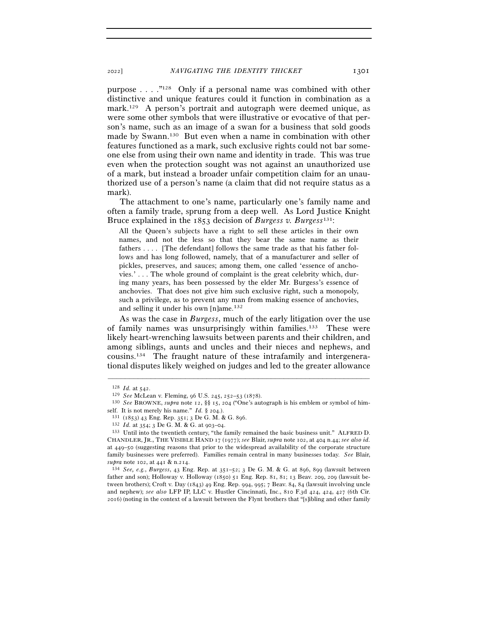purpose . . . ."128 Only if a personal name was combined with other distinctive and unique features could it function in combination as a mark.<sup>129</sup> A person's portrait and autograph were deemed unique, as were some other symbols that were illustrative or evocative of that person's name, such as an image of a swan for a business that sold goods made by Swann.130 But even when a name in combination with other features functioned as a mark, such exclusive rights could not bar someone else from using their own name and identity in trade. This was true even when the protection sought was not against an unauthorized use of a mark, but instead a broader unfair competition claim for an unauthorized use of a person's name (a claim that did not require status as a mark).

The attachment to one's name, particularly one's family name and often a family trade, sprung from a deep well. As Lord Justice Knight Bruce explained in the 1853 decision of *Burgess v. Burgess*131:

All the Queen's subjects have a right to sell these articles in their own names, and not the less so that they bear the same name as their fathers . . . . [The defendant] follows the same trade as that his father follows and has long followed, namely, that of a manufacturer and seller of pickles, preserves, and sauces; among them, one called 'essence of ancho $vies.' \ldots$  The whole ground of complaint is the great celebrity which, during many years, has been possessed by the elder Mr. Burgess's essence of anchovies. That does not give him such exclusive right, such a monopoly, such a privilege, as to prevent any man from making essence of anchovies, and selling it under his own [n]ame.132

As was the case in *Burgess*, much of the early litigation over the use of family names was unsurprisingly within families.133 These were likely heart-wrenching lawsuits between parents and their children, and among siblings, aunts and uncles and their nieces and nephews, and cousins.134 The fraught nature of these intrafamily and intergenerational disputes likely weighed on judges and led to the greater allowance

<sup>128</sup> *Id.* at <sup>542</sup>. 129 *See* McLean v. Fleming, 96 U.S. 245, 252–53 (<sup>1878</sup>). 130 *See* BROWNE, *supra* note 12, §§ 15, 204 ("One's autograph is his emblem or symbol of himself. It is not merely his name."  $Id$ . § 204.).<br><sup>131</sup> (1853) 43 Eng. Rep. 351; 3 De G. M. & G. 896.<br><sup>132</sup> Id. at 354; 3 De G. M. & G. at 903–04.<br><sup>132</sup> Id. at 354; 3 De G. M. & G. at 903–04.<br><sup>133</sup> Until into the twentieth

CHANDLER, JR., THE VISIBLE HAND 17 (1977); *see* Blair, *supra* note 102, at 404 n.44; *see also id.* at 449–50 (suggesting reasons that prior to the widespread availability of the corporate structure family businesses were preferred). Families remain central in many businesses today. *See* Blair, *supra* note 102, at 441 & n.<sup>214</sup>. 134 *See, e.g.*, *Burgess*, 43 Eng. Rep. at 351–52; 3 De G. M. & G. at 896, 899 (lawsuit between

father and son); Holloway v. Holloway (1850) 51 Eng. Rep. 81, 81; 13 Beav. 209, 209 (lawsuit between brothers); Croft v. Day (1843) 49 Eng. Rep. 994, 995; 7 Beav. 84, 84 (lawsuit involving uncle and nephew); *see also* LFP IP, LLC v. Hustler Cincinnati, Inc., 810 F.3d 424, 424, 427 (6th Cir. 2016) (noting in the context of a lawsuit between the Flynt brothers that "[s]ibling and other family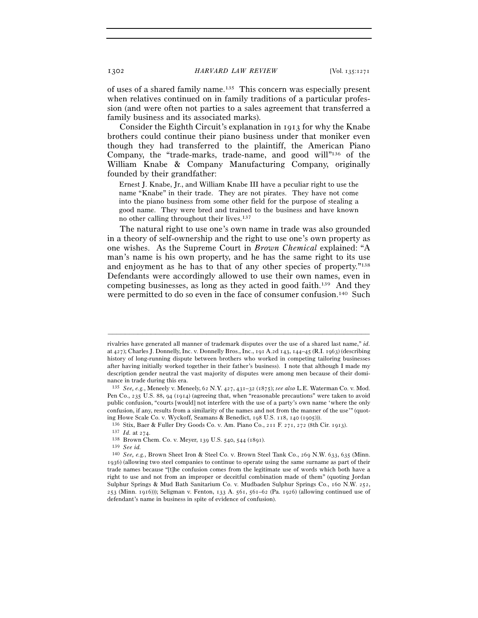of uses of a shared family name.135 This concern was especially present when relatives continued on in family traditions of a particular profession (and were often not parties to a sales agreement that transferred a family business and its associated marks).

Consider the Eighth Circuit's explanation in 1913 for why the Knabe brothers could continue their piano business under that moniker even though they had transferred to the plaintiff, the American Piano Company, the "trade-marks, trade-name, and good will"136 of the William Knabe & Company Manufacturing Company, originally founded by their grandfather:

Ernest J. Knabe, Jr., and William Knabe III have a peculiar right to use the name "Knabe" in their trade. They are not pirates. They have not come into the piano business from some other field for the purpose of stealing a good name. They were bred and trained to the business and have known no other calling throughout their lives.137

The natural right to use one's own name in trade was also grounded in a theory of self-ownership and the right to use one's own property as one wishes. As the Supreme Court in *Brown Chemical* explained: "A man's name is his own property, and he has the same right to its use and enjoyment as he has to that of any other species of property."138 Defendants were accordingly allowed to use their own names, even in competing businesses, as long as they acted in good faith.139 And they were permitted to do so even in the face of consumer confusion.140 Such

rivalries have generated all manner of trademark disputes over the use of a shared last name," *id.* at 427); Charles J. Donnelly, Inc. v. Donnelly Bros., Inc., 191 A.2d 143, 144–45 (R.I. 1963) (describing history of long-running dispute between brothers who worked in competing tailoring businesses after having initially worked together in their father's business). I note that although I made my description gender neutral the vast majority of disputes were among men because of their dominance in trade during this era.

<sup>135</sup> *See, e.g.*, Meneely v. Meneely, 62 N.Y. 427, 431–32 (1875); *see also* L.E. Waterman Co. v. Mod. Pen Co., 235 U.S. 88, 94 (1914) (agreeing that, when "reasonable precautions" were taken to avoid public confusion, "courts [would] not interfere with the use of a party's own name 'where the only confusion, if any, results from a similarity of the names and not from the manner of the use'" (quoting Howe Scale Co. v. Wyckoff, Seamans & Benedict, 198 U.S. 118, 140 (1905))).<br>
<sup>136</sup> Stix, Baer & Fuller Dry Goods Co. v. Am. Piano Co., 211 F. 271, 272 (8th Cir. 1913).<br>
<sup>137</sup> *Id.* at 274.<br>
<sup>138</sup> Brown Chem. Co. v. Mey

<sup>140</sup> *See, e.g.*, Brown Sheet Iron & Steel Co. v. Brown Steel Tank Co., 269 N.W. 633, 635 (Minn. 1936) (allowing two steel companies to continue to operate using the same surname as part of their trade names because "[t]he confusion comes from the legitimate use of words which both have a right to use and not from an improper or deceitful combination made of them" (quoting Jordan Sulphur Springs & Mud Bath Sanitarium Co. v. Mudbaden Sulphur Springs Co., 160 N.W. 252, 253 (Minn. 1916))); Seligman v. Fenton, 133 A. 561, 561–62 (Pa. 1926) (allowing continued use of defendant's name in business in spite of evidence of confusion).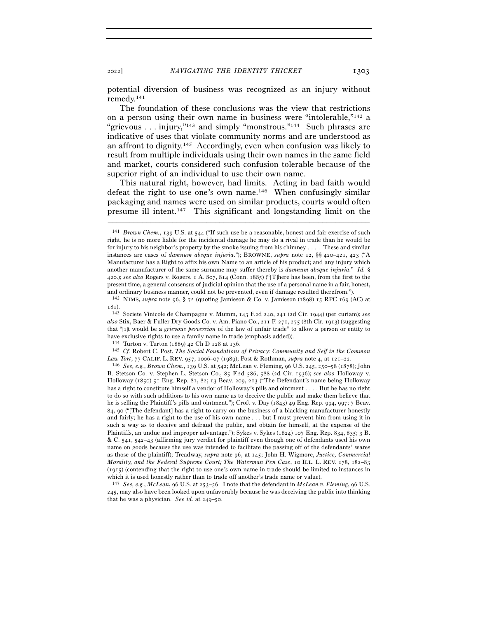potential diversion of business was recognized as an injury without remedy.141

The foundation of these conclusions was the view that restrictions on a person using their own name in business were "intolerable,"142 a "grievous . . . injury,"143 and simply "monstrous."144 Such phrases are indicative of uses that violate community norms and are understood as an affront to dignity.145 Accordingly, even when confusion was likely to result from multiple individuals using their own names in the same field and market, courts considered such confusion tolerable because of the superior right of an individual to use their own name.

This natural right, however, had limits. Acting in bad faith would defeat the right to use one's own name.146 When confusingly similar packaging and names were used on similar products, courts would often presume ill intent.147 This significant and longstanding limit on the

<sup>141</sup> *Brown Chem.*, 139 U.S. at 544 ("If such use be a reasonable, honest and fair exercise of such right, he is no more liable for the incidental damage he may do a rival in trade than he would be for injury to his neighbor's property by the smoke issuing from his chimney . . . . These and similar instances are cases of *damnum absque injuria*."); BROWNE, *supra* note 12, §§ 420–421, 423 ("A Manufacturer has a Right to affix his own Name to an article of his product; and any injury which another manufacturer of the same surname may suffer thereby is *damnum absque injuria*." *Id.* § 420.); *see also* Rogers v. Rogers, 1 A. 807, 814 (Conn. 1885) ("[T]here has been, from the first to the present time, a general consensus of judicial opinion that the use of a personal name in a fair, honest, and ordinary business manner, could not be prevented, even if damage resulted therefrom."). 142 NIMS, *supra* note 96, § 72 (quoting Jamieson & Co. v. Jamieson (1898) 15 RPC 169 (AC) at

<sup>181</sup>).

<sup>143</sup> Societe Vinicole de Champagne v. Mumm, 143 F.2d 240, 241 (2d Cir. 1944) (per curiam); *see also* Stix, Baer & Fuller Dry Goods Co. v. Am. Piano Co., 211 F. 271, 275 (8th Cir. 1913) (suggesting that "[i]t would be a *grievous perversion* of the law of unfair trade" to allow a person or entity to have exclusive rights to use a family name in trade (emphasis added)).

<sup>144</sup> Turton v. Turton (1889) 42 Ch D 128 at <sup>136</sup>. 145 *Cf.* Robert C. Post, *The Social Foundations of Privacy: Community and Self in the Common* 

*Law Tort*, 77 CALIF. L. REV. 957, 1006–07 (1989); Post & Rothman, *supra* note 4, at 121–<sup>22</sup>. 146 *See, e.g.*, *Brown Chem.*, 139 U.S. at 542; McLean v. Fleming, 96 U.S. 245, 250–58 (1878); John B. Stetson Co. v. Stephen L. Stetson Co., 85 F.2d 586, 588 (2d Cir. 1936); *see also* Holloway v. Holloway (1850) 51 Eng. Rep. 81, 82; 13 Beav. 209, 213 ("The Defendant's name being Holloway has a right to constitute himself a vendor of Holloway's pills and ointment . . . . But he has no right to do so with such additions to his own name as to deceive the public and make them believe that he is selling the Plaintiff's pills and ointment."); Croft v. Day (1843) 49 Eng. Rep. 994, 997; 7 Beav. 84, 90 ("[The defendant] has a right to carry on the business of a blacking manufacturer honestly and fairly; he has a right to the use of his own name . . . but I must prevent him from using it in such a way as to deceive and defraud the public, and obtain for himself, at the expense of the Plaintiffs, an undue and improper advantage."); Sykes v. Sykes (1824) 107 Eng. Rep. 834, 835; 3 B. & C. 541, 542–43 (affirming jury verdict for plaintiff even though one of defendants used his own name on goods because the use was intended to facilitate the passing off of the defendants' wares as those of the plaintiff); Treadway, *supra* note 96, at 145; John H. Wigmore, *Justice, Commercial Morality, and the Federal Supreme Court; The Waterman Pen Case*, 10 ILL. L. REV. 178, 182–83 (1915) (contending that the right to use one's own name in trade should be limited to instances in which it is used honestly rather than to trade off another's trade name or value).

<sup>147</sup> *See, e.g.*, *McLean*, 96 U.S. at 253–56. I note that the defendant in *McLean v. Fleming*, 96 U.S. 245, may also have been looked upon unfavorably because he was deceiving the public into thinking that he was a physician. *See id.* at 249–50.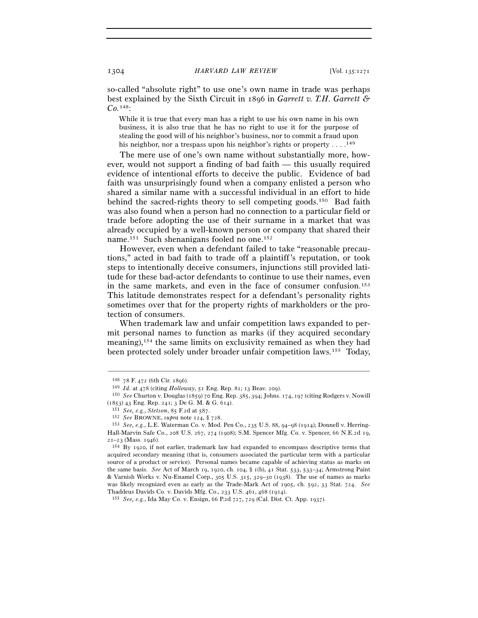so-called "absolute right" to use one's own name in trade was perhaps best explained by the Sixth Circuit in 1896 in *Garrett v. T.H. Garrett & Co.*148:

While it is true that every man has a right to use his own name in his own business, it is also true that he has no right to use it for the purpose of stealing the good will of his neighbor's business, nor to commit a fraud upon his neighbor, nor a trespass upon his neighbor's rights or property  $\dots$ .<sup>149</sup>

The mere use of one's own name without substantially more, however, would not support a finding of bad faith — this usually required evidence of intentional efforts to deceive the public. Evidence of bad faith was unsurprisingly found when a company enlisted a person who shared a similar name with a successful individual in an effort to hide behind the sacred-rights theory to sell competing goods.150 Bad faith was also found when a person had no connection to a particular field or trade before adopting the use of their surname in a market that was already occupied by a well-known person or company that shared their name.151 Such shenanigans fooled no one.152

However, even when a defendant failed to take "reasonable precautions," acted in bad faith to trade off a plaintiff's reputation, or took steps to intentionally deceive consumers, injunctions still provided latitude for these bad-actor defendants to continue to use their names, even in the same markets, and even in the face of consumer confusion.153 This latitude demonstrates respect for a defendant's personality rights sometimes over that for the property rights of markholders or the protection of consumers.

When trademark law and unfair competition laws expanded to permit personal names to function as marks (if they acquired secondary meaning),154 the same limits on exclusivity remained as when they had been protected solely under broader unfair competition laws.155 Today,

<sup>148</sup> <sup>78</sup> F. 472 (6th Cir. <sup>1896</sup>). 149 *Id.* at 478 (citing *Holloway*, 51 Eng. Rep. 81; 13 Beav. <sup>209</sup>). 150 *See* Churton v. Douglas (1859) 70 Eng. Rep. 385, 394; Johns. 174, 197 (citing Rodgers v. Nowill (1853) 43 Eng. Rep. 241; 3 De G. M. & G. 614).<br>
<sup>151</sup> See, e.g., Stetson, 85 F.2d at 587.<br>
<sup>152</sup> See BROWNE, supra note 124, § 728.<br>
<sup>152</sup> See, e.g., L.E. Waterman Co. v. Mod. Pen Co., 235 U.S. 88, 94–98 (1914); Donnell v

Hall-Marvin Safe Co., 208 U.S. 267, 274 (1908); S.M. Spencer Mfg. Co. v. Spencer, 66 N.E.2d 19,  $2I-23$  (Mass. 1946).<br><sup>154</sup> By 1920, if not earlier, trademark law had expanded to encompass descriptive terms that

acquired secondary meaning (that is, consumers associated the particular term with a particular source of a product or service). Personal names became capable of achieving status as marks on the same basis. *See* Act of March 19, 1920, ch. 104, § 1(b), 41 Stat. 533, 533–34; Armstrong Paint & Varnish Works v. Nu-Enamel Corp., 305 U.S. 315, 329–30 (1938). The use of names as marks was likely recognized even as early as the Trade-Mark Act of 1905, ch. 592, 33 Stat. 724. *See* Thaddeus Davids Co. v. Davids Mfg. Co., 233 U.S. 461, 468 (<sup>1914</sup>). 155 *See, e.g.*, Ida May Co. v. Ensign, 66 P.2d 727, 729 (Cal. Dist. Ct. App. 1937).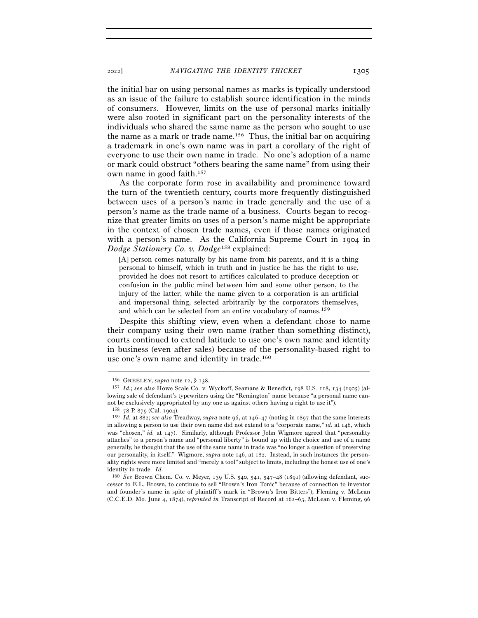the initial bar on using personal names as marks is typically understood as an issue of the failure to establish source identification in the minds of consumers. However, limits on the use of personal marks initially were also rooted in significant part on the personality interests of the individuals who shared the same name as the person who sought to use the name as a mark or trade name.<sup>156</sup> Thus, the initial bar on acquiring a trademark in one's own name was in part a corollary of the right of everyone to use their own name in trade. No one's adoption of a name or mark could obstruct "others bearing the same name" from using their own name in good faith.157

As the corporate form rose in availability and prominence toward the turn of the twentieth century, courts more frequently distinguished between uses of a person's name in trade generally and the use of a person's name as the trade name of a business. Courts began to recognize that greater limits on uses of a person's name might be appropriate in the context of chosen trade names, even if those names originated with a person's name. As the California Supreme Court in 1904 in *Dodge Stationery Co. v. Dodge*158 explained:

[A] person comes naturally by his name from his parents, and it is a thing personal to himself, which in truth and in justice he has the right to use, provided he does not resort to artifices calculated to produce deception or confusion in the public mind between him and some other person, to the injury of the latter; while the name given to a corporation is an artificial and impersonal thing, selected arbitrarily by the corporators themselves, and which can be selected from an entire vocabulary of names.<sup>159</sup>

Despite this shifting view, even when a defendant chose to name their company using their own name (rather than something distinct), courts continued to extend latitude to use one's own name and identity in business (even after sales) because of the personality-based right to use one's own name and identity in trade.160

<sup>156</sup> GREELEY, *supra* note 12, § <sup>138</sup>. 157 *Id.*; *see also* Howe Scale Co. v. Wyckoff, Seamans & Benedict, 198 U.S. 118, 134 (1905) (allowing sale of defendant's typewriters using the "Remington" name because "a personal name cannot be exclusively appropriated by any one as against others having a right to use it"). <sup>158</sup> 78 P. 879 (Cal. 1904).

<sup>159</sup> *Id.* at 882; *see also* Treadway, *supra* note 96, at 146–47 (noting in 1897 that the same interests in allowing a person to use their own name did not extend to a "corporate name," *id.* at 146, which was "chosen," *id.* at 147). Similarly, although Professor John Wigmore agreed that "personality attaches" to a person's name and "personal liberty" is bound up with the choice and use of a name generally, he thought that the use of the same name in trade was "no longer a question of preserving our personality, in itself." Wigmore, *supra* note 146, at 182. Instead, in such instances the personality rights were more limited and "merely a tool" subject to limits, including the honest use of one's identity in trade. *Id.*

<sup>160</sup> *See* Brown Chem. Co. v. Meyer, 139 U.S. 540, 541, 547–48 (1891) (allowing defendant, successor to E.L. Brown, to continue to sell "Brown's Iron Tonic" because of connection to inventor and founder's name in spite of plaintiff's mark in "Brown's Iron Bitters"); Fleming v. McLean (C.C.E.D. Mo. June 4, 1874), *reprinted in* Transcript of Record at 162–63, McLean v. Fleming, 96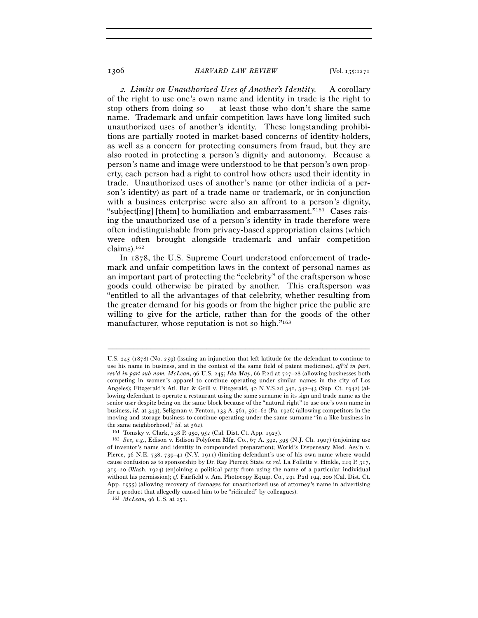<sup>2</sup>*. Limits on Unauthorized Uses of Another's Identity. —* A corollary of the right to use one's own name and identity in trade is the right to stop others from doing so — at least those who don't share the same name. Trademark and unfair competition laws have long limited such unauthorized uses of another's identity. These longstanding prohibitions are partially rooted in market-based concerns of identity-holders, as well as a concern for protecting consumers from fraud, but they are also rooted in protecting a person's dignity and autonomy. Because a person's name and image were understood to be that person's own property, each person had a right to control how others used their identity in trade. Unauthorized uses of another's name (or other indicia of a person's identity) as part of a trade name or trademark, or in conjunction with a business enterprise were also an affront to a person's dignity, "subject[ing] [them] to humiliation and embarrassment."161 Cases raising the unauthorized use of a person's identity in trade therefore were often indistinguishable from privacy-based appropriation claims (which were often brought alongside trademark and unfair competition claims).162

In 1878, the U.S. Supreme Court understood enforcement of trademark and unfair competition laws in the context of personal names as an important part of protecting the "celebrity" of the craftsperson whose goods could otherwise be pirated by another. This craftsperson was "entitled to all the advantages of that celebrity, whether resulting from the greater demand for his goods or from the higher price the public are willing to give for the article, rather than for the goods of the other manufacturer, whose reputation is not so high."163

U.S. 245 (1878) (No. 259) (issuing an injunction that left latitude for the defendant to continue to use his name in business, and in the context of the same field of patent medicines), *aff'd in part, rev'd in part sub nom. McLean*, 96 U.S. 245; *Ida May*, 66 P.2d at 727–28 (allowing businesses both competing in women's apparel to continue operating under similar names in the city of Los Angeles); Fitzgerald's Atl. Bar & Grill v. Fitzgerald, 40 N.Y.S.2d 341, 342–43 (Sup. Ct. 1942) (allowing defendant to operate a restaurant using the same surname in its sign and trade name as the senior user despite being on the same block because of the "natural right" to use one's own name in business, *id.* at 343); Seligman v. Fenton, 133 A. 561, 561–62 (Pa. 1926) (allowing competitors in the moving and storage business to continue operating under the same surname "in a like business in the same neighborhood,"  $id$ . at  $562$ ).

<sup>&</sup>lt;sup>161</sup> Tomsky v. Clark, 238 P. 950, 952 (Cal. Dist. Ct. App. 1925). <sup>162</sup> *See, e.g.*, Edison v. Edison Polyform Mfg. Co., 67 A. 392, 395 (N.J. Ch. 1907) (enjoining use of inventor's name and identity in compounded preparation); World's Dispensary Med. Ass'n v. Pierce, 96 N.E. 738, 739–41 (N.Y. 1911) (limiting defendant's use of his own name where would cause confusion as to sponsorship by Dr. Ray Pierce); State *ex rel.* La Follette v. Hinkle, 229 P. 317, 319–20 (Wash. 1924) (enjoining a political party from using the name of a particular individual without his permission); *cf.* Fairfield v. Am. Photocopy Equip. Co., 291 P.2d 194, 200 (Cal. Dist. Ct. App. 1955) (allowing recovery of damages for unauthorized use of attorney's name in advertising for a product that allegedly caused him to be "ridiculed" by colleagues).

<sup>163</sup> *McLean*, 96 U.S. at 251.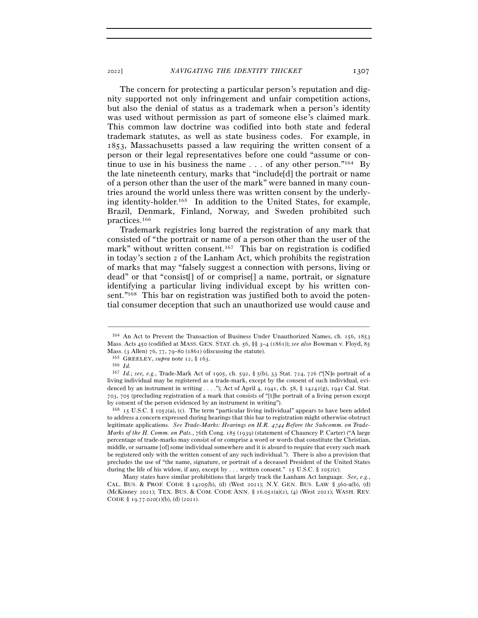The concern for protecting a particular person's reputation and dignity supported not only infringement and unfair competition actions, but also the denial of status as a trademark when a person's identity was used without permission as part of someone else's claimed mark. This common law doctrine was codified into both state and federal trademark statutes, as well as state business codes. For example, in 1853, Massachusetts passed a law requiring the written consent of a person or their legal representatives before one could "assume or continue to use in his business the name  $\ldots$  of any other person."<sup>164</sup> By the late nineteenth century, marks that "include[d] the portrait or name of a person other than the user of the mark" were banned in many countries around the world unless there was written consent by the underlying identity-holder.165 In addition to the United States, for example, Brazil, Denmark, Finland, Norway, and Sweden prohibited such practices.166

Trademark registries long barred the registration of any mark that consisted of "the portrait or name of a person other than the user of the mark" without written consent.<sup>167</sup> This bar on registration is codified in today's section 2 of the Lanham Act, which prohibits the registration of marks that may "falsely suggest a connection with persons, living or dead" or that "consist[] of or comprise[] a name, portrait, or signature identifying a particular living individual except by his written consent."<sup>168</sup> This bar on registration was justified both to avoid the potential consumer deception that such an unauthorized use would cause and

<sup>164</sup> An Act to Prevent the Transaction of Business Under Unauthorized Names, ch. 156, 1853 Mass. Acts 450 (codified at MASS. GEN. STAT. ch. 56, §§ 3–4 (1861)); *see also* Bowman v. Floyd, 85 Mass. (3 Allen) 76, 77, 79–80 (<sup>1861</sup>) (discussing the statute). 165 GREELEY, *supra* note 12, § <sup>163</sup>. 166 *Id.*

<sup>167</sup> *Id.*; *see, e.g.*, Trade-Mark Act of 1905, ch. 592, § 5(b), 33 Stat. 724, 726 ("[N]o portrait of a living individual may be registered as a trade-mark, except by the consent of such individual, evidenced by an instrument in writing . . . ."); Act of April 4, 1941, ch. 58, § 14242(g), 1941 Cal. Stat. 703, 705 (precluding registration of a mark that consists of "[t]he portrait of a living person except by consent of the person evidenced by an instrument in writing").

<sup>168</sup> 15 U.S.C. § 1052(a), (c). The term "particular living individual" appears to have been added to address a concern expressed during hearings that this bar to registration might otherwise obstruct legitimate applications. See Trade-Marks: Hearings on H.R. 4744 Before the Subcomm. on Trade-*Marks of the H. Comm. on Pats.*, 76th Cong. 185 (1939) (statement of Chauncey P. Carter) ("A large percentage of trade-marks may consist of or comprise a word or words that constitute the Christian, middle, or surname [of] some individual somewhere and it is absurd to require that every such mark be registered only with the written consent of any such individual."). There is also a provision that precludes the use of "the name, signature, or portrait of a deceased President of the United States during the life of his widow, if any, except by ... written consent." 15 U.S.C.  $\S$  1052(c).

Many states have similar prohibitions that largely track the Lanham Act language. *See, e.g.*, CAL. BUS. & PROF. CODE § 14205(b), (d) (West 2021); N.Y. GEN. BUS. LAW § 360-a(b), (d) (McKinney 2021); TEX. BUS. & COM. CODE ANN. § 16.051(a)(2), (4) (West 2021); WASH. REV. CODE  $\S$  19.77.020(1)(b), (d) (2021).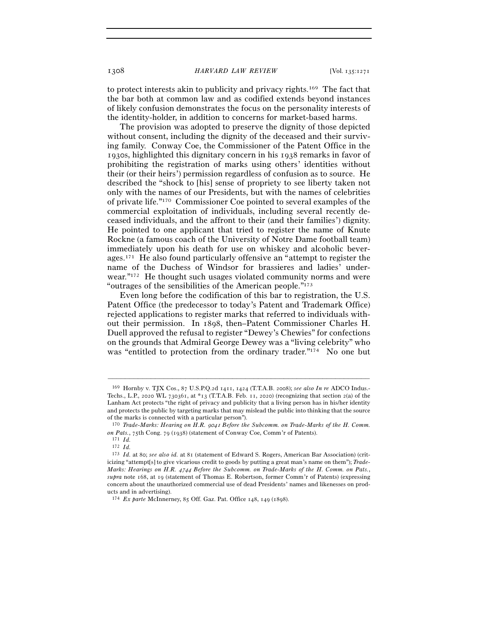to protect interests akin to publicity and privacy rights.169 The fact that the bar both at common law and as codified extends beyond instances of likely confusion demonstrates the focus on the personality interests of the identity-holder, in addition to concerns for market-based harms.

The provision was adopted to preserve the dignity of those depicted without consent, including the dignity of the deceased and their surviving family. Conway Coe, the Commissioner of the Patent Office in the 1930s, highlighted this dignitary concern in his 1938 remarks in favor of prohibiting the registration of marks using others' identities without their (or their heirs') permission regardless of confusion as to source. He described the "shock to [his] sense of propriety to see liberty taken not only with the names of our Presidents, but with the names of celebrities of private life."170 Commissioner Coe pointed to several examples of the commercial exploitation of individuals, including several recently deceased individuals, and the affront to their (and their families') dignity. He pointed to one applicant that tried to register the name of Knute Rockne (a famous coach of the University of Notre Dame football team) immediately upon his death for use on whiskey and alcoholic beverages.171 He also found particularly offensive an "attempt to register the name of the Duchess of Windsor for brassieres and ladies' underwear."172 He thought such usages violated community norms and were "outrages of the sensibilities of the American people."173

Even long before the codification of this bar to registration, the U.S. Patent Office (the predecessor to today's Patent and Trademark Office) rejected applications to register marks that referred to individuals without their permission. In 1898, then–Patent Commissioner Charles H. Duell approved the refusal to register "Dewey's Chewies" for confections on the grounds that Admiral George Dewey was a "living celebrity" who was "entitled to protection from the ordinary trader."<sup>174</sup> No one but

<sup>169</sup> Hornby v. TJX Cos., 87 U.S.P.Q.2d 1411, 1424 (T.T.A.B. 2008); *see also In re* ADCO Indus.- Techs., L.P., 2020 WL 730361, at  $*_13$  (T.T.A.B. Feb. 11, 2020) (recognizing that section 2(a) of the Lanham Act protects "the right of privacy and publicity that a living person has in his/her identity and protects the public by targeting marks that may mislead the public into thinking that the source of the marks is connected with a particular person").

<sup>170</sup> *Trade-Marks: Hearing on H.R.* 9041 *Before the Subcomm. on Trade-Marks of the H. Comm. on Pats.*, 75th Cong. 79 (<sup>1938</sup>) (statement of Conway Coe, Comm'r of Patents). 171 *Id.*

<sup>172</sup> *Id.*

<sup>173</sup> *Id.* at 80; *see also id.* at 81 (statement of Edward S. Rogers, American Bar Association) (criticizing "attempt[s] to give vicarious credit to goods by putting a great man's name on them"); *Trade-Marks: Hearings on H.R.* 4744 *Before the Subcomm. on Trade-Marks of the H. Comm. on Pats.*, *supra* note 168, at 19 (statement of Thomas E. Robertson, former Comm'r of Patents) (expressing concern about the unauthorized commercial use of dead Presidents' names and likenesses on products and in advertising).

<sup>174</sup> *Ex parte* McInnerney, 85 Off. Gaz. Pat. Office 148, 149 (1898).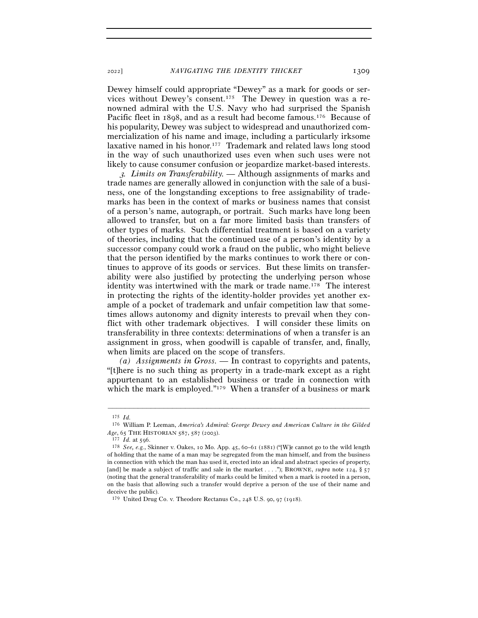<sup>2022</sup>] *NAVIGATING THE IDENTITY THICKET* 1309

Dewey himself could appropriate "Dewey" as a mark for goods or services without Dewey's consent.175 The Dewey in question was a renowned admiral with the U.S. Navy who had surprised the Spanish Pacific fleet in 1898, and as a result had become famous.<sup>176</sup> Because of his popularity, Dewey was subject to widespread and unauthorized commercialization of his name and image, including a particularly irksome laxative named in his honor.177 Trademark and related laws long stood in the way of such unauthorized uses even when such uses were not likely to cause consumer confusion or jeopardize market-based interests.

<sup>3</sup>*. Limits on Transferability. —* Although assignments of marks and trade names are generally allowed in conjunction with the sale of a business, one of the longstanding exceptions to free assignability of trademarks has been in the context of marks or business names that consist of a person's name, autograph, or portrait. Such marks have long been allowed to transfer, but on a far more limited basis than transfers of other types of marks. Such differential treatment is based on a variety of theories, including that the continued use of a person's identity by a successor company could work a fraud on the public, who might believe that the person identified by the marks continues to work there or continues to approve of its goods or services. But these limits on transferability were also justified by protecting the underlying person whose identity was intertwined with the mark or trade name.178 The interest in protecting the rights of the identity-holder provides yet another example of a pocket of trademark and unfair competition law that sometimes allows autonomy and dignity interests to prevail when they conflict with other trademark objectives. I will consider these limits on transferability in three contexts: determinations of when a transfer is an assignment in gross, when goodwill is capable of transfer, and, finally, when limits are placed on the scope of transfers.

*(a) Assignments in Gross. —* In contrast to copyrights and patents, "[t]here is no such thing as property in a trade-mark except as a right appurtenant to an established business or trade in connection with which the mark is employed."<sup>179</sup> When a transfer of a business or mark

<sup>175</sup> *Id.* 176 William P. Leeman, *America's Admiral: George Dewey and American Culture in the Gilded* 

*Age*, 65 THE HISTORIAN <sup>587</sup>, 587 (<sup>2003</sup>). 177 *Id.* at <sup>596</sup>. 178 *See, e.g.*, Skinner v. Oakes, 10 Mo. App. 45, 60–61 (1881) ("[W]e cannot go to the wild length of holding that the name of a man may be segregated from the man himself, and from the business in connection with which the man has used it, erected into an ideal and abstract species of property, [and] be made a subject of traffic and sale in the market . . . ."); BROWNE, *supra* note 124, § 57 (noting that the general transferability of marks could be limited when a mark is rooted in a person, on the basis that allowing such a transfer would deprive a person of the use of their name and deceive the public).

<sup>179</sup> United Drug Co. v. Theodore Rectanus Co., 248 U.S. 90, 97 (1918).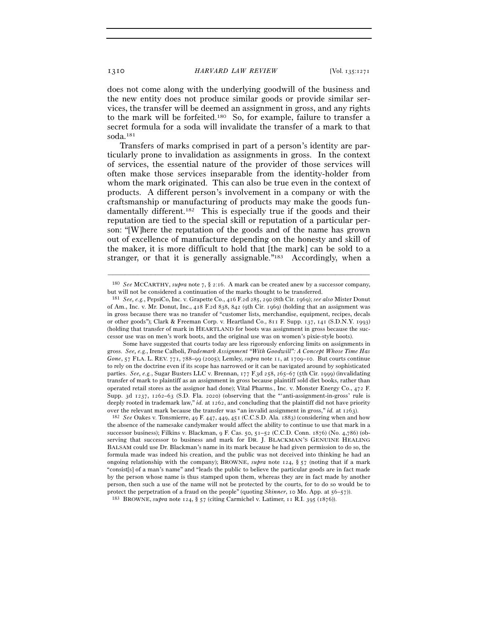does not come along with the underlying goodwill of the business and the new entity does not produce similar goods or provide similar services, the transfer will be deemed an assignment in gross, and any rights to the mark will be forfeited.180 So, for example, failure to transfer a secret formula for a soda will invalidate the transfer of a mark to that soda.181

Transfers of marks comprised in part of a person's identity are particularly prone to invalidation as assignments in gross. In the context of services, the essential nature of the provider of those services will often make those services inseparable from the identity-holder from whom the mark originated. This can also be true even in the context of products. A different person's involvement in a company or with the craftsmanship or manufacturing of products may make the goods fundamentally different.182 This is especially true if the goods and their reputation are tied to the special skill or reputation of a particular person: "[W]here the reputation of the goods and of the name has grown out of excellence of manufacture depending on the honesty and skill of the maker, it is more difficult to hold that [the mark] can be sold to a stranger, or that it is generally assignable."<sup>183</sup> Accordingly, when a

<sup>–––––––––––––––––––––––––––––––––––––––––––––––––––––––––––––</sup> <sup>180</sup> *See* MCCARTHY, *supra* note 7, § 2:16. A mark can be created anew by a successor company, but will not be considered a continuation of the marks thought to be transferred.

<sup>181</sup> *See, e.g.*, PepsiCo, Inc. v. Grapette Co., 416 F.2d 285, 290 (8th Cir. 1969); *see also* Mister Donut of Am., Inc. v. Mr. Donut, Inc., 418 F.2d 838, 842 (9th Cir. 1969) (holding that an assignment was in gross because there was no transfer of "customer lists, merchandise, equipment, recipes, decals or other goods"); Clark & Freeman Corp. v. Heartland Co., 811 F. Supp. 137, 141 (S.D.N.Y. 1993) (holding that transfer of mark in HEARTLAND for boots was assignment in gross because the successor use was on men's work boots, and the original use was on women's pixie-style boots).

Some have suggested that courts today are less rigorously enforcing limits on assignments in gross. *See, e.g.*, Irene Calboli, *Trademark Assignment "With Goodwill": A Concept Whose Time Has Gone*, 57 FLA. L. REV. 771, 788–99 (2005); Lemley, *supra* note 11, at 1709–10. But courts continue to rely on the doctrine even if its scope has narrowed or it can be navigated around by sophisticated parties. *See, e.g.*, Sugar Busters LLC v. Brennan, 177 F.3d 258, 265–67 (5th Cir. 1999) (invalidating transfer of mark to plaintiff as an assignment in gross because plaintiff sold diet books, rather than operated retail stores as the assignor had done); Vital Pharms., Inc. v. Monster Energy Co., 472 F. Supp. 3d 1237, 1262–63 (S.D. Fla. 2020) (observing that the "'anti-assignment-in-gross' rule is deeply rooted in trademark law," *id.* at 1262, and concluding that the plaintiff did not have priority over the relevant mark because the transfer was "an invalid assignment in gross," *id.* at <sup>1263</sup>). 182 *See* Oakes v. Tonsmierre, 49 F. 447, 449, 451 (C.C.S.D. Ala. 1883) (considering when and how

the absence of the namesake candymaker would affect the ability to continue to use that mark in a successor business); Filkins v. Blackman, 9 F. Cas. 50, 51–52 (C.C.D. Conn. 1876) (No. 4,786) (observing that successor to business and mark for DR. J. BLACKMAN'S GENUINE HEALING BALSAM could use Dr. Blackman's name in its mark because he had given permission to do so, the formula made was indeed his creation, and the public was not deceived into thinking he had an ongoing relationship with the company); BROWNE, *supra* note 124, § 57 (noting that if a mark "consist[s] of a man's name" and "leads the public to believe the particular goods are in fact made by the person whose name is thus stamped upon them, whereas they are in fact made by another person, then such a use of the name will not be protected by the courts, for to do so would be to protect the perpetration of a fraud on the people" (quoting *Skinner*, 10 Mo. App. at 56–57)).<br><sup>183</sup> BROWNE, *supra* note 124, § 57 (citing Carmichel v. Latimer, 11 R.I. 395 (1876)).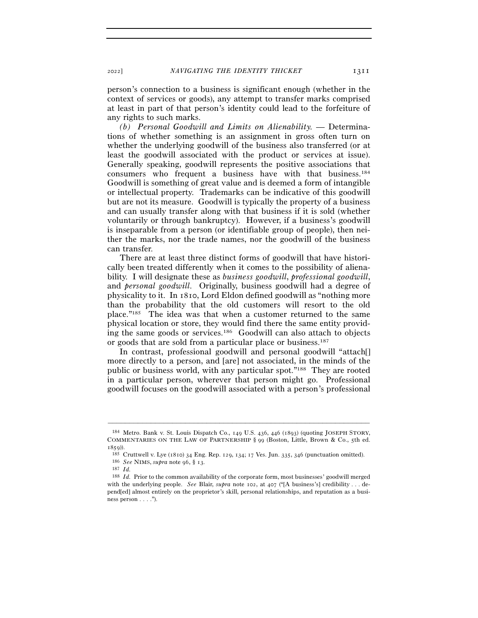person's connection to a business is significant enough (whether in the context of services or goods), any attempt to transfer marks comprised at least in part of that person's identity could lead to the forfeiture of any rights to such marks.

*(b) Personal Goodwill and Limits on Alienability. —* Determinations of whether something is an assignment in gross often turn on whether the underlying goodwill of the business also transferred (or at least the goodwill associated with the product or services at issue). Generally speaking, goodwill represents the positive associations that consumers who frequent a business have with that business.184 Goodwill is something of great value and is deemed a form of intangible or intellectual property. Trademarks can be indicative of this goodwill but are not its measure. Goodwill is typically the property of a business and can usually transfer along with that business if it is sold (whether voluntarily or through bankruptcy). However, if a business's goodwill is inseparable from a person (or identifiable group of people), then neither the marks, nor the trade names, nor the goodwill of the business can transfer.

There are at least three distinct forms of goodwill that have historically been treated differently when it comes to the possibility of alienability. I will designate these as *business goodwill*, *professional goodwill*, and *personal goodwill*. Originally, business goodwill had a degree of physicality to it. In 1810, Lord Eldon defined goodwill as "nothing more than the probability that the old customers will resort to the old place."185 The idea was that when a customer returned to the same physical location or store, they would find there the same entity providing the same goods or services.186 Goodwill can also attach to objects or goods that are sold from a particular place or business.187

In contrast, professional goodwill and personal goodwill "attach[] more directly to a person, and [are] not associated, in the minds of the public or business world, with any particular spot."188 They are rooted in a particular person, wherever that person might go. Professional goodwill focuses on the goodwill associated with a person's professional

<sup>184</sup> Metro. Bank v. St. Louis Dispatch Co., 149 U.S. 436, 446 (1893) (quoting JOSEPH STORY, COMMENTARIES ON THE LAW OF PARTNERSHIP § 99 (Boston, Little, Brown & Co., 5th ed.

<sup>1859</sup>)). 185 Cruttwell v. Lye (1810) 34 Eng. Rep. 129, 134; 17 Ves. Jun. 335, <sup>346</sup>(punctuation omitted). 186 *See* NIMS, *supra* note 96, § <sup>13</sup>. 187 *Id.*

<sup>188</sup> *Id.* Prior to the common availability of the corporate form, most businesses' goodwill merged with the underlying people. *See* Blair, *supra* note 102, at 407 ("[A business's] credibility . . . depend[ed] almost entirely on the proprietor's skill, personal relationships, and reputation as a business person  $\dots$ .").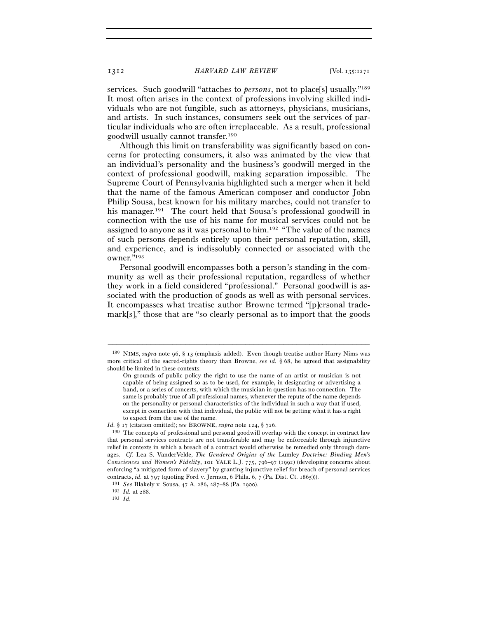services. Such goodwill "attaches to *persons*, not to place[s] usually."<sup>189</sup> It most often arises in the context of professions involving skilled individuals who are not fungible, such as attorneys, physicians, musicians, and artists. In such instances, consumers seek out the services of particular individuals who are often irreplaceable. As a result, professional goodwill usually cannot transfer.190

Although this limit on transferability was significantly based on concerns for protecting consumers, it also was animated by the view that an individual's personality and the business's goodwill merged in the context of professional goodwill, making separation impossible. The Supreme Court of Pennsylvania highlighted such a merger when it held that the name of the famous American composer and conductor John Philip Sousa, best known for his military marches, could not transfer to his manager.<sup>191</sup> The court held that Sousa's professional goodwill in connection with the use of his name for musical services could not be assigned to anyone as it was personal to him.192 "The value of the names of such persons depends entirely upon their personal reputation, skill, and experience, and is indissolubly connected or associated with the owner."193

Personal goodwill encompasses both a person's standing in the community as well as their professional reputation, regardless of whether they work in a field considered "professional." Personal goodwill is associated with the production of goods as well as with personal services. It encompasses what treatise author Browne termed "[p]ersonal trademark[s]," those that are "so clearly personal as to import that the goods

<sup>189</sup> NIMS, *supra* note 96, § 13 (emphasis added). Even though treatise author Harry Nims was more critical of the sacred-rights theory than Browne, *see id.* § 68, he agreed that assignability should be limited in these contexts:

On grounds of public policy the right to use the name of an artist or musician is not capable of being assigned so as to be used, for example, in designating or advertising a band, or a series of concerts, with which the musician in question has no connection. The same is probably true of all professional names, whenever the repute of the name depends on the personality or personal characteristics of the individual in such a way that if used, except in connection with that individual, the public will not be getting what it has a right to expect from the use of the name.

*Id.* § 17 (citation omitted); *see* BROWNE, *supra* note 124, § 726.

<sup>190</sup> The concepts of professional and personal goodwill overlap with the concept in contract law that personal services contracts are not transferable and may be enforceable through injunctive relief in contexts in which a breach of a contract would otherwise be remedied only through damages. *Cf.* Lea S. VanderVelde, *The Gendered Origins of the* Lumley *Doctrine: Binding Men's Consciences and Women's Fidelity*, 101 YALE L.J. 775, 796–97 (1992) (developing concerns about enforcing "a mitigated form of slavery" by granting injunctive relief for breach of personal services contracts, *id.* at 797 (quoting Ford v. Jermon, 6 Phila. 6, 7 (Pa. Dist. Ct. <sup>1865</sup>))). 191 *See* Blakely v. Sousa, 47 A. 286, 287–88 (Pa. <sup>1900</sup>). 192 *Id.* at <sup>288</sup>. 193 *Id.*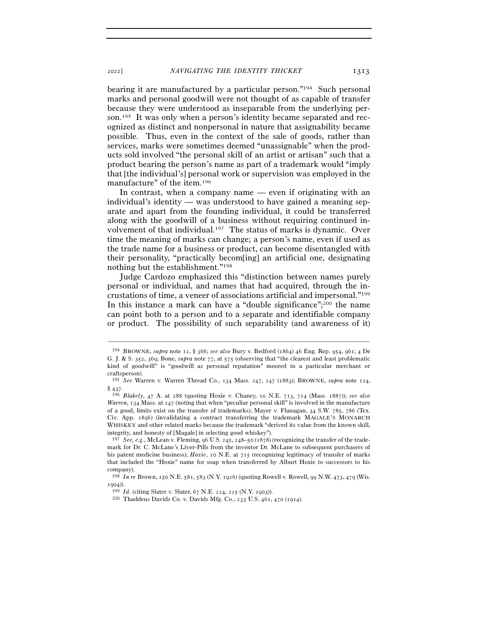bearing it are manufactured by a particular person."194 Such personal marks and personal goodwill were not thought of as capable of transfer because they were understood as inseparable from the underlying person.195 It was only when a person's identity became separated and recognized as distinct and nonpersonal in nature that assignability became possible. Thus, even in the context of the sale of goods, rather than services, marks were sometimes deemed "unassignable" when the products sold involved "the personal skill of an artist or artisan" such that a product bearing the person's name as part of a trademark would "imply that [the individual's] personal work or supervision was employed in the manufacture" of the item.196

In contrast, when a company name — even if originating with an individual's identity — was understood to have gained a meaning separate and apart from the founding individual, it could be transferred along with the goodwill of a business without requiring continued involvement of that individual.197 The status of marks is dynamic. Over time the meaning of marks can change; a person's name, even if used as the trade name for a business or product, can become disentangled with their personality, "practically becom[ing] an artificial one, designating nothing but the establishment."198

Judge Cardozo emphasized this "distinction between names purely personal or individual, and names that had acquired, through the incrustations of time, a veneer of associations artificial and impersonal."199 In this instance a mark can have a "double significance"; $^{200}$  the name can point both to a person and to a separate and identifiable company or product. The possibility of such separability (and awareness of it)

<sup>194</sup> BROWNE, *supra* note 12, § 366; *see also* Bury v. Bedford (1864) 46 Eng. Rep. 954, 961; 4 De G. J. & S. 352, 369; Bone, *supra* note 77, at 575 (observing that "the clearest and least problematic kind of goodwill" is "goodwill as personal reputation" moored in a particular merchant or craftsperson).

<sup>195</sup> *See* Warren v. Warren Thread Co., 134 Mass. 247, 247 (1883); BROWNE, *supra* note 124, § <sup>437</sup>. 196 *Blakely*, 47 A. at 288 (quoting Hoxie v. Chaney, 10 N.E. 713, 714 (Mass. 1887)); *see also* 

*Warren*, 134 Mass. at 247 (noting that when "peculiar personal skill" is involved in the manufacture of a good, limits exist on the transfer of trademarks); Mayer v. Flanagan, 34 S.W. 785, 786 (Tex. Civ. App. 1896) (invalidating a contract transferring the trademark MAGALE'S MONARCH WHISKEY and other related marks because the trademark "derived its value from the known skill, integrity, and honesty of [Magale] in selecting good whiskey").

<sup>197</sup> *See, e.g.*, McLean v. Fleming, 96 U.S. 245, 248–50 (1878) (recognizing the transfer of the trademark for Dr. C. McLane's Liver-Pills from the inventor Dr. McLane to subsequent purchasers of his patent medicine business); *Hoxie*, 10 N.E. at 715 (recognizing legitimacy of transfer of marks that included the "Hoxie" name for soap when transferred by Alburt Hoxie to successors to his company).

<sup>198</sup> *In re* Brown, 150 N.E. 581, 583 (N.Y. 1926) (quoting Rowell v. Rowell, 99 N.W. 473, 479 (Wis. <sup>1904</sup>)). 199 *Id.* (citing Slater v. Slater, 67 N.E. 224, 225 (N.Y. <sup>1903</sup>)). 200 Thaddeus Davids Co. v. Davids Mfg. Co., 233 U.S. 461, 470 (1914).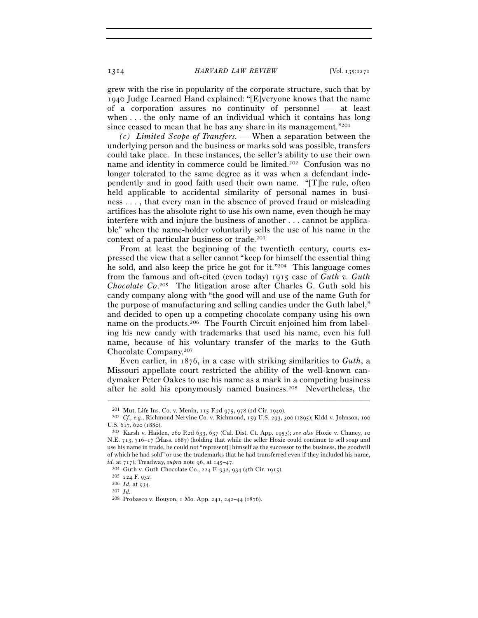grew with the rise in popularity of the corporate structure, such that by 1940 Judge Learned Hand explained: "[E]veryone knows that the name of a corporation assures no continuity of personnel — at least when . . . the only name of an individual which it contains has long since ceased to mean that he has any share in its management."201

*(c) Limited Scope of Transfers. —* When a separation between the underlying person and the business or marks sold was possible, transfers could take place. In these instances, the seller's ability to use their own name and identity in commerce could be limited.202 Confusion was no longer tolerated to the same degree as it was when a defendant independently and in good faith used their own name. "[T]he rule, often held applicable to accidental similarity of personal names in business . . . , that every man in the absence of proved fraud or misleading artifices has the absolute right to use his own name, even though he may interfere with and injure the business of another . . . cannot be applicable" when the name-holder voluntarily sells the use of his name in the context of a particular business or trade.203

From at least the beginning of the twentieth century, courts expressed the view that a seller cannot "keep for himself the essential thing he sold, and also keep the price he got for it."204 This language comes from the famous and oft-cited (even today) 1915 case of *Guth v. Guth Chocolate Co*. 205 The litigation arose after Charles G. Guth sold his candy company along with "the good will and use of the name Guth for the purpose of manufacturing and selling candies under the Guth label," and decided to open up a competing chocolate company using his own name on the products.206 The Fourth Circuit enjoined him from labeling his new candy with trademarks that used his name, even his full name, because of his voluntary transfer of the marks to the Guth Chocolate Company.207

Even earlier, in 1876, in a case with striking similarities to *Guth*, a Missouri appellate court restricted the ability of the well-known candymaker Peter Oakes to use his name as a mark in a competing business after he sold his eponymously named business.208 Nevertheless, the

<sup>201</sup> Mut. Life Ins. Co. v. Menin, 115 F.2d 975, 978 (2d Cir. <sup>1940</sup>). 202 *Cf., e.g.*, Richmond Nervine Co. v. Richmond, 159 U.S. 293, 300 (1895); Kidd v. Johnson, <sup>100</sup> U.S. 617, 620 (<sup>1880</sup>). 203 Karsh v. Haiden, 260 P.2d 633, 637 (Cal. Dist. Ct. App. 1953); *see also* Hoxie v. Chaney, <sup>10</sup>

N.E. 713, 716–17 (Mass. 1887) (holding that while the seller Hoxie could continue to sell soap and use his name in trade, he could not "represent[] himself as the successor to the business, the goodwill of which he had sold" or use the trademarks that he had transferred even if they included his name, *id.* at 717); Treadway, *supra* note 96, at 145–47.<br>
<sup>204</sup> Guth v. Guth Chocolate Co., 224 F. 932, 934 (4th Cir. 1915).<br>
<sup>205</sup> 224 F. 932.<br>
<sup>206</sup> *Id.* at 934.<br>
<sup>207</sup> *Id.* 

<sup>208</sup> Probasco v. Bouyon, 1 Mo. App. 241, 242–44 (1876).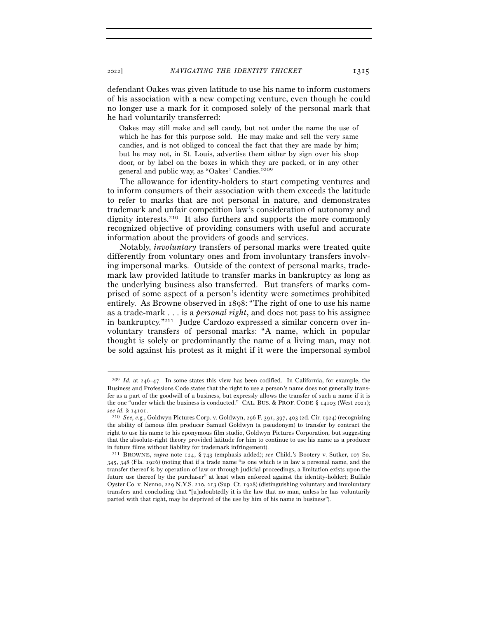defendant Oakes was given latitude to use his name to inform customers of his association with a new competing venture, even though he could no longer use a mark for it composed solely of the personal mark that he had voluntarily transferred:

Oakes may still make and sell candy, but not under the name the use of which he has for this purpose sold. He may make and sell the very same candies, and is not obliged to conceal the fact that they are made by him; but he may not, in St. Louis, advertise them either by sign over his shop door, or by label on the boxes in which they are packed, or in any other general and public way, as "Oakes' Candies."209

The allowance for identity-holders to start competing ventures and to inform consumers of their association with them exceeds the latitude to refer to marks that are not personal in nature, and demonstrates trademark and unfair competition law's consideration of autonomy and dignity interests.210 It also furthers and supports the more commonly recognized objective of providing consumers with useful and accurate information about the providers of goods and services.

Notably, *involuntary* transfers of personal marks were treated quite differently from voluntary ones and from involuntary transfers involving impersonal marks. Outside of the context of personal marks, trademark law provided latitude to transfer marks in bankruptcy as long as the underlying business also transferred. But transfers of marks comprised of some aspect of a person's identity were sometimes prohibited entirely. As Browne observed in 1898: "The right of one to use his name as a trade-mark . . . is a *personal right*, and does not pass to his assignee in bankruptcy."211 Judge Cardozo expressed a similar concern over involuntary transfers of personal marks: "A name, which in popular thought is solely or predominantly the name of a living man, may not be sold against his protest as it might if it were the impersonal symbol

<sup>209</sup> *Id.* at 246–47. In some states this view has been codified. In California, for example, the Business and Professions Code states that the right to use a person's name does not generally transfer as a part of the goodwill of a business, but expressly allows the transfer of such a name if it is the one "under which the business is conducted." CAL. BUS. & PROF. CODE § 14103 (West 2021); *see id.* § 14101.

<sup>210</sup> *See, e.g.*, Goldwyn Pictures Corp. v. Goldwyn, 296 F. 391, 397, 403 (2d. Cir. 1924) (recognizing the ability of famous film producer Samuel Goldwyn (a pseudonym) to transfer by contract the right to use his name to his eponymous film studio, Goldwyn Pictures Corporation, but suggesting that the absolute-right theory provided latitude for him to continue to use his name as a producer in future films without liability for trademark infringement).

<sup>211</sup> BROWNE, *supra* note 124, § 743 (emphasis added); *see* Child.'s Bootery v. Sutker, 107 So. 345, 348 (Fla. 1926) (noting that if a trade name "is one which is in law a personal name, and the transfer thereof is by operation of law or through judicial proceedings, a limitation exists upon the future use thereof by the purchaser" at least when enforced against the identity-holder); Buffalo Oyster Co. v. Nenno, 229 N.Y.S. 210, 213 (Sup. Ct. 1928) (distinguishing voluntary and involuntary transfers and concluding that "[u]ndoubtedly it is the law that no man, unless he has voluntarily parted with that right, may be deprived of the use by him of his name in business").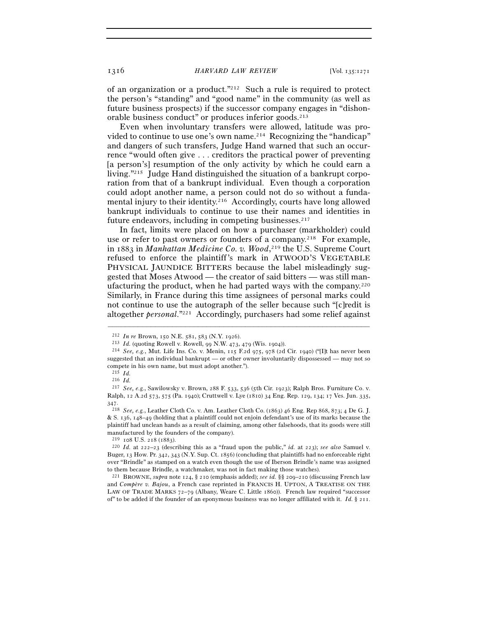of an organization or a product."212 Such a rule is required to protect the person's "standing" and "good name" in the community (as well as future business prospects) if the successor company engages in "dishonorable business conduct" or produces inferior goods.213

Even when involuntary transfers were allowed, latitude was provided to continue to use one's own name.214 Recognizing the "handicap" and dangers of such transfers, Judge Hand warned that such an occurrence "would often give . . . creditors the practical power of preventing [a person's] resumption of the only activity by which he could earn a living."215 Judge Hand distinguished the situation of a bankrupt corporation from that of a bankrupt individual. Even though a corporation could adopt another name, a person could not do so without a fundamental injury to their identity.216 Accordingly, courts have long allowed bankrupt individuals to continue to use their names and identities in future endeavors, including in competing businesses.<sup>217</sup>

In fact, limits were placed on how a purchaser (markholder) could use or refer to past owners or founders of a company.<sup>218</sup> For example, in 1883 in *Manhattan Medicine Co. v. Wood*, 219 the U.S. Supreme Court refused to enforce the plaintiff's mark in ATWOOD'S VEGETABLE PHYSICAL JAUNDICE BITTERS because the label misleadingly suggested that Moses Atwood — the creator of said bitters — was still manufacturing the product, when he had parted ways with the company.<sup>220</sup> Similarly, in France during this time assignees of personal marks could not continue to use the autograph of the seller because such "[c]redit is altogether *personal*."221 Accordingly, purchasers had some relief against

 $^{212}$  In re Brown, 150 N.E. 581, 583 (N.Y. 1926).<br>  $^{213}$  Id. (quoting Rowell v. Rowell, 99 N.W. 473, 479 (Wis. 1904)).<br>  $^{214}$  See, e.g., Mut. Life Ins. Co. v. Menin, 115 F.2d 975, 978 (2d Cir. 1940) ("[I]t has never suggested that an individual bankrupt — or other owner involuntarily dispossessed — may not so compete in his own name, but must adopt another.").

<sup>215</sup> *Id.*<sup>216</sup> *Id.*<sup>217</sup> *See, e.g.*, Sawilowsky v. Brown, 288 F. 533, 536 (5th Cir. 1923); Ralph Bros. Furniture Co. v. Ralph, 12 A.2d 573, 575 (Pa. 1940); Cruttwell v. Lye (1810) 34 Eng. Rep. 129, 134; 17 Ves. Jun. 335, 347.

<sup>218</sup> *See, e.g.*, Leather Cloth Co. v. Am. Leather Cloth Co. (1863) 46 Eng. Rep 868, 873; 4 De G. J. & S. 136, 148–49 (holding that a plaintiff could not enjoin defendant's use of its marks because the plaintiff had unclean hands as a result of claiming, among other falsehoods, that its goods were still manufactured by the founders of the company).

<sup>&</sup>lt;sup>219</sup> 108 U.S. 218 (1883). <sup>220</sup> *Id.* at 222–23 (describing this as a "fraud upon the public," *id.* at 223); *see also* Samuel v. Buger, 13 How. Pr. 342, 343 (N.Y. Sup. Ct. 1856) (concluding that plaintiffs had no enforceable right over "Brindle" as stamped on a watch even though the use of Iberson Brindle's name was assigned to them because Brindle, a watchmaker, was not in fact making those watches). 221 BROWNE, *supra* note 124, § 210 (emphasis added); *see id.* §§ 209–210 (discussing French law

and *Compère v. Bajou*, a French case reprinted in FRANCIS H. UPTON, A TREATISE ON THE LAW OF TRADE MARKS 72-79 (Albany, Weare C. Little 1860)). French law required "successor of" to be added if the founder of an eponymous business was no longer affiliated with it. *Id.* § 211.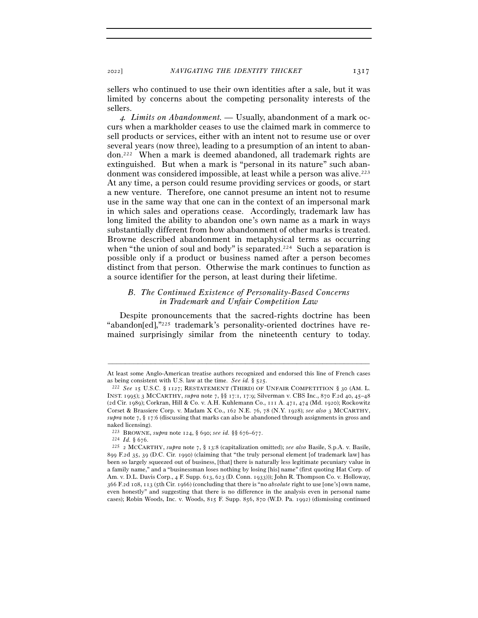sellers who continued to use their own identities after a sale, but it was limited by concerns about the competing personality interests of the sellers.

4*. Limits on Abandonment. —* Usually, abandonment of a mark occurs when a markholder ceases to use the claimed mark in commerce to sell products or services, either with an intent not to resume use or over several years (now three), leading to a presumption of an intent to abandon.222 When a mark is deemed abandoned, all trademark rights are extinguished. But when a mark is "personal in its nature" such abandonment was considered impossible, at least while a person was alive.223 At any time, a person could resume providing services or goods, or start a new venture. Therefore, one cannot presume an intent not to resume use in the same way that one can in the context of an impersonal mark in which sales and operations cease. Accordingly, trademark law has long limited the ability to abandon one's own name as a mark in ways substantially different from how abandonment of other marks is treated. Browne described abandonment in metaphysical terms as occurring when "the union of soul and body" is separated.<sup>224</sup> Such a separation is possible only if a product or business named after a person becomes distinct from that person. Otherwise the mark continues to function as a source identifier for the person, at least during their lifetime.

# *B. The Continued Existence of Personality-Based Concerns in Trademark and Unfair Competition Law*

Despite pronouncements that the sacred-rights doctrine has been "abandon[ed],"225 trademark's personality-oriented doctrines have remained surprisingly similar from the nineteenth century to today.

<sup>–––––––––––––––––––––––––––––––––––––––––––––––––––––––––––––</sup> At least some Anglo-American treatise authors recognized and endorsed this line of French cases as being consistent with U.S. law at the time. *See id.* § 525.<br><sup>222</sup> *See* 15 U.S.C. § 1127; RESTATEMENT (THIRD) OF UNFAIR COMPETITION § 30 (AM. L.

INST. 1995); 3 MCCARTHY, *supra* note 7, §§ 17:1, 17:9; Silverman v. CBS Inc., 870 F.2d 40, 45–48 (2d Cir. 1989); Corkran, Hill & Co. v. A.H. Kuhlemann Co., 111 A. 471, 474 (Md. 1920); Rockowitz Corset & Brassiere Corp. v. Madam X Co., 162 N.E. 76, 78 (N.Y. 1928); *see also* 3 MCCARTHY, *supra* note 7, § 17:6 (discussing that marks can also be abandoned through assignments in gross and naked licensing).<br>
<sup>223</sup> BROWNE, *supra* note 124, § 690; *see id.* §§ 676–677.

<sup>223</sup> BROWNE, *supra* note 124, § 690; *see id.* §§ 676–<sup>677</sup>. 224 *Id.* § <sup>676</sup>. 225 <sup>2</sup> MCCARTHY, *supra* note 7, § 13:8 (capitalization omitted); *see also* Basile, S.p.A. v. Basile, 899 F.2d 35, 39 (D.C. Cir. 1990) (claiming that "the truly personal element [of trademark law] has been so largely squeezed out of business, [that] there is naturally less legitimate pecuniary value in a family name," and a "businessman loses nothing by losing [his] name" (first quoting Hat Corp. of Am. v. D.L. Davis Corp., 4 F. Supp. 613, 623 (D. Conn. 1933))); John R. Thompson Co. v. Holloway, 366 F.2d 108, 113 (5th Cir. 1966) (concluding that there is "no *absolute* right to use [one's] own name, even honestly" and suggesting that there is no difference in the analysis even in personal name cases); Robin Woods, Inc. v. Woods, 815 F. Supp. 856, 870 (W.D. Pa. 1992) (dismissing continued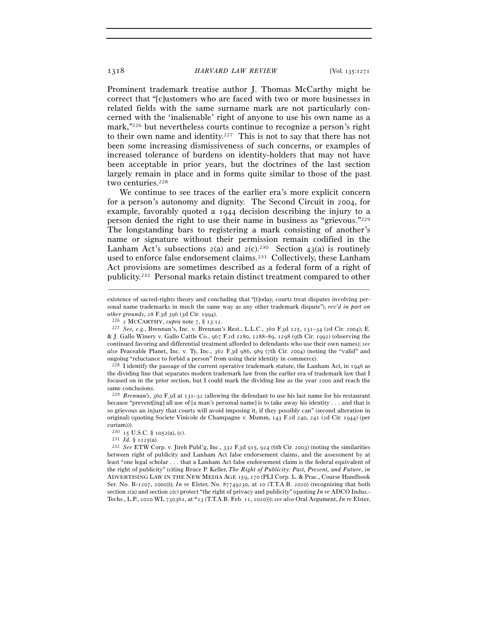Prominent trademark treatise author J. Thomas McCarthy might be correct that "[c]ustomers who are faced with two or more businesses in related fields with the same surname mark are not particularly concerned with the 'inalienable' right of anyone to use his own name as a mark,"226 but nevertheless courts continue to recognize a person's right to their own name and identity.<sup>227</sup> This is not to say that there has not been some increasing dismissiveness of such concerns, or examples of increased tolerance of burdens on identity-holders that may not have been acceptable in prior years, but the doctrines of the last section largely remain in place and in forms quite similar to those of the past two centuries.<sup>228</sup>

We continue to see traces of the earlier era's more explicit concern for a person's autonomy and dignity. The Second Circuit in 2004, for example, favorably quoted a 1944 decision describing the injury to a person denied the right to use their name in business as "grievous."229 The longstanding bars to registering a mark consisting of another's name or signature without their permission remain codified in the Lanham Act's subsections  $2(a)$  and  $2(c)$ .<sup>230</sup> Section  $43(a)$  is routinely used to enforce false endorsement claims.231 Collectively, these Lanham Act provisions are sometimes described as a federal form of a right of publicity.232 Personal marks retain distinct treatment compared to other

–––––––––––––––––––––––––––––––––––––––––––––––––––––––––––––

<sup>229</sup> *Brennan's*, 360 F.3d at 131–32 (allowing the defendant to use his last name for his restaurant because "prevent[ing] all use of [a man's personal name] is to take away his identity . . . and that is so grievous an injury that courts will avoid imposing it, if they possibly can" (second alteration in original) (quoting Societe Vinicole de Champagne v. Mumm, 143 F.2d 240, 241 (2d Cir. 1944) (per curiam))).<br> $^{230}$  15 U.S.C. § 1052(a), (c).

existence of sacred-rights theory and concluding that "[t]oday, courts treat disputes involving personal name trademarks in much the same way as any other trademark dispute"), *rev'd in part on* 

*other grounds*, 28 F.3d 396 (3d Cir. 1994).<br><sup>226</sup> 2 MCCARTHY, *supra* note 7, § 13:12.<br><sup>227</sup> *See, e.g.*, Brennan's, Inc. v. Brennan's Rest., L.L.C., 360 F.3d 125, 131–34 (2d Cir. 2004); E. & J. Gallo Winery v. Gallo Cattle Co., 967 F.2d 1280, 1288–89, 1298 (9th Cir. 1992) (observing the continued favoring and differential treatment afforded to defendants who use their own names); *see also* Peaceable Planet, Inc. v. Ty, Inc., 362 F.3d 986, 989 (7th Cir. 2004) (noting the "valid" and ongoing "reluctance to forbid a person" from using their identity in commerce).

<sup>228</sup> I identify the passage of the current operative trademark statute, the Lanham Act, in 1946 as the dividing line that separates modern trademark law from the earlier era of trademark law that I focused on in the prior section, but I could mark the dividing line as the year 2000 and reach the same conclusions.

<sup>&</sup>lt;sup>231</sup> Id. § 1125(a).<br><sup>232</sup> *See* ETW Corp. v. Jireh Publ'g, Inc., 332 F.3d 915, 924 (6th Cir. 2003) (noting the similarities between right of publicity and Lanham Act false endorsement claims, and the assessment by at least "one legal scholar . . . that a Lanham Act false endorsement claim is the federal equivalent of the right of publicity" (citing Bruce P. Keller, *The Right of Publicity: Past, Present, and Future*, *in* ADVERTISING LAW IN THE NEW MEDIA AGE 159, 170 (PLI Corp. L. & Prac., Course Handbook Ser. No. B-1207, 2000))); *In re* Elster, No. 87749230, at 10 (T.T.A.B. 2020) (recognizing that both section 2(a) and section 2(c) protect "the right of privacy and publicity" (quoting *In re* ADCO Indus.- Techs., L.P., 2020 WL 730361, at \*13 (T.T.A.B. Feb. 11, 2020))); *see also* Oral Argument, *In re* Elster,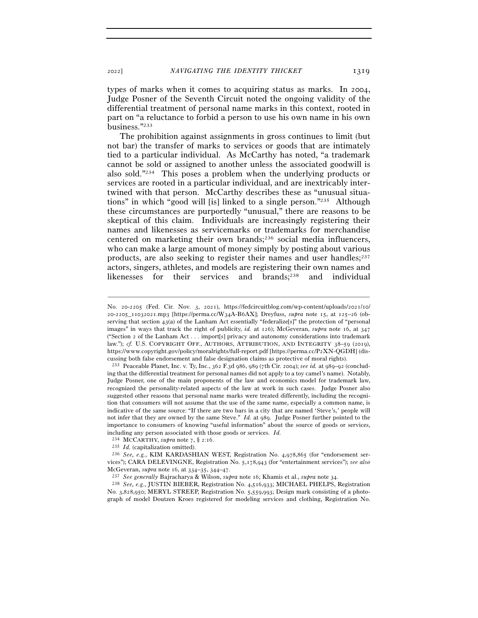types of marks when it comes to acquiring status as marks. In 2004, Judge Posner of the Seventh Circuit noted the ongoing validity of the differential treatment of personal name marks in this context, rooted in part on "a reluctance to forbid a person to use his own name in his own business."233

The prohibition against assignments in gross continues to limit (but not bar) the transfer of marks to services or goods that are intimately tied to a particular individual. As McCarthy has noted, "a trademark cannot be sold or assigned to another unless the associated goodwill is also sold."234 This poses a problem when the underlying products or services are rooted in a particular individual, and are inextricably intertwined with that person. McCarthy describes these as "unusual situations" in which "good will [is] linked to a single person."235 Although these circumstances are purportedly "unusual," there are reasons to be skeptical of this claim. Individuals are increasingly registering their names and likenesses as servicemarks or trademarks for merchandise centered on marketing their own brands;236 social media influencers, who can make a large amount of money simply by posting about various products, are also seeking to register their names and user handles;<sup>237</sup> actors, singers, athletes, and models are registering their own names and likenesses for their services and brands;238 and individual

–––––––––––––––––––––––––––––––––––––––––––––––––––––––––––––

No. 3,828,950; MERYL STREEP, Registration No. 5,559,993; Design mark consisting of a photograph of model Doutzen Kroes registered for modeling services and clothing, Registration No.

No. 20-2205 (Fed. Cir. Nov. 3, 2021), https://fedcircuitblog.com/wp-content/uploads/2021/10/ 20-2205\_11032021.mp3 [https://perma.cc/W34A-B6AX]; Dreyfuss, *supra* note 15, at 125–26 (observing that section 43(a) of the Lanham Act essentially "federalize[s]" the protection of "personal images" in ways that track the right of publicity, *id.* at 126); McGeveran, *supra* note 16, at 347 ("Section 2 of the Lanham Act . . . import[s] privacy and autonomy considerations into trademark law."); *cf.* U.S. COPYRIGHT OFF., AUTHORS, ATTRIBUTION, AND INTEGRITY 38-59 (2019), https://www.copyright.gov/policy/moralrights/full-report.pdf [https://perma.cc/P2XN-QGDH] (discussing both false endorsement and false designation claims as protective of moral rights).

<sup>233</sup> Peaceable Planet, Inc. v. Ty, Inc., 362 F.3d 986, 989 (7th Cir. 2004); *see id.* at 989–92 (concluding that the differential treatment for personal names did not apply to a toy camel's name). Notably, Judge Posner, one of the main proponents of the law and economics model for trademark law, recognized the personality-related aspects of the law at work in such cases. Judge Posner also suggested other reasons that personal name marks were treated differently, including the recognition that consumers will not assume that the use of the same name, especially a common name, is indicative of the same source: "If there are two bars in a city that are named 'Steve's,' people will not infer that they are owned by the same Steve." *Id.* at 989. Judge Posner further pointed to the importance to consumers of knowing "useful information" about the source of goods or services, including any person associated with those goods or services. *Id.*

<sup>234</sup> MCCARTHY, *supra* note 7, § 2:<sup>16</sup>. 235 *Id.* (capitalization omitted). 236 *See, e.g.*, KIM KARDASHIAN WEST, Registration No. 4,978,865 (for "endorsement services"); CARA DELEVINGNE, Registration No. 5,178,943 (for "entertainment services"); *see also* McGeveran, *supra* note 16, at 334–35, 344–47.<br><sup>237</sup> See generally Bajracharya & Wilson, *supra* note 16; Khamis et al., *supra* note 34.<br><sup>238</sup> See, e.g., JUSTIN BIEBER, Registration No. 4,516,933; MICHAEL PHELPS, Registra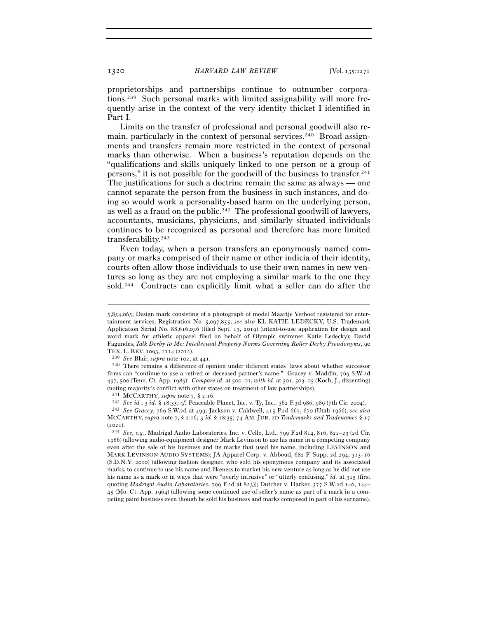proprietorships and partnerships continue to outnumber corporations.239 Such personal marks with limited assignability will more frequently arise in the context of the very identity thicket I identified in Part I.

Limits on the transfer of professional and personal goodwill also remain, particularly in the context of personal services.240 Broad assignments and transfers remain more restricted in the context of personal marks than otherwise. When a business's reputation depends on the "qualifications and skills uniquely linked to one person or a group of persons," it is not possible for the goodwill of the business to transfer.<sup>241</sup> The justifications for such a doctrine remain the same as always — one cannot separate the person from the business in such instances, and doing so would work a personality-based harm on the underlying person, as well as a fraud on the public.<sup>242</sup> The professional goodwill of lawyers, accountants, musicians, physicians, and similarly situated individuals continues to be recognized as personal and therefore has more limited transferability.243

Even today, when a person transfers an eponymously named company or marks comprised of their name or other indicia of their identity, courts often allow those individuals to use their own names in new ventures so long as they are not employing a similar mark to the one they sold.244 Contracts can explicitly limit what a seller can do after the

<sup>5</sup>,854,065; Design mark consisting of a photograph of model Maartje Verhoef registered for entertainment services, Registration No. 5,097,855; *see also* KL KATIE LEDECKY, U.S. Trademark Application Serial No. 88,616,036 (filed Sept. 13, 2019) (intent-to-use application for design and word mark for athletic apparel filed on behalf of Olympic swimmer Katie Ledecky); David Fagundes, *Talk Derby to Me: Intellectual Property Norms Governing Roller Derby Pseudonyms*, 90

TEX. L. REV. 1093, 1114 (<sup>2012</sup>). 239 *See* Blair, *supra* note 102, at <sup>441</sup>. 240 There remains a difference of opinion under different states' laws about whether successor firms can "continue to use a retired or deceased partner's name." Gracey v. Maddin, 769 S.W.2d 497, 500 (Tenn. Ct. App. 1989). *Compare id.* at 500–01, *with id.* at 501, 503–05 (Koch, J., dissenting) (noting majority's conflict with other states on treatment of law partnerships).

<sup>241</sup> MCCARTHY, *supra* note 7, § 2:16.

<sup>&</sup>lt;sup>242</sup> See id.; 3 id. § 18:35; cf. Peaceable Planet, Inc. v. Ty, Inc., 362 F.3d 986, 989 (7th Cir. 2004).<br><sup>243</sup> See Gracey, 769 S.W.2d at 499; Jackson v. Caldwell, 415 P.2d 667, 670 (Utah 1966); see also

MCCARTHY, *supra* note 7, § 2:16; 3 *id.* § 18:35; 74 AM. JUR. 2D *Trademarks and Tradenames* § 17

<sup>(</sup><sup>2021</sup>). 244 *See, e.g.*, Madrigal Audio Laboratories, Inc. v. Cello, Ltd., 799 F.2d 814, 816, 822–23 (2d Cir. 1986) (allowing audio-equipment designer Mark Levinson to use his name in a competing company even after the sale of his business and its marks that used his name, including LEVINSON and MARK LEVINSON AUDIO SYSTEMS); JA Apparel Corp. v. Abboud, 682 F. Supp. 2d 294, 313–16 (S.D.N.Y. 2010) (allowing fashion designer, who sold his eponymous company and its associated marks, to continue to use his name and likeness to market his new venture as long as he did not use his name as a mark or in ways that were "overly intrusive" or "utterly confusing," *id.* at 315 (first quoting *Madrigal Audio Laboratories*, 799 F.2d at 823)); Dutcher v. Harker, 377 S.W.2d 140, 144– 45 (Mo. Ct. App. 1964) (allowing some continued use of seller's name as part of a mark in a competing paint business even though he sold his business and marks composed in part of his surname).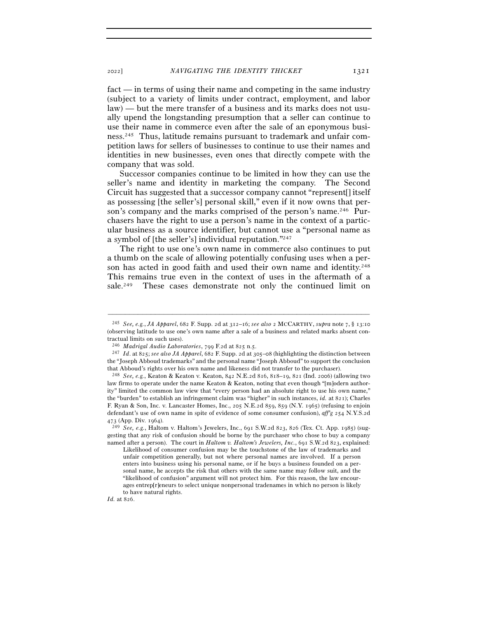fact — in terms of using their name and competing in the same industry (subject to a variety of limits under contract, employment, and labor law) — but the mere transfer of a business and its marks does not usually upend the longstanding presumption that a seller can continue to use their name in commerce even after the sale of an eponymous business.245 Thus, latitude remains pursuant to trademark and unfair competition laws for sellers of businesses to continue to use their names and identities in new businesses, even ones that directly compete with the company that was sold.

Successor companies continue to be limited in how they can use the seller's name and identity in marketing the company. The Second Circuit has suggested that a successor company cannot "represent[] itself as possessing [the seller's] personal skill," even if it now owns that person's company and the marks comprised of the person's name.<sup>246</sup> Purchasers have the right to use a person's name in the context of a particular business as a source identifier, but cannot use a "personal name as a symbol of [the seller's] individual reputation."247

The right to use one's own name in commerce also continues to put a thumb on the scale of allowing potentially confusing uses when a person has acted in good faith and used their own name and identity.248 This remains true even in the context of uses in the aftermath of a sale.<sup>249</sup> These cases demonstrate not only the continued limit on

<sup>245</sup> *See, e.g.*, *JA Apparel*, 682 F. Supp. 2d at 312–16; *see also* 2 MCCARTHY, *supra* note 7, § 13:10 (observing latitude to use one's own name after a sale of a business and related marks absent contractual limits on such uses).

<sup>246</sup> *Madrigal Audio Laboratories*, 799 F.2d at 825 n.<sup>5</sup>. 247 *Id*. at 825; *see also JA Apparel*, 682 F. Supp. 2d at 305–08 (highlighting the distinction between the "Joseph Abboud trademarks" and the personal name "Joseph Abboud" to support the conclusion that Abboud's rights over his own name and likeness did not transfer to the purchaser).

<sup>248</sup> *See, e.g.*, Keaton & Keaton v. Keaton, 842 N.E.2d 816, 818–19, 821 (Ind. 2006) (allowing two law firms to operate under the name Keaton & Keaton, noting that even though "[m]odern authority" limited the common law view that "every person had an absolute right to use his own name," the "burden" to establish an infringement claim was "higher" in such instances, *id.* at 821); Charles F. Ryan & Son, Inc. v. Lancaster Homes, Inc., 205 N.E.2d 859, 859 (N.Y. 1965) (refusing to enjoin defendant's use of own name in spite of evidence of some consumer confusion), *aff'g* 254 N.Y.S.2d 473 (App. Div. 1964).

<sup>473</sup> (App. Div. <sup>1964</sup>). 249 *See, e.g.*, Haltom v. Haltom's Jewelers, Inc., 691 S.W.2d 823, 826 (Tex. Ct. App. 1985) (suggesting that any risk of confusion should be borne by the purchaser who chose to buy a company named after a person). The court in *Haltom v. Haltom's Jewelers, Inc.*, 691 S.W.2d 823, explained:

Likelihood of consumer confusion may be the touchstone of the law of trademarks and unfair competition generally, but not where personal names are involved. If a person enters into business using his personal name, or if he buys a business founded on a personal name, he accepts the risk that others with the same name may follow suit, and the "likelihood of confusion" argument will not protect him. For this reason, the law encourages entrep[r]eneurs to select unique nonpersonal tradenames in which no person is likely to have natural rights.

*Id.* at 826.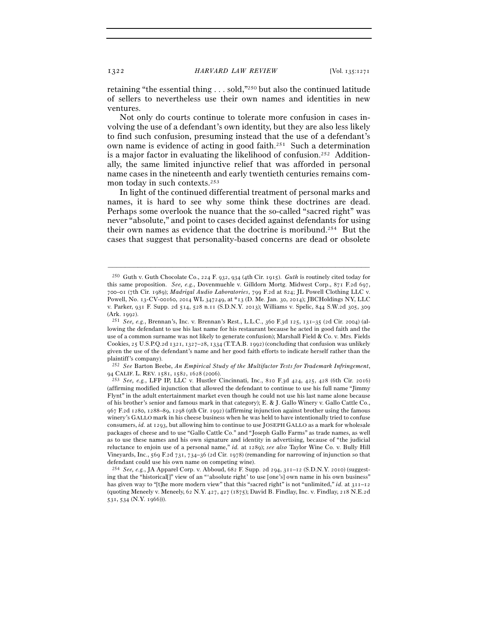retaining "the essential thing . . . sold,"250 but also the continued latitude of sellers to nevertheless use their own names and identities in new ventures.

Not only do courts continue to tolerate more confusion in cases involving the use of a defendant's own identity, but they are also less likely to find such confusion, presuming instead that the use of a defendant's own name is evidence of acting in good faith.251 Such a determination is a major factor in evaluating the likelihood of confusion.<sup>252</sup> Additionally, the same limited injunctive relief that was afforded in personal name cases in the nineteenth and early twentieth centuries remains common today in such contexts.253

In light of the continued differential treatment of personal marks and names, it is hard to see why some think these doctrines are dead. Perhaps some overlook the nuance that the so-called "sacred right" was never "absolute," and point to cases decided against defendants for using their own names as evidence that the doctrine is moribund.<sup>254</sup> But the cases that suggest that personality-based concerns are dead or obsolete

–––––––––––––––––––––––––––––––––––––––––––––––––––––––––––––

252 *See* Barton Beebe, *An Empirical Study of the Multifactor Tests for Trademark Infringement*,

<sup>250</sup> Guth v. Guth Chocolate Co., 224 F. 932, 934 (4th Cir. 1915). *Guth* is routinely cited today for this same proposition. *See, e.g.*, Dovenmuehle v. Gilldorn Mortg. Midwest Corp., 871 F.2d 697, 700–01 (7th Cir. 1989); *Madrigal Audio Laboratories*, 799 F.2d at 824; JL Powell Clothing LLC v. Powell, No. 13-CV-00160, 2014 WL 347249, at \*13 (D. Me. Jan. 30, 2014); JBCHoldings NY, LLC v. Parker, 931 F. Supp. 2d 514, 528 n.11 (S.D.N.Y. 2013); Williams v. Spelic, 844 S.W.2d 305, 309 (Ark. <sup>1992</sup>). 251 *See, e.g.*, Brennan's, Inc. v. Brennan's Rest., L.L.C., 360 F.3d 125, 131–35 (2d Cir. 2004) (al-

lowing the defendant to use his last name for his restaurant because he acted in good faith and the use of a common surname was not likely to generate confusion); Marshall Field & Co. v. Mrs. Fields Cookies, 25 U.S.P.Q.2d 1321, 1327–28, 1334 (T.T.A.B. 1992) (concluding that confusion was unlikely given the use of the defendant's name and her good faith efforts to indicate herself rather than the plaintiff's company).

<sup>253</sup> See, e.g., LFP IP, LLC v. Hustler Cincinnati, Inc., 810 F.3d 424, 425, 428 (6th Cir. 2016) (affirming modified injunction that allowed the defendant to continue to use his full name "Jimmy Flynt" in the adult entertainment market even though he could not use his last name alone because of his brother's senior and famous mark in that category); E. & J. Gallo Winery v. Gallo Cattle Co., 967 F.2d 1280, 1288–89, 1298 (9th Cir. 1992) (affirming injunction against brother using the famous winery's GALLO mark in his cheese business when he was held to have intentionally tried to confuse consumers, *id.* at 1293, but allowing him to continue to use JOSEPH GALLO as a mark for wholesale packages of cheese and to use "Gallo Cattle Co." and "Joseph Gallo Farms" as trade names, as well as to use these names and his own signature and identity in advertising, because of "the judicial reluctance to enjoin use of a personal name," *id.* at 1289); *see also* Taylor Wine Co. v. Bully Hill Vineyards, Inc., 569 F.2d 731, 734–36 (2d Cir. 1978) (remanding for narrowing of injunction so that defendant could use his own name on competing wine).

<sup>254</sup> *See, e.g.*, JA Apparel Corp. v. Abboud, 682 F. Supp. 2d 294, 311–12 (S.D.N.Y. 2010) (suggesting that the "historical[]" view of an "'absolute right' to use [one's] own name in his own business" has given way to "[t]he more modern view" that this "sacred right" is not "unlimited," *id.* at 311–12 (quoting Meneely v. Meneely, 62 N.Y. 427, 427 (1875); David B. Findlay, Inc. v. Findlay, 218 N.E.2d 531, 534 (N.Y. 1966))).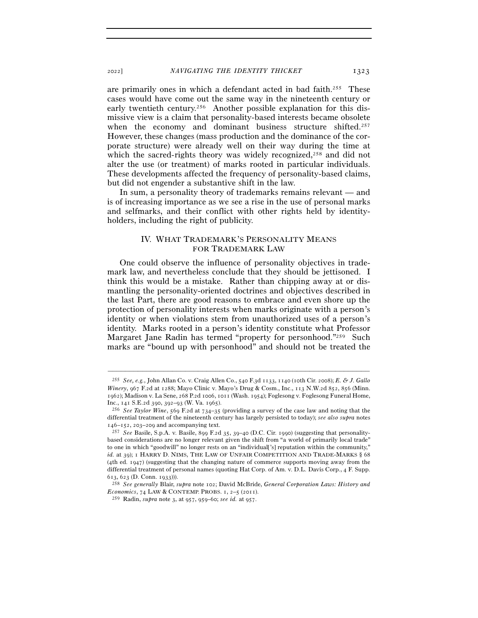are primarily ones in which a defendant acted in bad faith.255 These cases would have come out the same way in the nineteenth century or early twentieth century.256 Another possible explanation for this dismissive view is a claim that personality-based interests became obsolete when the economy and dominant business structure shifted.<sup>257</sup> However, these changes (mass production and the dominance of the corporate structure) were already well on their way during the time at which the sacred-rights theory was widely recognized,<sup>258</sup> and did not alter the use (or treatment) of marks rooted in particular individuals. These developments affected the frequency of personality-based claims, but did not engender a substantive shift in the law.

In sum, a personality theory of trademarks remains relevant — and is of increasing importance as we see a rise in the use of personal marks and selfmarks, and their conflict with other rights held by identityholders, including the right of publicity.

# IV. WHAT TRADEMARK'S PERSONALITY MEANS FOR TRADEMARK LAW

One could observe the influence of personality objectives in trademark law, and nevertheless conclude that they should be jettisoned. I think this would be a mistake. Rather than chipping away at or dismantling the personality-oriented doctrines and objectives described in the last Part, there are good reasons to embrace and even shore up the protection of personality interests when marks originate with a person's identity or when violations stem from unauthorized uses of a person's identity. Marks rooted in a person's identity constitute what Professor Margaret Jane Radin has termed "property for personhood."259 Such marks are "bound up with personhood" and should not be treated the

<sup>255</sup> *See, e.g.*, John Allan Co. v. Craig Allen Co., 540 F.3d 1133, 1140 (10th Cir. 2008); *E. & J. Gallo Winery*, 967 F.2d at 1288; Mayo Clinic v. Mayo's Drug & Cosm., Inc., 113 N.W.2d 852, 856 (Minn. 1962); Madison v. La Sene, 268 P.2d 1006, 1011 (Wash. 1954); Foglesong v. Foglesong Funeral Home,

Inc., 141 S.E.2d 390, 392–93 (W. Va. <sup>1965</sup>). 256 *See Taylor Wine*, 569 F.2d at 734–35 (providing a survey of the case law and noting that the differential treatment of the nineteenth century has largely persisted to today); *see also supra* notes <sup>146</sup>–152, 203–209 and accompanying text. 257 *See* Basile, S.p.A. v. Basile, 899 F.2d 35, 39–40 (D.C. Cir. 1990) (suggesting that personality-

based considerations are no longer relevant given the shift from "a world of primarily local trade" to one in which "goodwill" no longer rests on an "individual['s] reputation within the community," *id.* at 39); 1 HARRY D. NIMS, THE LAW OF UNFAIR COMPETITION AND TRADE-MARKS § 68 (4th ed. 1947) (suggesting that the changing nature of commerce supports moving away from the differential treatment of personal names (quoting Hat Corp. of Am. v. D.L. Davis Corp., 4 F. Supp. 613, 623 (D. Conn. <sup>1933</sup>))). 258 *See generally* Blair, *supra* note 102; David McBride, *General Corporation Laws: History and* 

*Economics*, 74 LAW & CONTEMP. PROBS. 1, 2–5 (2011).

<sup>259</sup> Radin, *supra* note 3, at 957, 959–60; *see id.* at 957.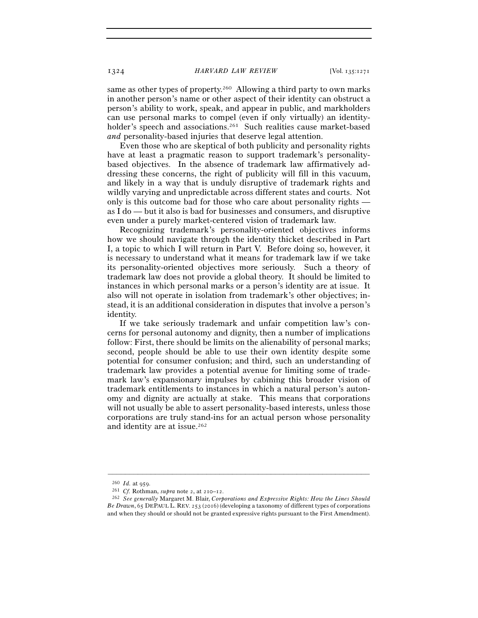same as other types of property.260 Allowing a third party to own marks in another person's name or other aspect of their identity can obstruct a person's ability to work, speak, and appear in public, and markholders can use personal marks to compel (even if only virtually) an identityholder's speech and associations.<sup>261</sup> Such realities cause market-based *and* personality-based injuries that deserve legal attention.

Even those who are skeptical of both publicity and personality rights have at least a pragmatic reason to support trademark's personalitybased objectives. In the absence of trademark law affirmatively addressing these concerns, the right of publicity will fill in this vacuum, and likely in a way that is unduly disruptive of trademark rights and wildly varying and unpredictable across different states and courts. Not only is this outcome bad for those who care about personality rights as I do — but it also is bad for businesses and consumers, and disruptive even under a purely market-centered vision of trademark law.

Recognizing trademark's personality-oriented objectives informs how we should navigate through the identity thicket described in Part I, a topic to which I will return in Part V. Before doing so, however, it is necessary to understand what it means for trademark law if we take its personality-oriented objectives more seriously. Such a theory of trademark law does not provide a global theory. It should be limited to instances in which personal marks or a person's identity are at issue. It also will not operate in isolation from trademark's other objectives; instead, it is an additional consideration in disputes that involve a person's identity.

If we take seriously trademark and unfair competition law's concerns for personal autonomy and dignity, then a number of implications follow: First, there should be limits on the alienability of personal marks; second, people should be able to use their own identity despite some potential for consumer confusion; and third, such an understanding of trademark law provides a potential avenue for limiting some of trademark law's expansionary impulses by cabining this broader vision of trademark entitlements to instances in which a natural person's autonomy and dignity are actually at stake. This means that corporations will not usually be able to assert personality-based interests, unless those corporations are truly stand-ins for an actual person whose personality and identity are at issue.<sup>262</sup>

<sup>260</sup> *Id.* at <sup>959</sup>. 261 *Cf.* Rothman, *supra* note 2, at 210–<sup>12</sup>. 262 *See generally* Margaret M. Blair, *Corporations and Expressive Rights: How the Lines Should Be Drawn*, 65 DEPAUL L. REV. 253 (2016) (developing a taxonomy of different types of corporations and when they should or should not be granted expressive rights pursuant to the First Amendment).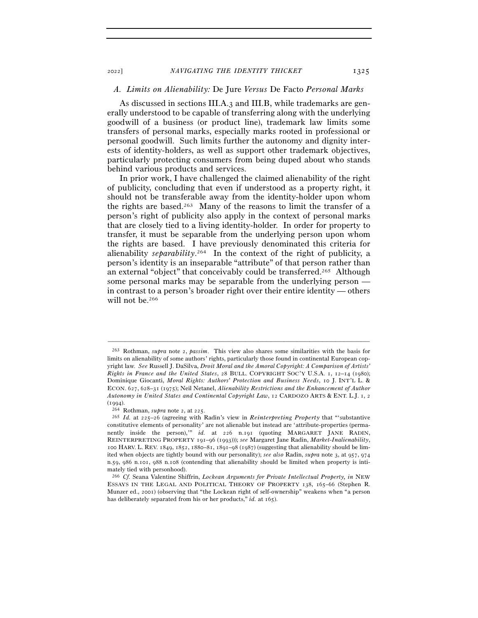# *A. Limits on Alienability:* De Jure *Versus* De Facto *Personal Marks*

As discussed in sections III.A.3 and III.B, while trademarks are generally understood to be capable of transferring along with the underlying goodwill of a business (or product line), trademark law limits some transfers of personal marks, especially marks rooted in professional or personal goodwill. Such limits further the autonomy and dignity interests of identity-holders, as well as support other trademark objectives, particularly protecting consumers from being duped about who stands behind various products and services.

In prior work, I have challenged the claimed alienability of the right of publicity, concluding that even if understood as a property right, it should not be transferable away from the identity-holder upon whom the rights are based.263 Many of the reasons to limit the transfer of a person's right of publicity also apply in the context of personal marks that are closely tied to a living identity-holder. In order for property to transfer, it must be separable from the underlying person upon whom the rights are based. I have previously denominated this criteria for alienability *separability*. 264 In the context of the right of publicity, a person's identity is an inseparable "attribute" of that person rather than an external "object" that conceivably could be transferred.265 Although some personal marks may be separable from the underlying person in contrast to a person's broader right over their entire identity — others will not be.266

<sup>263</sup> Rothman, *supra* note 2, *passim*. This view also shares some similarities with the basis for limits on alienability of some authors' rights, particularly those found in continental European copyright law. *See* Russell J. DaSilva, *Droit Moral and the Amoral Copyright: A Comparison of Artists' Rights in France and the United States*, 28 BULL. COPYRIGHT SOC'Y U.S.A. 1, 12–14 (1980); Dominique Giocanti, *Moral Rights: Authors' Protection and Business Needs*, 10 J. INT'L L. & ECON. 627, 628–31 (1975); Neil Netanel, *Alienability Restrictions and the Enhancement of Author Autonomy in United States and Continental Copyright Law*, 12 CARDOZO ARTS & ENT. L.J. 1, 2 (<sup>1994</sup>). 264 Rothman, *supra* note 2, at <sup>225</sup>. 265 *Id.* at 225–26 (agreeing with Radin's view in *Reinterpreting Property* that "'substantive

constitutive elements of personality' are not alienable but instead are 'attribute-properties (permanently inside the person),'" *id.* at 226 n.191 (quoting MARGARET JANE RADIN, REINTERPRETING PROPERTY 191–96 (1993))); *see* Margaret Jane Radin, *Market-Inalienability*, 100 HARV. L. REV. 1849, 1852, 1880–81, 1891–98 (1987) (suggesting that alienability should be limited when objects are tightly bound with our personality); *see also* Radin, *supra* note 3, at 957, 974 n.59, 986 n.101, 988 n.108 (contending that alienability should be limited when property is intimately tied with personhood).

<sup>266</sup> *Cf.* Seana Valentine Shiffrin, *Lockean Arguments for Private Intellectual Property, in* NEW ESSAYS IN THE LEGAL AND POLITICAL THEORY OF PROPERTY 138, 165–66 (Stephen R. Munzer ed., 2001) (observing that "the Lockean right of self-ownership" weakens when "a person has deliberately separated from his or her products," *id.* at 165).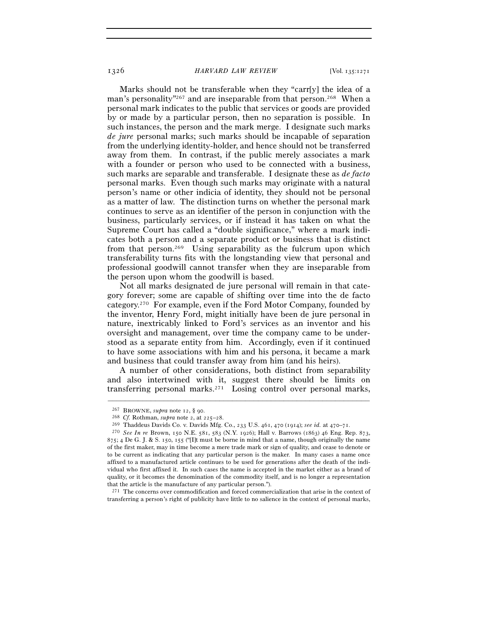Marks should not be transferable when they "carr[y] the idea of a man's personality<sup>"267</sup> and are inseparable from that person.<sup>268</sup> When a personal mark indicates to the public that services or goods are provided by or made by a particular person, then no separation is possible. In such instances, the person and the mark merge. I designate such marks *de jure* personal marks; such marks should be incapable of separation from the underlying identity-holder, and hence should not be transferred away from them. In contrast, if the public merely associates a mark with a founder or person who used to be connected with a business, such marks are separable and transferable. I designate these as *de facto*  personal marks. Even though such marks may originate with a natural person's name or other indicia of identity, they should not be personal as a matter of law. The distinction turns on whether the personal mark continues to serve as an identifier of the person in conjunction with the business, particularly services, or if instead it has taken on what the Supreme Court has called a "double significance," where a mark indicates both a person and a separate product or business that is distinct from that person.269 Using separability as the fulcrum upon which transferability turns fits with the longstanding view that personal and professional goodwill cannot transfer when they are inseparable from the person upon whom the goodwill is based.

Not all marks designated de jure personal will remain in that category forever; some are capable of shifting over time into the de facto category.270 For example, even if the Ford Motor Company, founded by the inventor, Henry Ford, might initially have been de jure personal in nature, inextricably linked to Ford's services as an inventor and his oversight and management, over time the company came to be understood as a separate entity from him. Accordingly, even if it continued to have some associations with him and his persona, it became a mark and business that could transfer away from him (and his heirs).

A number of other considerations, both distinct from separability and also intertwined with it, suggest there should be limits on transferring personal marks.271 Losing control over personal marks,

–––––––––––––––––––––––––––––––––––––––––––––––––––––––––––––

271 The concerns over commodification and forced commercialization that arise in the context of transferring a person's right of publicity have little to no salience in the context of personal marks,

<sup>&</sup>lt;sup>267</sup> BROWNE, *supra* note 12, § 90.<br>
<sup>268</sup> Cf. Rothman, *supra* note 2, at 225–28.<br>
<sup>269</sup> Thaddeus Davids Co. v. Davids Mfg. Co., 233 U.S. 461, 470 (1914); *see id.* at 470–71.<br>
<sup>270</sup> See In re Brown, 150 N.E. 581, 583 (  $875$ ; 4 De G. J. & S. 150, 155 ("[I]t must be borne in mind that a name, though originally the name of the first maker, may in time become a mere trade mark or sign of quality, and cease to denote or to be current as indicating that any particular person is the maker. In many cases a name once affixed to a manufactured article continues to be used for generations after the death of the individual who first affixed it. In such cases the name is accepted in the market either as a brand of quality, or it becomes the denomination of the commodity itself, and is no longer a representation that the article is the manufacture of any particular person.").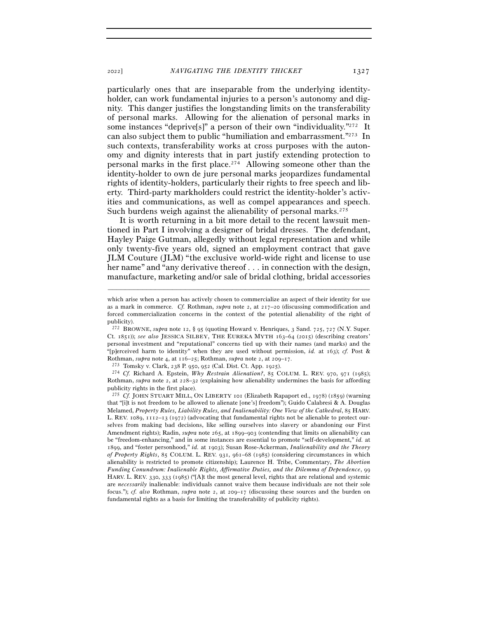particularly ones that are inseparable from the underlying identityholder, can work fundamental injuries to a person's autonomy and dignity. This danger justifies the longstanding limits on the transferability of personal marks. Allowing for the alienation of personal marks in some instances "deprive[s]" a person of their own "individuality."<sup>272</sup> It can also subject them to public "humiliation and embarrassment."273 In such contexts, transferability works at cross purposes with the autonomy and dignity interests that in part justify extending protection to personal marks in the first place.274 Allowing someone other than the identity-holder to own de jure personal marks jeopardizes fundamental rights of identity-holders, particularly their rights to free speech and liberty. Third-party markholders could restrict the identity-holder's activities and communications, as well as compel appearances and speech. Such burdens weigh against the alienability of personal marks.<sup>275</sup>

It is worth returning in a bit more detail to the recent lawsuit mentioned in Part I involving a designer of bridal dresses. The defendant, Hayley Paige Gutman, allegedly without legal representation and while only twenty-five years old, signed an employment contract that gave JLM Couture (JLM) "the exclusive world-wide right and license to use her name" and "any derivative thereof . . . in connection with the design, manufacture, marketing and/or sale of bridal clothing, bridal accessories

–––––––––––––––––––––––––––––––––––––––––––––––––––––––––––––

Rothman, *supra* note 2, at 228–32 (explaining how alienability undermines the basis for affording publicity rights in the first place).

<sup>275</sup> *Cf.* JOHN STUART MILL, ON LIBERTY 101 (Elizabeth Rapaport ed., 1978) (1859) (warning that "[i]t is not freedom to be allowed to alienate [one's] freedom"); Guido Calabresi & A. Douglas Melamed, *Property Rules, Liability Rules, and Inalienability: One View of the Cathedral*, 85 HARV. L. REV. 1089, 1112–13 (1972) (advocating that fundamental rights not be alienable to protect ourselves from making bad decisions, like selling ourselves into slavery or abandoning our First Amendment rights); Radin, *supra* note 265, at 1899–903 (contending that limits on alienability can be "freedom-enhancing," and in some instances are essential to promote "self-development," *id.* at 1899, and "foster personhood," *id.* at 1903); Susan Rose-Ackerman, *Inalienability and the Theory of Property Rights*, 85 COLUM. L. REV. 931, 961–68 (1985) (considering circumstances in which alienability is restricted to promote citizenship); Laurence H. Tribe, Commentary, *The Abortion Funding Conundrum: Inalienable Rights, Affirmative Duties, and the Dilemma of Dependence*, 99 HARV. L. REV. 330, 333 (1985) ("[A]t the most general level, rights that are relational and systemic are *necessarily* inalienable: individuals cannot waive them because individuals are not their sole focus."); *cf. also* Rothman, *supra* note 2, at 209–17 (discussing these sources and the burden on fundamental rights as a basis for limiting the transferability of publicity rights).

which arise when a person has actively chosen to commercialize an aspect of their identity for use as a mark in commerce. *Cf.* Rothman, *supra* note 2, at 217–20 (discussing commodification and forced commercialization concerns in the context of the potential alienability of the right of publicity).

<sup>272</sup> BROWNE, *supra* note 12, § 95 (quoting Howard v. Henriques, 3 Sand. 725, 727 (N.Y. Super. Ct. 1851)); *see also* JESSICA SILBEY, THE EUREKA MYTH 163–64 (2015) (describing creators' personal investment and "reputational" concerns tied up with their names (and marks) and the "[p]erceived harm to identity" when they are used without permission, *id.* at 163); *cf.* Post & Rothman, *supra* note 4, at  $116-25$ ; Rothman, *supra* note 2, at  $209-17$ .<br>
<sup>273</sup> Tomsky v. Clark, 238 P. 950, 952 (Cal. Dist. Ct. App. 1925).<br>
<sup>274</sup> Cf. Richard A. Epstein, *Why Restrain Alienation*?, 85 COLUM. L. REV.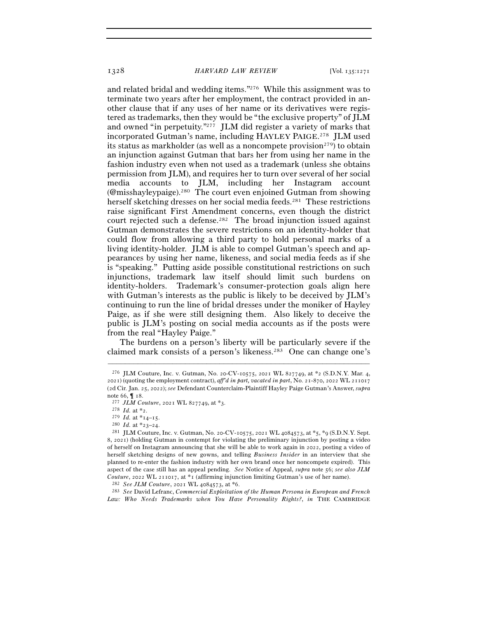and related bridal and wedding items."276 While this assignment was to terminate two years after her employment, the contract provided in another clause that if any uses of her name or its derivatives were registered as trademarks, then they would be "the exclusive property" of JLM and owned "in perpetuity."277 JLM did register a variety of marks that incorporated Gutman's name, including HAYLEY PAIGE. 278 JLM used its status as markholder (as well as a noncompete provision<sup>279</sup>) to obtain an injunction against Gutman that bars her from using her name in the fashion industry even when not used as a trademark (unless she obtains permission from JLM), and requires her to turn over several of her social media accounts to JLM, including her Instagram account (@misshayleypaige).280 The court even enjoined Gutman from showing herself sketching dresses on her social media feeds.<sup>281</sup> These restrictions raise significant First Amendment concerns, even though the district court rejected such a defense.282 The broad injunction issued against Gutman demonstrates the severe restrictions on an identity-holder that could flow from allowing a third party to hold personal marks of a living identity-holder. JLM is able to compel Gutman's speech and appearances by using her name, likeness, and social media feeds as if she is "speaking." Putting aside possible constitutional restrictions on such injunctions, trademark law itself should limit such burdens on identity-holders. Trademark's consumer-protection goals align here with Gutman's interests as the public is likely to be deceived by JLM's continuing to run the line of bridal dresses under the moniker of Hayley Paige, as if she were still designing them. Also likely to deceive the public is JLM's posting on social media accounts as if the posts were from the real "Hayley Paige."

The burdens on a person's liberty will be particularly severe if the claimed mark consists of a person's likeness.283 One can change one's

<sup>&</sup>lt;sup>276</sup> JLM Couture, Inc. v. Gutman, No. 20-CV-10575, 2021 WL 827749, at  $*$ 2 (S.D.N.Y. Mar. 4, 2021) (quoting the employment contract), *aff'd in part, vacated in part*, No. 21-870, 2022 WL 211017 (2d Cir. Jan. 25, 2022); *see* Defendant Counterclaim-Plaintiff Hayley Paige Gutman's Answer, *supra* note 66,  $\P$  18.<br>
<sup>277</sup> *JLM Couture*, 2021 WL 827749, at \*3.<br>
<sup>278</sup> *Id.* at \*14–15.<br>
<sup>280</sup> *Id.* at \*23–24.

<sup>&</sup>lt;sup>281</sup> JLM Couture, Inc. v. Gutman, No. 20-CV-10575, 2021 WL 4084573, at \*5, \*9 (S.D.N.Y. Sept. 8, 2021) (holding Gutman in contempt for violating the preliminary injunction by posting a video of herself on Instagram announcing that she will be able to work again in 2022, posting a video of herself sketching designs of new gowns, and telling *Business Insider* in an interview that she planned to re-enter the fashion industry with her own brand once her noncompete expired). This aspect of the case still has an appeal pending. *See* Notice of Appeal, *supra* note 56; *see also JLM Couture*, 2022 WL 211017, at \*<sup>1</sup> (affirming injunction limiting Gutman's use of her name). 282 *See JLM Couture*, 2021 WL 4084573, at \*6.

<sup>283</sup> *See* David Lefranc, *Commercial Exploitation of the Human Persona in European and French Law: Who Needs Trademarks when You Have Personality Rights?*, *in* THE CAMBRIDGE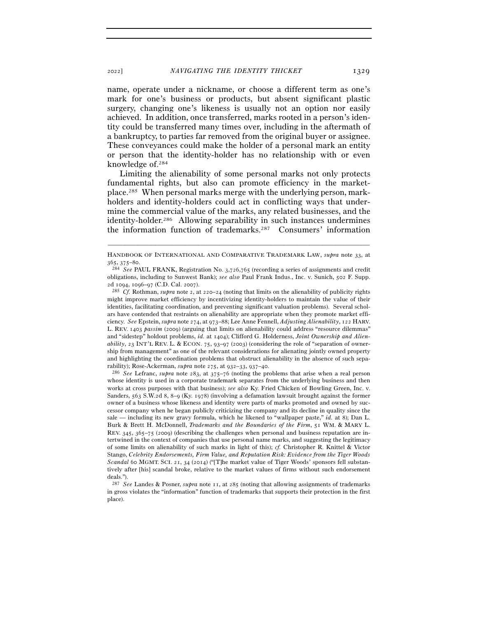name, operate under a nickname, or choose a different term as one's mark for one's business or products, but absent significant plastic surgery, changing one's likeness is usually not an option nor easily achieved. In addition, once transferred, marks rooted in a person's identity could be transferred many times over, including in the aftermath of a bankruptcy, to parties far removed from the original buyer or assignee. These conveyances could make the holder of a personal mark an entity or person that the identity-holder has no relationship with or even knowledge of.284

Limiting the alienability of some personal marks not only protects fundamental rights, but also can promote efficiency in the marketplace.285 When personal marks merge with the underlying person, markholders and identity-holders could act in conflicting ways that undermine the commercial value of the marks, any related businesses, and the identity-holder.286 Allowing separability in such instances undermines the information function of trademarks.287 Consumers' information

<sup>286</sup> *See* Lefranc, *supra* note 283, at 375–76 (noting the problems that arise when a real person whose identity is used in a corporate trademark separates from the underlying business and then works at cross purposes with that business); *see also* Ky. Fried Chicken of Bowling Green, Inc. v. Sanders, 563 S.W.2d 8, 8–9 (Ky. 1978) (involving a defamation lawsuit brought against the former owner of a business whose likeness and identity were parts of marks promoted and owned by successor company when he began publicly criticizing the company and its decline in quality since the sale — including its new gravy formula, which he likened to "wallpaper paste," *id.* at 8); Dan L. Burk & Brett H. McDonnell, *Trademarks and the Boundaries of the Firm*, 51 WM. & MARY L. REV. 345, 365–75 (2009) (describing the challenges when personal and business reputation are intertwined in the context of companies that use personal name marks, and suggesting the legitimacy of some limits on alienability of such marks in light of this); *cf.* Christopher R. Knittel & Victor Stango, *Celebrity Endorsements, Firm Value, and Reputation Risk: Evidence from the Tiger Woods Scandal* 60 MGMT. SCI. 21, 34 (2014) ("[T]he market value of Tiger Woods' sponsors fell substantively after [his] scandal broke, relative to the market values of firms without such endorsement deals.").

<sup>–––––––––––––––––––––––––––––––––––––––––––––––––––––––––––––</sup> HANDBOOK OF INTERNATIONAL AND COMPARATIVE TRADEMARK LAW, *supra* note 33, at <sup>365</sup>, 375–<sup>80</sup>. 284 *See* PAUL FRANK, Registration No. 3,726,765 (recording a series of assignments and credit

obligations, including to Sunwest Bank); *see also* Paul Frank Indus., Inc. v. Sunich, 502 F. Supp. <sup>2</sup>d 1094, 1096–97 (C.D. Cal. <sup>2007</sup>). 285 *Cf.* Rothman, *supra* note 2, at 220–24 (noting that limits on the alienability of publicity rights

might improve market efficiency by incentivizing identity-holders to maintain the value of their identities, facilitating coordination, and preventing significant valuation problems). Several scholars have contended that restraints on alienability are appropriate when they promote market efficiency. *See* Epstein, *supra* note 274, at 973–88; Lee Anne Fennell, *Adjusting Alienability*, 122 HARV. L. REV. 1403 *passim* (2009) (arguing that limits on alienability could address "resource dilemmas" and "sidestep" holdout problems, *id.* at 1404); Clifford G. Holderness, *Joint Ownership and Alienability*, 23 INT'L REV. L. & ECON. 75, 93–97 (2003) (considering the role of "separation of ownership from management" as one of the relevant considerations for alienating jointly owned property and highlighting the coordination problems that obstruct alienability in the absence of such separability); Rose-Ackerman, *supra* note 275, at 932–33, 937–40.

<sup>287</sup> *See* Landes & Posner, *supra* note 11, at 285 (noting that allowing assignments of trademarks in gross violates the "information" function of trademarks that supports their protection in the first place).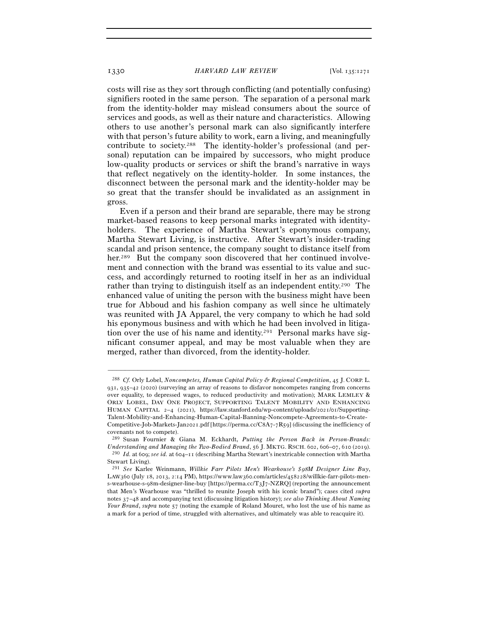costs will rise as they sort through conflicting (and potentially confusing) signifiers rooted in the same person. The separation of a personal mark from the identity-holder may mislead consumers about the source of services and goods, as well as their nature and characteristics. Allowing others to use another's personal mark can also significantly interfere with that person's future ability to work, earn a living, and meaningfully contribute to society.288 The identity-holder's professional (and personal) reputation can be impaired by successors, who might produce low-quality products or services or shift the brand's narrative in ways that reflect negatively on the identity-holder. In some instances, the disconnect between the personal mark and the identity-holder may be so great that the transfer should be invalidated as an assignment in gross.

Even if a person and their brand are separable, there may be strong market-based reasons to keep personal marks integrated with identityholders. The experience of Martha Stewart's eponymous company, Martha Stewart Living, is instructive. After Stewart's insider-trading scandal and prison sentence, the company sought to distance itself from her.<sup>289</sup> But the company soon discovered that her continued involvement and connection with the brand was essential to its value and success, and accordingly returned to rooting itself in her as an individual rather than trying to distinguish itself as an independent entity.290 The enhanced value of uniting the person with the business might have been true for Abboud and his fashion company as well since he ultimately was reunited with JA Apparel, the very company to which he had sold his eponymous business and with which he had been involved in litigation over the use of his name and identity.291 Personal marks have significant consumer appeal, and may be most valuable when they are merged, rather than divorced, from the identity-holder.

<sup>288</sup> *Cf.* Orly Lobel, *Noncompetes, Human Capital Policy & Regional Competition*, 45 J. CORP. L. 931, 935–42 (2020) (surveying an array of reasons to disfavor noncompetes ranging from concerns over equality, to depressed wages, to reduced productivity and motivation); MARK LEMLEY & ORLY LOBEL, DAY ONE PROJECT, SUPPORTING TALENT MOBILITY AND ENHANCING HUMAN CAPITAL 2–4 (2021), https://law.stanford.edu/wp-content/uploads/2021/01/Supporting-Talent-Mobility-and-Enhancing-Human-Capital-Banning-Noncompete-Agreements-to-Create-Competitive-Job-Markets-Jan2021.pdf [https://perma.cc/C8A7-7R59] (discussing the inefficiency of covenants not to compete).

<sup>289</sup> Susan Fournier & Giana M. Eckhardt, *Putting the Person Back in Person-Brands: Understanding and Managing the Two-Bodied Brand*, 56 J. MKTG. RSCH. 602, 606–07, 610 (2019). 290 *Id.* at 609; *see id.* at 604–11 (describing Martha Stewart's inextricable connection with Martha Stewart Living).

<sup>291</sup> *See* Karlee Weinmann, *Willkie Farr Pilots Men's Wearhouse's \$*98*M Designer Line Buy*, LAW360 (July 18, 2013, 2:14 PM), https://www.law360.com/articles/458228/willkie-farr-pilots-mens-wearhouse-s-98m-designer-line-buy [https://perma.cc/T3J7-NZRQ] (reporting the announcement that Men's Wearhouse was "thrilled to reunite Joseph with his iconic brand"); cases cited *supra* notes 37–48 and accompanying text (discussing litigation history); *see also Thinking About Naming Your Brand*, *supra* note 57 (noting the example of Roland Mouret, who lost the use of his name as a mark for a period of time, struggled with alternatives, and ultimately was able to reacquire it).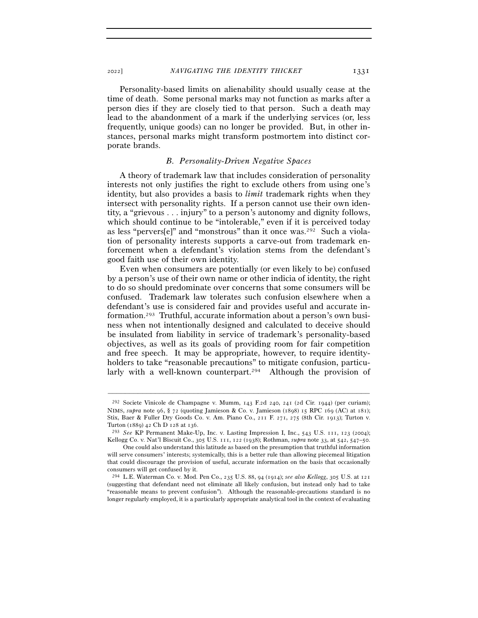<sup>2022</sup>] *NAVIGATING THE IDENTITY THICKET* 1331

Personality-based limits on alienability should usually cease at the time of death. Some personal marks may not function as marks after a person dies if they are closely tied to that person. Such a death may lead to the abandonment of a mark if the underlying services (or, less frequently, unique goods) can no longer be provided. But, in other instances, personal marks might transform postmortem into distinct corporate brands.

# *B. Personality-Driven Negative Spaces*

A theory of trademark law that includes consideration of personality interests not only justifies the right to exclude others from using one's identity, but also provides a basis to *limit* trademark rights when they intersect with personality rights. If a person cannot use their own identity, a "grievous . . . injury" to a person's autonomy and dignity follows, which should continue to be "intolerable," even if it is perceived today as less "pervers[e]" and "monstrous" than it once was.292 Such a violation of personality interests supports a carve-out from trademark enforcement when a defendant's violation stems from the defendant's good faith use of their own identity.

Even when consumers are potentially (or even likely to be) confused by a person's use of their own name or other indicia of identity, the right to do so should predominate over concerns that some consumers will be confused. Trademark law tolerates such confusion elsewhere when a defendant's use is considered fair and provides useful and accurate information.293 Truthful, accurate information about a person's own business when not intentionally designed and calculated to deceive should be insulated from liability in service of trademark's personality-based objectives, as well as its goals of providing room for fair competition and free speech. It may be appropriate, however, to require identityholders to take "reasonable precautions" to mitigate confusion, particularly with a well-known counterpart.<sup>294</sup> Although the provision of

<sup>292</sup> Societe Vinicole de Champagne v. Mumm, 143 F.2d 240, 241 (2d Cir. 1944) (per curiam); NIMS, *supra* note 96, § 72 (quoting Jamieson & Co. v. Jamieson (1898) 15 RPC 169 (AC) at 181); Stix, Baer & Fuller Dry Goods Co. v. Am. Piano Co., 211 F. 271, 275 (8th Cir. 1913); Turton v. Turton (1889) 42 Ch D 128 at <sup>136</sup>. 293 *See* KP Permanent Make-Up, Inc. v. Lasting Impression I, Inc., 543 U.S. 111, 123 (2004);

Kellogg Co. v. Nat'l Biscuit Co., 305 U.S. 111, 122 (1938); Rothman, *supra* note 33, at 542, 547–50.

One could also understand this latitude as based on the presumption that truthful information will serve consumers' interests; systemically, this is a better rule than allowing piecemeal litigation that could discourage the provision of useful, accurate information on the basis that occasionally consumers will get confused by it.

<sup>294</sup> L.E. Waterman Co. v. Mod. Pen Co., 235 U.S. 88, 94 (1914); *see also Kellogg*, 305 U.S. at 121 (suggesting that defendant need not eliminate all likely confusion, but instead only had to take "reasonable means to prevent confusion"). Although the reasonable-precautions standard is no longer regularly employed, it is a particularly appropriate analytical tool in the context of evaluating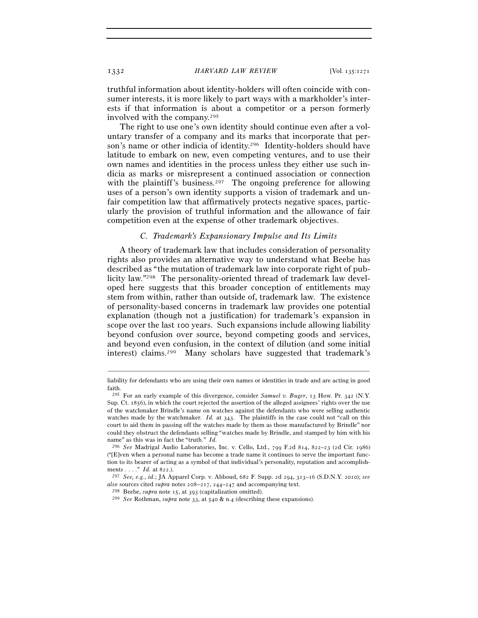truthful information about identity-holders will often coincide with consumer interests, it is more likely to part ways with a markholder's interests if that information is about a competitor or a person formerly involved with the company.295

The right to use one's own identity should continue even after a voluntary transfer of a company and its marks that incorporate that person's name or other indicia of identity.296 Identity-holders should have latitude to embark on new, even competing ventures, and to use their own names and identities in the process unless they either use such indicia as marks or misrepresent a continued association or connection with the plaintiff's business.<sup>297</sup> The ongoing preference for allowing uses of a person's own identity supports a vision of trademark and unfair competition law that affirmatively protects negative spaces, particularly the provision of truthful information and the allowance of fair competition even at the expense of other trademark objectives.

### *C. Trademark's Expansionary Impulse and Its Limits*

A theory of trademark law that includes consideration of personality rights also provides an alternative way to understand what Beebe has described as "the mutation of trademark law into corporate right of publicity law."298 The personality-oriented thread of trademark law developed here suggests that this broader conception of entitlements may stem from within, rather than outside of, trademark law. The existence of personality-based concerns in trademark law provides one potential explanation (though not a justification) for trademark's expansion in scope over the last 100 years. Such expansions include allowing liability beyond confusion over source, beyond competing goods and services, and beyond even confusion, in the context of dilution (and some initial interest) claims.299 Many scholars have suggested that trademark's

<sup>–––––––––––––––––––––––––––––––––––––––––––––––––––––––––––––</sup> liability for defendants who are using their own names or identities in trade and are acting in good faith.

<sup>295</sup> For an early example of this divergence, consider *Samuel v. Buger*, 13 How. Pr. 342 (N.Y. Sup. Ct. 1856), in which the court rejected the assertion of the alleged assignees' rights over the use of the watchmaker Brindle's name on watches against the defendants who were selling authentic watches made by the watchmaker. *Id.* at 343. The plaintiffs in the case could not "call on this court to aid them in passing off the watches made by them as those manufactured by Brindle" nor could they obstruct the defendants selling "watches made by Brindle, and stamped by him with his name" as this was in fact the "truth." *Id.*

<sup>296</sup> *See* Madrigal Audio Laboratories, Inc. v. Cello, Ltd., 799 F.2d 814, 822–23 (2d Cir. 1986) ("[E]ven when a personal name has become a trade name it continues to serve the important function to its bearer of acting as a symbol of that individual's personality, reputation and accomplishments . . . ." *Id.* at 822.).

<sup>297</sup> *See, e.g.*, *id.*; JA Apparel Corp. v. Abboud, 682 F. Supp. 2d 294, 313–16 (S.D.N.Y. 2010); *see*  also sources cited *supra* notes 208–217, 244–247 and accompanying text.<br><sup>298</sup> Beebe, *supra* note 15, at 393 (capitalization omitted).<br><sup>299</sup> See Rothman, *supra* note 33, at 540 & n.4 (describing these expansions).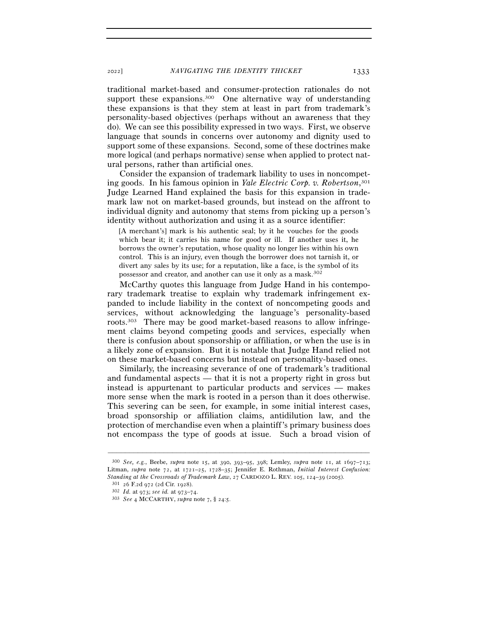<sup>2022</sup>] *NAVIGATING THE IDENTITY THICKET* 1333

traditional market-based and consumer-protection rationales do not support these expansions.<sup>300</sup> One alternative way of understanding these expansions is that they stem at least in part from trademark's personality-based objectives (perhaps without an awareness that they do). We can see this possibility expressed in two ways. First, we observe language that sounds in concerns over autonomy and dignity used to support some of these expansions. Second, some of these doctrines make more logical (and perhaps normative) sense when applied to protect natural persons, rather than artificial ones.

Consider the expansion of trademark liability to uses in noncompeting goods. In his famous opinion in *Yale Electric Corp. v. Robertson*, 301 Judge Learned Hand explained the basis for this expansion in trademark law not on market-based grounds, but instead on the affront to individual dignity and autonomy that stems from picking up a person's identity without authorization and using it as a source identifier:

[A merchant's] mark is his authentic seal; by it he vouches for the goods which bear it; it carries his name for good or ill. If another uses it, he borrows the owner's reputation, whose quality no longer lies within his own control. This is an injury, even though the borrower does not tarnish it, or divert any sales by its use; for a reputation, like a face, is the symbol of its possessor and creator, and another can use it only as a mask.302

McCarthy quotes this language from Judge Hand in his contemporary trademark treatise to explain why trademark infringement expanded to include liability in the context of noncompeting goods and services, without acknowledging the language's personality-based roots.303 There may be good market-based reasons to allow infringement claims beyond competing goods and services, especially when there is confusion about sponsorship or affiliation, or when the use is in a likely zone of expansion. But it is notable that Judge Hand relied not on these market-based concerns but instead on personality-based ones.

Similarly, the increasing severance of one of trademark's traditional and fundamental aspects — that it is not a property right in gross but instead is appurtenant to particular products and services — makes more sense when the mark is rooted in a person than it does otherwise. This severing can be seen, for example, in some initial interest cases, broad sponsorship or affiliation claims, antidilution law, and the protection of merchandise even when a plaintiff's primary business does not encompass the type of goods at issue. Such a broad vision of

<sup>300</sup> *See, e.g.*, Beebe, *supra* note 15, at 390, 393–95, 398; Lemley, *supra* note 11, at 1697–713; Litman, *supra* note 72, at 1721–25, 1728–35; Jennifer E. Rothman, *Initial Interest Confusion:*  Standing at the Crossroads of Trademark Law, 27 CARDOZO L. REV. 105, 124–39 (2005).<br><sup>301</sup> 26 F.2d 972 (2d Cir. 1928).<br><sup>302</sup> Id. at 973; see id. at 973–74.<br><sup>303</sup> See 4 MCCARTHY, supra note 7, § 24:5.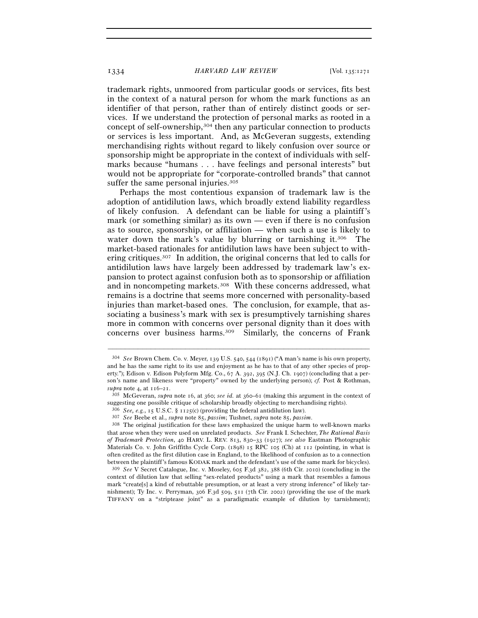trademark rights, unmoored from particular goods or services, fits best in the context of a natural person for whom the mark functions as an identifier of that person, rather than of entirely distinct goods or services. If we understand the protection of personal marks as rooted in a concept of self-ownership,304 then any particular connection to products or services is less important. And, as McGeveran suggests, extending merchandising rights without regard to likely confusion over source or sponsorship might be appropriate in the context of individuals with selfmarks because "humans . . . have feelings and personal interests" but would not be appropriate for "corporate-controlled brands" that cannot suffer the same personal injuries.<sup>305</sup>

Perhaps the most contentious expansion of trademark law is the adoption of antidilution laws, which broadly extend liability regardless of likely confusion. A defendant can be liable for using a plaintiff's mark (or something similar) as its own — even if there is no confusion as to source, sponsorship, or affiliation — when such a use is likely to water down the mark's value by blurring or tarnishing it.<sup>306</sup> The market-based rationales for antidilution laws have been subject to withering critiques.307 In addition, the original concerns that led to calls for antidilution laws have largely been addressed by trademark law's expansion to protect against confusion both as to sponsorship or affiliation and in noncompeting markets.<sup>308</sup> With these concerns addressed, what remains is a doctrine that seems more concerned with personality-based injuries than market-based ones. The conclusion, for example, that associating a business's mark with sex is presumptively tarnishing shares more in common with concerns over personal dignity than it does with concerns over business harms.309 Similarly, the concerns of Frank

<sup>304</sup> *See* Brown Chem. Co. v. Meyer, 139 U.S. 540, 544 (1891) ("A man's name is his own property, and he has the same right to its use and enjoyment as he has to that of any other species of property."); Edison v. Edison Polyform Mfg. Co., 67 A. 392, 395 (N.J. Ch. 1907) (concluding that a person's name and likeness were "property" owned by the underlying person); *cf.* Post & Rothman, *supra* note 4, at 116–<sup>21</sup>. 305 McGeveran, *supra* note 16, at 360; *see id.* at 360–61 (making this argument in the context of

suggesting one possible critique of scholarship broadly objecting to merchandising rights).

<sup>&</sup>lt;sup>306</sup> *See, e.g., 15* U.S.C. § 1125(c) (providing the federal antidilution law).<br><sup>307</sup> *See* Beebe et al., *supra* note 85, *passim*; Tushnet, *supra* note 85, *passim*.<br><sup>308</sup> The original justification for these laws emp that arose when they were used on unrelated products. *See* Frank I. Schechter, *The Rational Basis of Trademark Protection*, 40 HARV. L. REV. 813, 830–33 (1927); *see also* Eastman Photographic Materials Co. v. John Griffiths Cycle Corp. (1898) 15 RPC 105 (Ch) at 112 (pointing, in what is often credited as the first dilution case in England, to the likelihood of confusion as to a connection between the plaintiff's famous KODAK mark and the defendant's use of the same mark for bicycles). 309 *See* V Secret Catalogue, Inc. v. Moseley, 605 F.3d 382, 388 (6th Cir. 2010) (concluding in the

context of dilution law that selling "sex-related products" using a mark that resembles a famous mark "create[s] a kind of rebuttable presumption, or at least a very strong inference" of likely tarnishment); Ty Inc. v. Perryman, 306 F.3d 509, 511 (7th Cir. 2002) (providing the use of the mark TIFFANY on a "striptease joint" as a paradigmatic example of dilution by tarnishment);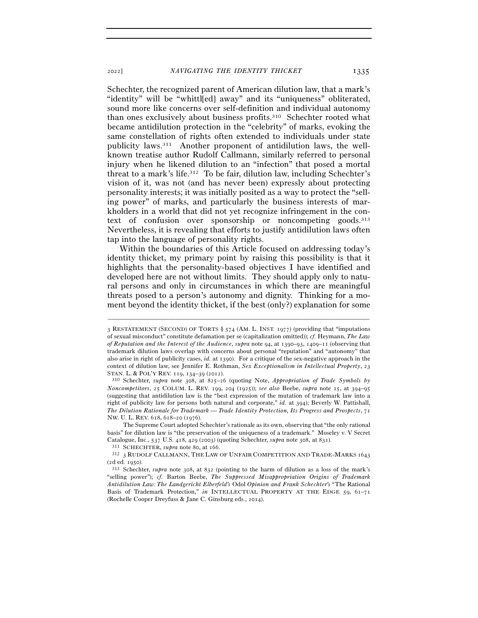Schechter, the recognized parent of American dilution law, that a mark's "identity" will be "whittl[ed] away" and its "uniqueness" obliterated, sound more like concerns over self-definition and individual autonomy than ones exclusively about business profits.310 Schechter rooted what became antidilution protection in the "celebrity" of marks, evoking the same constellation of rights often extended to individuals under state publicity laws.311 Another proponent of antidilution laws, the wellknown treatise author Rudolf Callmann, similarly referred to personal injury when he likened dilution to an "infection" that posed a mortal threat to a mark's life.312 To be fair, dilution law, including Schechter's vision of it, was not (and has never been) expressly about protecting personality interests; it was initially posited as a way to protect the "selling power" of marks, and particularly the business interests of markholders in a world that did not yet recognize infringement in the context of confusion over sponsorship or noncompeting goods.313 Nevertheless, it is revealing that efforts to justify antidilution laws often tap into the language of personality rights.

Within the boundaries of this Article focused on addressing today's identity thicket, my primary point by raising this possibility is that it highlights that the personality-based objectives I have identified and developed here are not without limits. They should apply only to natural persons and only in circumstances in which there are meaningful threats posed to a person's autonomy and dignity. Thinking for a moment beyond the identity thicket, if the best (only?) explanation for some

<sup>3</sup> RESTATEMENT (SECOND) OF TORTS § 574 (AM. L. INST. 1977) (providing that "imputations of sexual misconduct" constitute defamation per se (capitalization omitted)); *cf.* Heymann, *The Law of Reputation and the Interest of the Audience*, *supra* note 94, at 1390–93, 1409–11 (observing that trademark dilution laws overlap with concerns about personal "reputation" and "autonomy" that also arise in right of publicity cases, *id.* at 1390). For a critique of the sex-negative approach in the context of dilution law, see Jennifer E. Rothman, *Sex Exceptionalism in Intellectual Property*, 23 STAN. L. & POL'Y REV. 119, 134–39 (<sup>2012</sup>). 310 Schechter, *supra* note 308, at 825–26 (quoting Note, *Appropriation of Trade Symbols by* 

*Noncompetitors*, 25 COLUM. L. REV. 199, 204 (1925)); *see also* Beebe, *supra* note 15, at 394–95 (suggesting that antidilution law is the "best expression of the mutation of trademark law into a right of publicity law for persons both natural and corporate," *id.* at 394); Beverly W. Pattishall, *The Dilution Rationale for Trademark — Trade Identity Protection, Its Progress and Prospects*, 71 NW. U. L. REV. 618, 618–20 (1976).

The Supreme Court adopted Schechter's rationale as its own, observing that "the only rational basis" for dilution law is "the preservation of the uniqueness of a trademark." Moseley v. V Secret Catalogue, Inc., 537 U.S. 418, 429 (2003) (quoting Schechter, *supra* note 308, at 831).<br><sup>311</sup> SCHECHTER, *supra* note 80, at 166.<br><sup>312</sup> 3 RUDOLF CALLMANN, THE LAW OF UNFAIR COMPETITION AND TRADE-MARKS 1643

<sup>(</sup>2d ed. <sup>1950</sup>). 313 Schechter, *supra* note 308, at 832 (pointing to the harm of dilution as a loss of the mark's

<sup>&</sup>quot;selling power"); *cf.* Barton Beebe, *The Suppressed Misappropriation Origins of Trademark Antidilution Law: The Landgericht Elberfeld's* Odol *Opinion and Frank Schechter's* "The Rational Basis of Trademark Protection," *in* INTELLECTUAL PROPERTY AT THE EDGE 59, 61-71 (Rochelle Cooper Dreyfuss & Jane C. Ginsburg eds., 2014).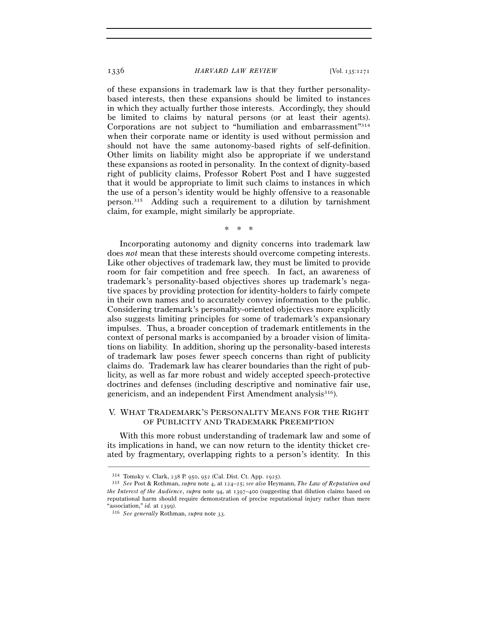of these expansions in trademark law is that they further personalitybased interests, then these expansions should be limited to instances in which they actually further those interests. Accordingly, they should be limited to claims by natural persons (or at least their agents). Corporations are not subject to "humiliation and embarrassment"314 when their corporate name or identity is used without permission and should not have the same autonomy-based rights of self-definition. Other limits on liability might also be appropriate if we understand these expansions as rooted in personality. In the context of dignity-based right of publicity claims, Professor Robert Post and I have suggested that it would be appropriate to limit such claims to instances in which the use of a person's identity would be highly offensive to a reasonable person.315 Adding such a requirement to a dilution by tarnishment claim, for example, might similarly be appropriate.

#### \* \* \*

Incorporating autonomy and dignity concerns into trademark law does *not* mean that these interests should overcome competing interests. Like other objectives of trademark law, they must be limited to provide room for fair competition and free speech. In fact, an awareness of trademark's personality-based objectives shores up trademark's negative spaces by providing protection for identity-holders to fairly compete in their own names and to accurately convey information to the public. Considering trademark's personality-oriented objectives more explicitly also suggests limiting principles for some of trademark's expansionary impulses. Thus, a broader conception of trademark entitlements in the context of personal marks is accompanied by a broader vision of limitations on liability. In addition, shoring up the personality-based interests of trademark law poses fewer speech concerns than right of publicity claims do. Trademark law has clearer boundaries than the right of publicity, as well as far more robust and widely accepted speech-protective doctrines and defenses (including descriptive and nominative fair use, genericism, and an independent First Amendment analysis<sup>316</sup>).

# V. WHAT TRADEMARK'S PERSONALITY MEANS FOR THE RIGHT OF PUBLICITY AND TRADEMARK PREEMPTION

With this more robust understanding of trademark law and some of its implications in hand, we can now return to the identity thicket created by fragmentary, overlapping rights to a person's identity. In this

<sup>314</sup> Tomsky v. Clark, 238 P. 950, 952 (Cal. Dist. Ct. App. <sup>1925</sup>). 315 *See* Post & Rothman, *supra* note 4, at 124–25; *see also* Heymann, *The Law of Reputation and the Interest of the Audience*, *supra* note 94, at 1397–400 (suggesting that dilution claims based on reputational harm should require demonstration of precise reputational injury rather than mere "association," *id.* at <sup>1399</sup>). 316 *See generally* Rothman, *supra* note 33.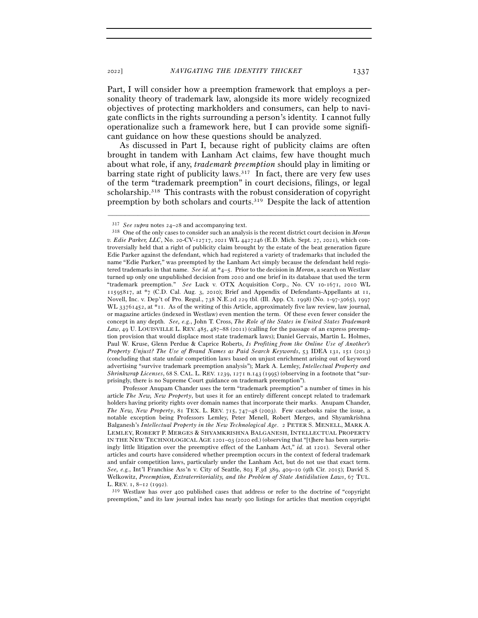<sup>2022</sup>] *NAVIGATING THE IDENTITY THICKET* 1337

Part, I will consider how a preemption framework that employs a personality theory of trademark law, alongside its more widely recognized objectives of protecting markholders and consumers, can help to navigate conflicts in the rights surrounding a person's identity. I cannot fully operationalize such a framework here, but I can provide some significant guidance on how these questions should be analyzed.

As discussed in Part I, because right of publicity claims are often brought in tandem with Lanham Act claims, few have thought much about what role, if any, *trademark preemption* should play in limiting or barring state right of publicity laws.<sup>317</sup> In fact, there are very few uses of the term "trademark preemption" in court decisions, filings, or legal scholarship.<sup>318</sup> This contrasts with the robust consideration of copyright preemption by both scholars and courts.319 Despite the lack of attention

–––––––––––––––––––––––––––––––––––––––––––––––––––––––––––––

 Professor Anupam Chander uses the term "trademark preemption" a number of times in his article *The New, New Property*, but uses it for an entirely different concept related to trademark holders having priority rights over domain names that incorporate their marks. Anupam Chander, *The New, New Property*, 81 TEX. L. REV. 715, 747–48 (2003). Few casebooks raise the issue, a notable exception being Professors Lemley, Peter Menell, Robert Merges, and Shyamkrishna Balganesh's *Intellectual Property in the New Technological Age*. 2 PETER S. MENELL, MARK A. LEMLEY, ROBERT P. MERGES & SHYAMKRISHNA BALGANESH, INTELLECTUAL PROPERTY IN THE NEW TECHNOLOGICAL AGE 1201–03 (2020 ed.) (observing that "[t]here has been surprisingly little litigation over the preemptive effect of the Lanham Act," *id.* at 1201). Several other articles and courts have considered whether preemption occurs in the context of federal trademark and unfair competition laws, particularly under the Lanham Act, but do not use that exact term. *See, e.g.*, Int'l Franchise Ass'n v. City of Seattle, 803 F.3d 389, 409–10 (9th Cir. 2015); David S. Welkowitz, *Preemption, Extraterritoriality, and the Problem of State Antidilution Laws*, 67 TUL. L. REV. 1, 8–12 (1992).<br> $319$  Westlaw has over 400 published cases that address or refer to the doctrine of "copyright"

preemption," and its law journal index has nearly 900 listings for articles that mention copyright

<sup>317</sup> *See supra* notes 24–<sup>28</sup> and accompanying text. 318 One of the only cases to consider such an analysis is the recent district court decision in *Moran v. Edie Parker, LLC*, No. 20-CV-12717, 2021 WL 4427246 (E.D. Mich. Sept. 27, 2021), which controversially held that a right of publicity claim brought by the estate of the beat generation figure Edie Parker against the defendant, which had registered a variety of trademarks that included the name "Edie Parker," was preempted by the Lanham Act simply because the defendant held registered trademarks in that name. *See id.* at \*4–5. Prior to the decision in *Moran*, a search on Westlaw turned up only one unpublished decision from 2010 and one brief in its database that used the term "trademark preemption." *See* Luck v. OTX Acquisition Corp., No. CV 10-1671, 2010 WL 11595817, at \*7 (C.D. Cal. Aug. 3, 2010); Brief and Appendix of Defendants-Appellants at 11, Novell, Inc. v. Dep't of Pro. Regul., 738 N.E.2d 229 tbl. (Ill. App. Ct. 1998) (No. 1-97-3065), 1997 WL 33761452, at \*11. As of the writing of this Article, approximately five law review, law journal, or magazine articles (indexed in Westlaw) even mention the term. Of these even fewer consider the concept in any depth. *See, e.g.*, John T. Cross, *The Role of the States in United States Trademark*  Law, 49 U. LOUISVILLE L. REV. 485, 487–88 (2011) (calling for the passage of an express preemption provision that would displace most state trademark laws); Daniel Gervais, Martin L. Holmes, Paul W. Kruse, Glenn Perdue & Caprice Roberts, *Is Profiting from the Online Use of Another's Property Unjust? The Use of Brand Names as Paid Search Keywords*, 53 IDEA 131, 151 (2013) (concluding that state unfair competition laws based on unjust enrichment arising out of keyword advertising "survive trademark preemption analysis"); Mark A. Lemley, *Intellectual Property and Shrinkwrap Licenses*, 68 S. CAL. L. REV. 1239, 1271 n.143 (1995) (observing in a footnote that "surprisingly, there is no Supreme Court guidance on trademark preemption").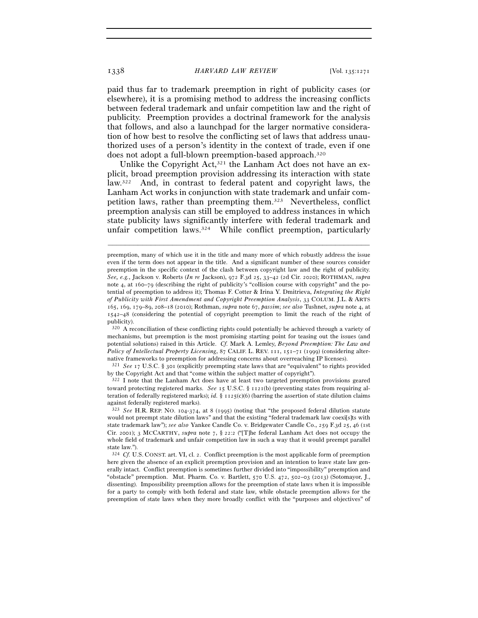paid thus far to trademark preemption in right of publicity cases (or elsewhere), it is a promising method to address the increasing conflicts between federal trademark and unfair competition law and the right of publicity. Preemption provides a doctrinal framework for the analysis that follows, and also a launchpad for the larger normative consideration of how best to resolve the conflicting set of laws that address unauthorized uses of a person's identity in the context of trade, even if one does not adopt a full-blown preemption-based approach.320

Unlike the Copyright Act,<sup>321</sup> the Lanham Act does not have an explicit, broad preemption provision addressing its interaction with state law.322 And, in contrast to federal patent and copyright laws, the Lanham Act works in conjunction with state trademark and unfair competition laws, rather than preempting them.323 Nevertheless, conflict preemption analysis can still be employed to address instances in which state publicity laws significantly interfere with federal trademark and unfair competition laws.324 While conflict preemption, particularly

–––––––––––––––––––––––––––––––––––––––––––––––––––––––––––––

native frameworks to preemption for addressing concerns about overreaching IP licenses).<br><sup>321</sup> *See* 17 U.S.C. § 301 (explicitly preempting state laws that are "equivalent" to rights provided by the Copyright Act and that "come within the subject matter of copyright").

322 I note that the Lanham Act does have at least two targeted preemption provisions geared toward protecting registered marks. *See* 15 U.S.C. § 1121(b) (preventing states from requiring alteration of federally registered marks); *id.*  $\S$  1125(c)(6) (barring the assertion of state dilution claims against federally registered marks).

preemption, many of which use it in the title and many more of which robustly address the issue even if the term does not appear in the title. And a significant number of these sources consider preemption in the specific context of the clash between copyright law and the right of publicity. *See, e.g.*, Jackson v. Roberts (*In re* Jackson), 972 F.3d 25, 33–42 (2d Cir. 2020); ROTHMAN, *supra* note 4, at 160–79 (describing the right of publicity's "collision course with copyright" and the potential of preemption to address it); Thomas F. Cotter & Irina Y. Dmitrieva, *Integrating the Right of Publicity with First Amendment and Copyright Preemption Analysis*, 33 COLUM. J.L. & ARTS 165, 169, 179–89, 208–18 (2010); Rothman, *supra* note 67, *passim*; *see also* Tushnet, *supra* note 4, at 1542–48 (considering the potential of copyright preemption to limit the reach of the right of publicity).

<sup>320</sup> A reconciliation of these conflicting rights could potentially be achieved through a variety of mechanisms, but preemption is the most promising starting point for teasing out the issues (and potential solutions) raised in this Article. *Cf.* Mark A. Lemley, *Beyond Preemption: The Law and Policy of Intellectual Property Licensing*, 87 CALIF. L. REV. 111, 151–71 (1999) (considering alter-

<sup>323</sup> *See* H.R. REP. NO. 104-374, at 8 (1995) (noting that "the proposed federal dilution statute would not preempt state dilution laws" and that the existing "federal trademark law coexi[s]ts with state trademark law"); *see also* Yankee Candle Co. v. Bridgewater Candle Co., 259 F.3d 25, 46 (1st Cir. 2001); 3 MCCARTHY, *supra* note 7, § 22:2 ("[T]he federal Lanham Act does not occupy the whole field of trademark and unfair competition law in such a way that it would preempt parallel state law.").

<sup>324</sup> *Cf.* U.S. CONST. art. VI, cl. 2. Conflict preemption is the most applicable form of preemption here given the absence of an explicit preemption provision and an intention to leave state law generally intact. Conflict preemption is sometimes further divided into "impossibility" preemption and "obstacle" preemption. Mut. Pharm. Co. v. Bartlett, 570 U.S. 472, 502–03 (2013) (Sotomayor, J., dissenting). Impossibility preemption allows for the preemption of state laws when it is impossible for a party to comply with both federal and state law, while obstacle preemption allows for the preemption of state laws when they more broadly conflict with the "purposes and objectives" of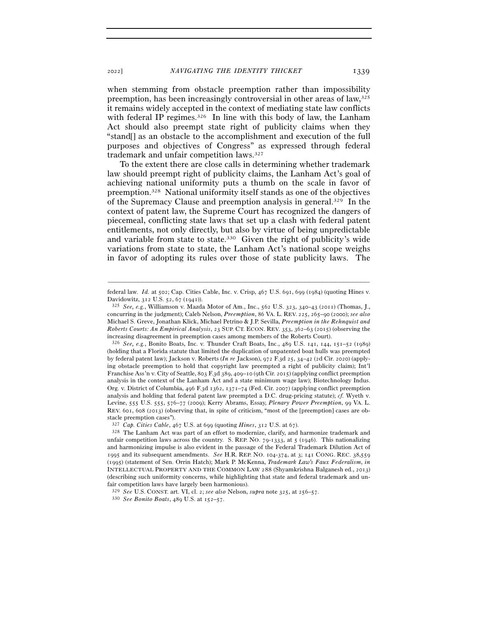when stemming from obstacle preemption rather than impossibility preemption, has been increasingly controversial in other areas of law,325 it remains widely accepted in the context of mediating state law conflicts with federal IP regimes.<sup>326</sup> In line with this body of law, the Lanham Act should also preempt state right of publicity claims when they "stand[] as an obstacle to the accomplishment and execution of the full purposes and objectives of Congress" as expressed through federal trademark and unfair competition laws.327

To the extent there are close calls in determining whether trademark law should preempt right of publicity claims, the Lanham Act's goal of achieving national uniformity puts a thumb on the scale in favor of preemption.328 National uniformity itself stands as one of the objectives of the Supremacy Clause and preemption analysis in general.329 In the context of patent law, the Supreme Court has recognized the dangers of piecemeal, conflicting state laws that set up a clash with federal patent entitlements, not only directly, but also by virtue of being unpredictable and variable from state to state.330 Given the right of publicity's wide variations from state to state, the Lanham Act's national scope weighs in favor of adopting its rules over those of state publicity laws. The

<sup>–––––––––––––––––––––––––––––––––––––––––––––––––––––––––––––</sup> federal law. *Id.* at 502; Cap. Cities Cable, Inc. v. Crisp, 467 U.S. 691, 699 (1984) (quoting Hines v. Davidowitz, 312 U.S. 52, 67 (<sup>1941</sup>)). 325 *See, e.g.*, Williamson v. Mazda Motor of Am., Inc., 562 U.S. 323, 340–43 (2011) (Thomas, J.,

concurring in the judgment); Caleb Nelson, *Preemption*, 86 VA. L. REV. 225, 265–90 (2000); *see also* Michael S. Greve, Jonathan Klick, Michael Petrino & J.P. Sevilla, *Preemption in the Rehnquist and Roberts Courts: An Empirical Analysis*, 23 SUP. CT. ECON. REV. 353, 362–63 (2015) (observing the increasing disagreement in preemption cases among members of the Roberts Court).

<sup>326</sup> *See, e.g.*, Bonito Boats, Inc. v. Thunder Craft Boats, Inc., 489 U.S. 141, 144, 151–52 (1989) (holding that a Florida statute that limited the duplication of unpatented boat hulls was preempted by federal patent law); Jackson v. Roberts (*In re* Jackson), 972 F.3d 25, 34–42 (2d Cir. 2020) (applying obstacle preemption to hold that copyright law preempted a right of publicity claim); Int'l Franchise Ass'n v. City of Seattle, 803 F.3d 389, 409–10 (9th Cir. 2015) (applying conflict preemption analysis in the context of the Lanham Act and a state minimum wage law); Biotechnology Indus. Org. v. District of Columbia, 496 F.3d 1362, 1371–74 (Fed. Cir. 2007) (applying conflict preemption analysis and holding that federal patent law preempted a D.C. drug-pricing statute); *cf.* Wyeth v. Levine, 555 U.S. 555, 576–77 (2009); Kerry Abrams, Essay, *Plenary Power Preemption*, 99 VA. L. REV. 601, 608 (2013) (observing that, in spite of criticism, "most of the [preemption] cases are obstacle preemption cases").

<sup>327</sup> *Cap. Cities Cable*, 467 U.S. at 699 (quoting *Hines*, 312 U.S. at<sup>67</sup>). 328 The Lanham Act was part of an effort to modernize, clarify, and harmonize trademark and unfair competition laws across the country. S. REP. NO.  $79-1333$ , at  $5 \text{ (1946)}$ . This nationalizing and harmonizing impulse is also evident in the passage of the Federal Trademark Dilution Act of 1995 and its subsequent amendments. *See* H.R. REP. NO. 104-374, at 3; 141 CONG. REC. 38,559 (1995) (statement of Sen. Orrin Hatch); Mark P. McKenna, *Trademark Law's Faux Federalism*, *in* INTELLECTUAL PROPERTY AND THE COMMON LAW 288 (Shyamkrishna Balganesh ed., 2013) (describing such uniformity concerns, while highlighting that state and federal trademark and unfair competition laws have largely been harmonious).

<sup>329</sup> *See* U.S. CONST. art. VI, cl. 2; *see also* Nelson, *supra* note 325, at 256–<sup>57</sup>. 330 *See Bonito Boats*, 489 U.S. at 152–57.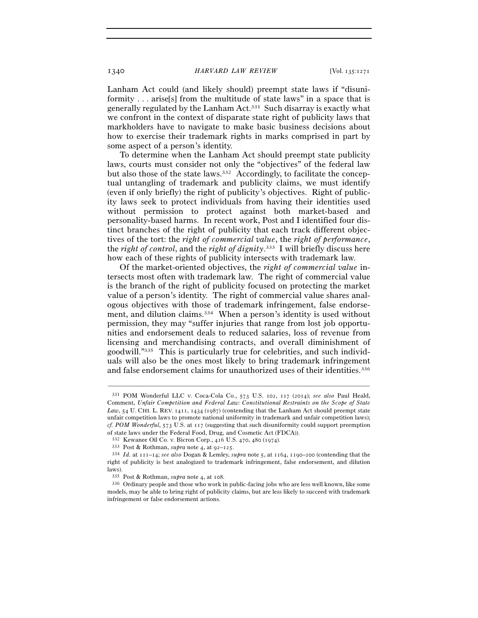Lanham Act could (and likely should) preempt state laws if "disuniformity . . . arise[s] from the multitude of state laws" in a space that is generally regulated by the Lanham Act.331 Such disarray is exactly what we confront in the context of disparate state right of publicity laws that markholders have to navigate to make basic business decisions about how to exercise their trademark rights in marks comprised in part by some aspect of a person's identity.

To determine when the Lanham Act should preempt state publicity laws, courts must consider not only the "objectives" of the federal law but also those of the state laws.332 Accordingly, to facilitate the conceptual untangling of trademark and publicity claims, we must identify (even if only briefly) the right of publicity's objectives. Right of publicity laws seek to protect individuals from having their identities used without permission to protect against both market-based and personality-based harms. In recent work, Post and I identified four distinct branches of the right of publicity that each track different objectives of the tort: the *right of commercial value*, the *right of performance*, the *right of control*, and the *right of dignity*. 333 I will briefly discuss here how each of these rights of publicity intersects with trademark law.

Of the market-oriented objectives, the *right of commercial value* intersects most often with trademark law. The right of commercial value is the branch of the right of publicity focused on protecting the market value of a person's identity. The right of commercial value shares analogous objectives with those of trademark infringement, false endorsement, and dilution claims.<sup>334</sup> When a person's identity is used without permission, they may "suffer injuries that range from lost job opportunities and endorsement deals to reduced salaries, loss of revenue from licensing and merchandising contracts, and overall diminishment of goodwill."335 This is particularly true for celebrities, and such individuals will also be the ones most likely to bring trademark infringement and false endorsement claims for unauthorized uses of their identities.336

<sup>331</sup> POM Wonderful LLC v. Coca-Cola Co., 573 U.S. 102, 117 (2014); *see also* Paul Heald, Comment, *Unfair Competition and Federal Law: Constitutional Restraints on the Scope of State Law*, 54 U. CHI. L. REV. 1411, 1434 (1987) (contending that the Lanham Act should preempt state unfair competition laws to promote national uniformity in trademark and unfair competition laws); *cf. POM Wonderful*, 573 U.S. at 117 (suggesting that such disuniformity could support preemption of state laws under the Federal Food, Drug, and Cosmetic Act (FDCA)).

<sup>&</sup>lt;sup>332</sup> Kewanee Oil Co. v. Bicron Corp., 416 U.S. 470, 480 (1974).<br><sup>333</sup> Post & Rothman, *supra* note 4, at 92–125.<br><sup>334</sup> Id. at 111–14; *see also* Dogan & Lemley, *supra* note 5, at 1164, 1190–200 (contending that the right of publicity is best analogized to trademark infringement, false endorsement, and dilution laws).<br> $335$  Post & Rothman, *supra* note 4, at 108.

<sup>&</sup>lt;sup>336</sup> Ordinary people and those who work in public-facing jobs who are less well known, like some models, may be able to bring right of publicity claims, but are less likely to succeed with trademark infringement or false endorsement actions.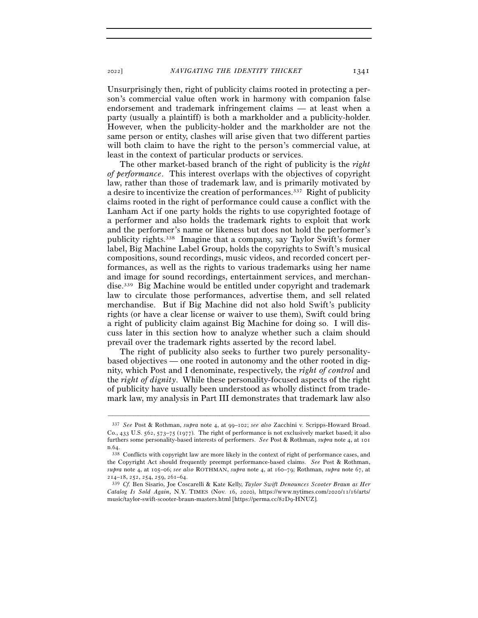<sup>2022</sup>] *NAVIGATING THE IDENTITY THICKET* 1341

Unsurprisingly then, right of publicity claims rooted in protecting a person's commercial value often work in harmony with companion false endorsement and trademark infringement claims — at least when a party (usually a plaintiff) is both a markholder and a publicity-holder. However, when the publicity-holder and the markholder are not the same person or entity, clashes will arise given that two different parties will both claim to have the right to the person's commercial value, at least in the context of particular products or services.

The other market-based branch of the right of publicity is the *right of performance*. This interest overlaps with the objectives of copyright law, rather than those of trademark law, and is primarily motivated by a desire to incentivize the creation of performances.337 Right of publicity claims rooted in the right of performance could cause a conflict with the Lanham Act if one party holds the rights to use copyrighted footage of a performer and also holds the trademark rights to exploit that work and the performer's name or likeness but does not hold the performer's publicity rights.338 Imagine that a company, say Taylor Swift's former label, Big Machine Label Group, holds the copyrights to Swift's musical compositions, sound recordings, music videos, and recorded concert performances, as well as the rights to various trademarks using her name and image for sound recordings, entertainment services, and merchandise.339 Big Machine would be entitled under copyright and trademark law to circulate those performances, advertise them, and sell related merchandise. But if Big Machine did not also hold Swift's publicity rights (or have a clear license or waiver to use them), Swift could bring a right of publicity claim against Big Machine for doing so. I will discuss later in this section how to analyze whether such a claim should prevail over the trademark rights asserted by the record label.

The right of publicity also seeks to further two purely personalitybased objectives — one rooted in autonomy and the other rooted in dignity, which Post and I denominate, respectively, the *right of control* and the *right of dignity*. While these personality-focused aspects of the right of publicity have usually been understood as wholly distinct from trademark law, my analysis in Part III demonstrates that trademark law also

<sup>337</sup> *See* Post & Rothman, *supra* note 4, at 99–102; *see also* Zacchini v. Scripps-Howard Broad. Co., 433 U.S. 562, 573–75 (1977). The right of performance is not exclusively market based; it also furthers some personality-based interests of performers. *See* Post & Rothman, *supra* note 4, at 101 n.<sup>64</sup>. 338 Conflicts with copyright law are more likely in the context of right of performance cases, and

the Copyright Act should frequently preempt performance-based claims. *See* Post & Rothman, *supra* note 4, at 105–06; *see also* ROTHMAN, *supra* note 4, at 160–79; Rothman, *supra* note 67, at <sup>214</sup>–18, 252, 254, 259, 261–<sup>64</sup>. 339 *Cf.* Ben Sisario, Joe Coscarelli & Kate Kelly, *Taylor Swift Denounces Scooter Braun as Her* 

*Catalog Is Sold Again*, N.Y. TIMES (Nov. 16, 2020), https://www.nytimes.com/2020/11/16/arts/ music/taylor-swift-scooter-braun-masters.html [https://perma.cc/82D9-HNUZ].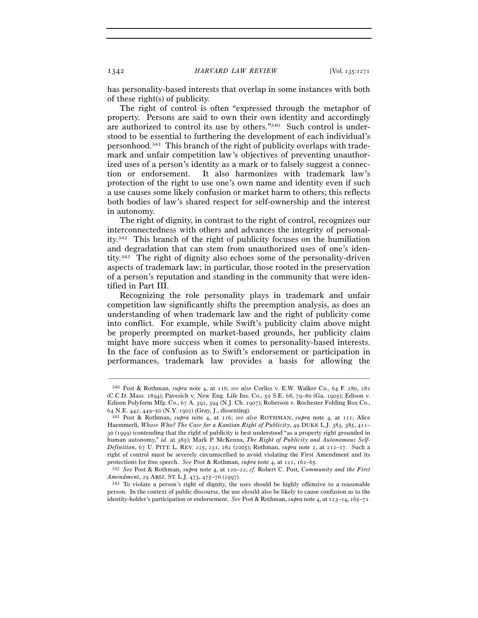has personality-based interests that overlap in some instances with both of these right(s) of publicity.

The right of control is often "expressed through the metaphor of property. Persons are said to own their own identity and accordingly are authorized to control its use by others."340 Such control is understood to be essential to furthering the development of each individual's personhood.341 This branch of the right of publicity overlaps with trademark and unfair competition law's objectives of preventing unauthorized uses of a person's identity as a mark or to falsely suggest a connection or endorsement. It also harmonizes with trademark law's protection of the right to use one's own name and identity even if such a use causes some likely confusion or market harm to others; this reflects both bodies of law's shared respect for self-ownership and the interest in autonomy.

The right of dignity, in contrast to the right of control, recognizes our interconnectedness with others and advances the integrity of personality.342 This branch of the right of publicity focuses on the humiliation and degradation that can stem from unauthorized uses of one's identity.343 The right of dignity also echoes some of the personality-driven aspects of trademark law; in particular, those rooted in the preservation of a person's reputation and standing in the community that were identified in Part III.

Recognizing the role personality plays in trademark and unfair competition law significantly shifts the preemption analysis, as does an understanding of when trademark law and the right of publicity come into conflict. For example, while Swift's publicity claim above might be properly preempted on market-based grounds, her publicity claim might have more success when it comes to personality-based interests. In the face of confusion as to Swift's endorsement or participation in performances, trademark law provides a basis for allowing the

<sup>340</sup> Post & Rothman, *supra* note 4, at 116; *see also* Corliss v. E.W. Walker Co., 64 F. 280, 282 (C.C.D. Mass. 1894); Pavesich v. New Eng. Life Ins. Co., 50 S.E. 68, 79–80 (Ga. 1905); Edison v. Edison Polyform Mfg. Co., 67 A. 392, 394 (N.J. Ch. 1907); Roberson v. Rochester Folding Box Co., <sup>64</sup> N.E. 442, 449–50 (N.Y. <sup>1902</sup>) (Gray, J., dissenting). 341 Post & Rothman, *supra* note 4, at 116; *see also* ROTHMAN, *supra* note 4, at 111; Alice

Haemmerli, *Whose Who? The Case for a Kantian Right of Publicity*, 49 DUKE L.J. 383, 385, 411– 30 (1999) (contending that the right of publicity is best understood "as a property right grounded in human autonomy," *id.* at 385); Mark P. McKenna, *The Right of Publicity and Autonomous Self-Definition*, 67 U. PITT. L. REV. 225, 231, 282 (2005); Rothman, *supra* note 2, at 212–17. Such a right of control must be severely circumscribed to avoid violating the First Amendment and its protections for free speech. *See* Post & Rothman, *supra* note 4, at 121, 162–<sup>65</sup>. 342 *See* Post & Rothman, *supra* note 4, at 120–22; *cf.* Robert C. Post, *Community and the First* 

*Amendment*, 29 ARIZ. ST. L.J. 473, 475–76 (1997).<br><sup>343</sup> To violate a person's right of dignity, the uses should be highly offensive to a reasonable

person. In the context of public discourse, the use should also be likely to cause confusion as to the identity-holder's participation or endorsement. *See* Post & Rothman, *supra* note 4, at 123–24, 165–71.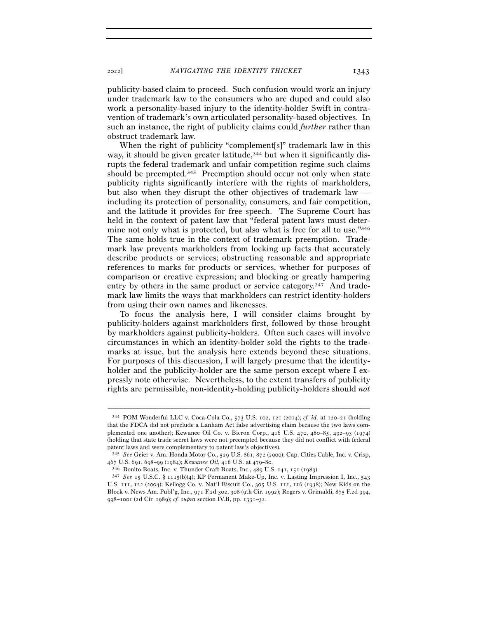publicity-based claim to proceed. Such confusion would work an injury under trademark law to the consumers who are duped and could also work a personality-based injury to the identity-holder Swift in contravention of trademark's own articulated personality-based objectives. In such an instance, the right of publicity claims could *further* rather than obstruct trademark law.

When the right of publicity "complement[s]" trademark law in this way, it should be given greater latitude,<sup>344</sup> but when it significantly disrupts the federal trademark and unfair competition regime such claims should be preempted.345 Preemption should occur not only when state publicity rights significantly interfere with the rights of markholders, but also when they disrupt the other objectives of trademark law including its protection of personality, consumers, and fair competition, and the latitude it provides for free speech. The Supreme Court has held in the context of patent law that "federal patent laws must determine not only what is protected, but also what is free for all to use."<sup>346</sup> The same holds true in the context of trademark preemption. Trademark law prevents markholders from locking up facts that accurately describe products or services; obstructing reasonable and appropriate references to marks for products or services, whether for purposes of comparison or creative expression; and blocking or greatly hampering entry by others in the same product or service category.347 And trademark law limits the ways that markholders can restrict identity-holders from using their own names and likenesses.

To focus the analysis here, I will consider claims brought by publicity-holders against markholders first, followed by those brought by markholders against publicity-holders. Often such cases will involve circumstances in which an identity-holder sold the rights to the trademarks at issue, but the analysis here extends beyond these situations. For purposes of this discussion, I will largely presume that the identityholder and the publicity-holder are the same person except where I expressly note otherwise. Nevertheless, to the extent transfers of publicity rights are permissible, non-identity-holding publicity-holders should *not*

<sup>344</sup> POM Wonderful LLC v. Coca-Cola Co., 573 U.S. 102, 121 (2014); *cf. id.* at 120–21 (holding that the FDCA did not preclude a Lanham Act false advertising claim because the two laws complemented one another); Kewanee Oil Co. v. Bicron Corp., 416 U.S. 470, 480–85, 492–93 (1974) (holding that state trade secret laws were not preempted because they did not conflict with federal patent laws and were complementary to patent law's objectives).

<sup>345</sup> *See* Geier v. Am. Honda Motor Co., 529 U.S. 861, 872 (2000); Cap. Cities Cable, Inc. v. Crisp, 467 U.S. 691, 698–99 (1984); *Kewanee Oil*, 416 U.S. at 479–80.<br><sup>346</sup> Bonito Boats, Inc. v. Thunder Craft Boats, Inc., 489 U.S. 141, 151 (1989).<br><sup>347</sup> *See* 15 U.S.C. § 1115(b)(4); KP Permanent Make-Up, Inc. v. Lasting Im

U.S. 111, 122 (2004); Kellogg Co. v. Nat'l Biscuit Co., 305 U.S. 111, 116 (1938); New Kids on the Block v. News Am. Publ'g, Inc., 971 F.2d 302, 308 (9th Cir. 1992); Rogers v. Grimaldi, 875 F.2d 994, 998–1001 (2d Cir. 1989); *cf. supra* section IV.B, pp. 1331–32.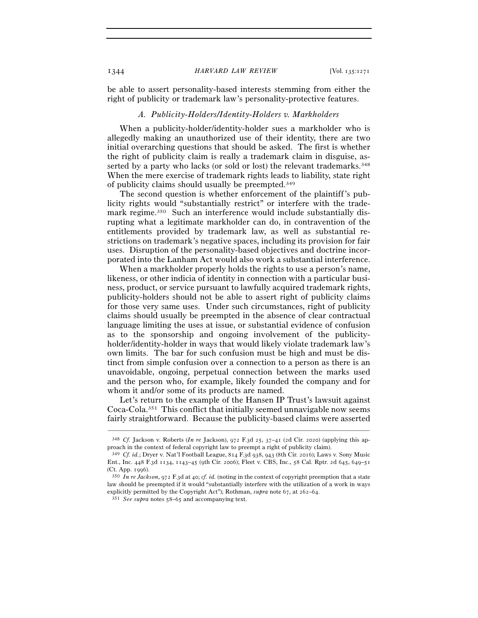be able to assert personality-based interests stemming from either the right of publicity or trademark law's personality-protective features.

## *A. Publicity-Holders/Identity-Holders v. Markholders*

When a publicity-holder/identity-holder sues a markholder who is allegedly making an unauthorized use of their identity, there are two initial overarching questions that should be asked. The first is whether the right of publicity claim is really a trademark claim in disguise, asserted by a party who lacks (or sold or lost) the relevant trademarks.348 When the mere exercise of trademark rights leads to liability, state right of publicity claims should usually be preempted.349

The second question is whether enforcement of the plaintiff's publicity rights would "substantially restrict" or interfere with the trademark regime.<sup>350</sup> Such an interference would include substantially disrupting what a legitimate markholder can do, in contravention of the entitlements provided by trademark law, as well as substantial restrictions on trademark's negative spaces, including its provision for fair uses. Disruption of the personality-based objectives and doctrine incorporated into the Lanham Act would also work a substantial interference.

When a markholder properly holds the rights to use a person's name, likeness, or other indicia of identity in connection with a particular business, product, or service pursuant to lawfully acquired trademark rights, publicity-holders should not be able to assert right of publicity claims for those very same uses. Under such circumstances, right of publicity claims should usually be preempted in the absence of clear contractual language limiting the uses at issue, or substantial evidence of confusion as to the sponsorship and ongoing involvement of the publicityholder/identity-holder in ways that would likely violate trademark law's own limits. The bar for such confusion must be high and must be distinct from simple confusion over a connection to a person as there is an unavoidable, ongoing, perpetual connection between the marks used and the person who, for example, likely founded the company and for whom it and/or some of its products are named.

Let's return to the example of the Hansen IP Trust's lawsuit against Coca-Cola.351 This conflict that initially seemed unnavigable now seems fairly straightforward. Because the publicity-based claims were asserted

<sup>–––––––––––––––––––––––––––––––––––––––––––––––––––––––––––––</sup> <sup>348</sup> *Cf.* Jackson v. Roberts (*In re* Jackson), 972 F.3d 25, 37–41 (2d Cir. 2020) (applying this approach in the context of federal copyright law to preempt a right of publicity claim).

<sup>349</sup> *Cf. id.*; Dryer v. Nat'l Football League, 814 F.3d 938, 943 (8th Cir. 2016); Laws v. Sony Music Ent., Inc. 448 F.3d 1134, 1143–45 (9th Cir. 2006); Fleet v. CBS, Inc., 58 Cal. Rptr. 2d 645, 649–51

<sup>(</sup>Ct. App. <sup>1996</sup>). 350 *In re Jackson*, 972 F.3d at 40; *cf. id.* (noting in the context of copyright preemption that a state law should be preempted if it would "substantially interfere with the utilization of a work in ways explicitly permitted by the Copyright Act"); Rothman, *supra* note 67, at 262–<sup>64</sup>. 351 *See supra* notes 58–65 and accompanying text.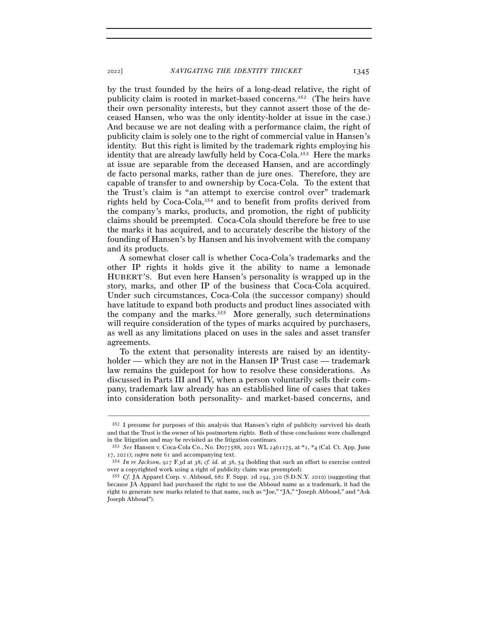<sup>2022</sup>] *NAVIGATING THE IDENTITY THICKET* 1345

by the trust founded by the heirs of a long-dead relative, the right of publicity claim is rooted in market-based concerns.352 (The heirs have their own personality interests, but they cannot assert those of the deceased Hansen, who was the only identity-holder at issue in the case.) And because we are not dealing with a performance claim, the right of publicity claim is solely one to the right of commercial value in Hansen's identity. But this right is limited by the trademark rights employing his identity that are already lawfully held by Coca-Cola.353 Here the marks at issue are separable from the deceased Hansen, and are accordingly de facto personal marks, rather than de jure ones. Therefore, they are capable of transfer to and ownership by Coca-Cola. To the extent that the Trust's claim is "an attempt to exercise control over" trademark rights held by Coca-Cola,354 and to benefit from profits derived from the company's marks, products, and promotion, the right of publicity claims should be preempted. Coca-Cola should therefore be free to use the marks it has acquired, and to accurately describe the history of the founding of Hansen's by Hansen and his involvement with the company and its products.

A somewhat closer call is whether Coca-Cola's trademarks and the other IP rights it holds give it the ability to name a lemonade HUBERT'S. But even here Hansen's personality is wrapped up in the story, marks, and other IP of the business that Coca-Cola acquired. Under such circumstances, Coca-Cola (the successor company) should have latitude to expand both products and product lines associated with the company and the marks.355 More generally, such determinations will require consideration of the types of marks acquired by purchasers, as well as any limitations placed on uses in the sales and asset transfer agreements.

To the extent that personality interests are raised by an identityholder — which they are not in the Hansen IP Trust case — trademark law remains the guidepost for how to resolve these considerations. As discussed in Parts III and IV, when a person voluntarily sells their company, trademark law already has an established line of cases that takes into consideration both personality- and market-based concerns, and

<sup>352</sup> I presume for purposes of this analysis that Hansen's right of publicity survived his death and that the Trust is the owner of his postmortem rights. Both of these conclusions were challenged in the litigation and may be revisited as the litigation continues.

<sup>353</sup> *See* Hansen v. Coca-Cola Co., No. D077588, 2021 WL 2461175, at \*1, \*4 (Cal. Ct. App. June <sup>17</sup>, 2021); *supra* note <sup>61</sup> and accompanying text. 354 *In re Jackson*, 927 F.3d at 38; *cf. id.* at 38, 54 (holding that such an effort to exercise control

over a copyrighted work using a right of publicity claim was preempted).

<sup>355</sup> *Cf.* JA Apparel Corp. v. Abboud, 682 F. Supp. 2d 294, 320 (S.D.N.Y. 2010) (suggesting that because JA Apparel had purchased the right to use the Abboud name as a trademark, it had the right to generate new marks related to that name, such as "Joe," "JA," "Joseph Abboud," and "Ask Joseph Abboud").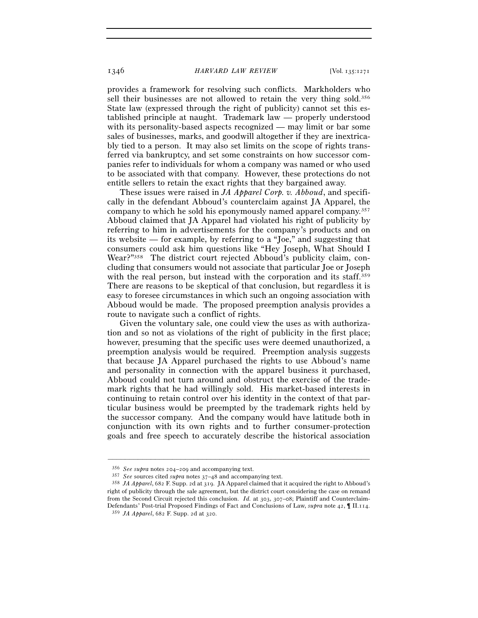provides a framework for resolving such conflicts. Markholders who sell their businesses are not allowed to retain the very thing sold.356 State law (expressed through the right of publicity) cannot set this established principle at naught. Trademark law — properly understood with its personality-based aspects recognized — may limit or bar some sales of businesses, marks, and goodwill altogether if they are inextricably tied to a person. It may also set limits on the scope of rights transferred via bankruptcy, and set some constraints on how successor companies refer to individuals for whom a company was named or who used to be associated with that company. However, these protections do not entitle sellers to retain the exact rights that they bargained away.

These issues were raised in *JA Apparel Corp. v. Abboud*, and specifically in the defendant Abboud's counterclaim against JA Apparel, the company to which he sold his eponymously named apparel company.357 Abboud claimed that JA Apparel had violated his right of publicity by referring to him in advertisements for the company's products and on its website — for example, by referring to a "Joe," and suggesting that consumers could ask him questions like "Hey Joseph, What Should I Wear?"<sup>358</sup> The district court rejected Abboud's publicity claim, concluding that consumers would not associate that particular Joe or Joseph with the real person, but instead with the corporation and its staff.<sup>359</sup> There are reasons to be skeptical of that conclusion, but regardless it is easy to foresee circumstances in which such an ongoing association with Abboud would be made. The proposed preemption analysis provides a route to navigate such a conflict of rights.

Given the voluntary sale, one could view the uses as with authorization and so not as violations of the right of publicity in the first place; however, presuming that the specific uses were deemed unauthorized, a preemption analysis would be required. Preemption analysis suggests that because JA Apparel purchased the rights to use Abboud's name and personality in connection with the apparel business it purchased, Abboud could not turn around and obstruct the exercise of the trademark rights that he had willingly sold. His market-based interests in continuing to retain control over his identity in the context of that particular business would be preempted by the trademark rights held by the successor company. And the company would have latitude both in conjunction with its own rights and to further consumer-protection goals and free speech to accurately describe the historical association

<sup>% 356</sup> See supra notes 204–209 and accompanying text.<br>
357 See sources cited *supra* notes 37–48 and accompanying text.<br>
358 JA Apparel, 682 F. Supp. 2d at 319. JA Apparel claimed that it acquired the right to Abboud's right of publicity through the sale agreement, but the district court considering the case on remand from the Second Circuit rejected this conclusion. *Id.* at 303, 307–08; Plaintiff and Counterclaim-Defendants' Post-trial Proposed Findings of Fact and Conclusions of Law, *supra* note 42, ¶ II.114. <sup>359</sup> *JA Apparel*, 682 F. Supp. 2d at 320.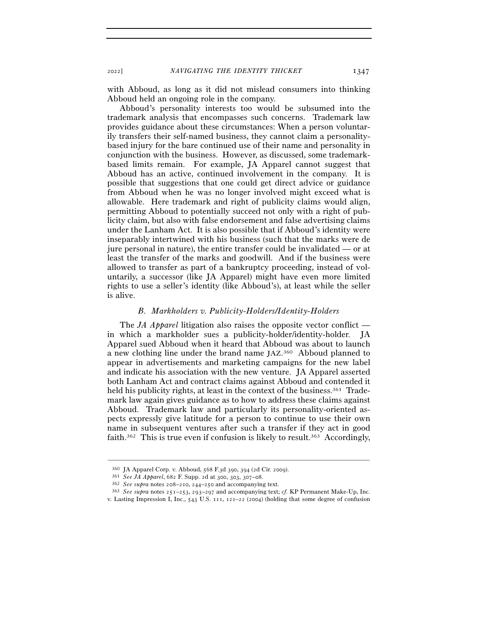with Abboud, as long as it did not mislead consumers into thinking Abboud held an ongoing role in the company.

Abboud's personality interests too would be subsumed into the trademark analysis that encompasses such concerns. Trademark law provides guidance about these circumstances: When a person voluntarily transfers their self-named business, they cannot claim a personalitybased injury for the bare continued use of their name and personality in conjunction with the business. However, as discussed, some trademarkbased limits remain. For example, JA Apparel cannot suggest that Abboud has an active, continued involvement in the company. It is possible that suggestions that one could get direct advice or guidance from Abboud when he was no longer involved might exceed what is allowable. Here trademark and right of publicity claims would align, permitting Abboud to potentially succeed not only with a right of publicity claim, but also with false endorsement and false advertising claims under the Lanham Act. It is also possible that if Abboud's identity were inseparably intertwined with his business (such that the marks were de jure personal in nature), the entire transfer could be invalidated — or at least the transfer of the marks and goodwill. And if the business were allowed to transfer as part of a bankruptcy proceeding, instead of voluntarily, a successor (like JA Apparel) might have even more limited rights to use a seller's identity (like Abboud's), at least while the seller is alive.

## *B. Markholders v. Publicity-Holders/Identity-Holders*

The *JA Apparel* litigation also raises the opposite vector conflict in which a markholder sues a publicity-holder/identity-holder. JA Apparel sued Abboud when it heard that Abboud was about to launch a new clothing line under the brand name JAZ. 360 Abboud planned to appear in advertisements and marketing campaigns for the new label and indicate his association with the new venture. JA Apparel asserted both Lanham Act and contract claims against Abboud and contended it held his publicity rights, at least in the context of the business.<sup>361</sup> Trademark law again gives guidance as to how to address these claims against Abboud. Trademark law and particularly its personality-oriented aspects expressly give latitude for a person to continue to use their own name in subsequent ventures after such a transfer if they act in good faith.<sup>362</sup> This is true even if confusion is likely to result.<sup>363</sup> Accordingly,

<sup>&</sup>lt;sup>360</sup> JA Apparel Corp. v. Abboud, 568 F.3d 390, 394 (2d Cir. 2009).<br><sup>361</sup> *See JA Apparel*, 682 F. Supp. 2d at 300, 303, 307–08.<br><sup>362</sup> *See supra* notes 208–210, 244–250 and accompanying text.<br><sup>363</sup> *See supra* notes 251– v. Lasting Impression I, Inc., 543 U.S. 111, 121–22 (2004) (holding that some degree of confusion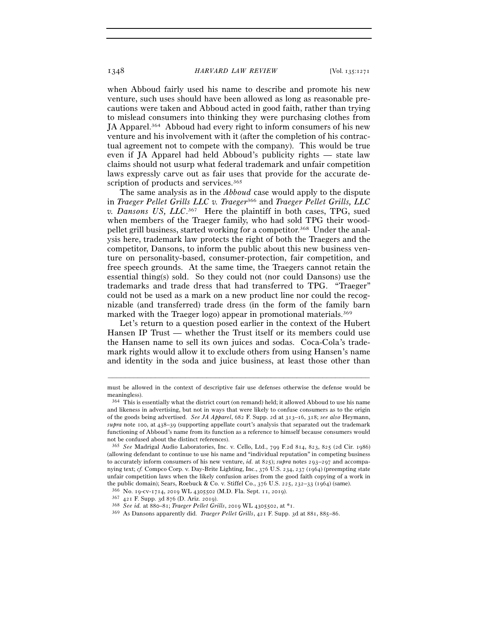1348 *HARVARD LAW REVIEW* [Vol. 135:<sup>1271</sup>

when Abboud fairly used his name to describe and promote his new venture, such uses should have been allowed as long as reasonable precautions were taken and Abboud acted in good faith, rather than trying to mislead consumers into thinking they were purchasing clothes from JA Apparel.364 Abboud had every right to inform consumers of his new venture and his involvement with it (after the completion of his contractual agreement not to compete with the company). This would be true even if JA Apparel had held Abboud's publicity rights — state law claims should not usurp what federal trademark and unfair competition laws expressly carve out as fair uses that provide for the accurate description of products and services.<sup>365</sup>

The same analysis as in the *Abboud* case would apply to the dispute in *Traeger Pellet Grills LLC v. Traeger*366 and *Traeger Pellet Grills, LLC v. Dansons US, LLC*. 367 Here the plaintiff in both cases, TPG, sued when members of the Traeger family, who had sold TPG their woodpellet grill business, started working for a competitor.368 Under the analysis here, trademark law protects the right of both the Traegers and the competitor, Dansons, to inform the public about this new business venture on personality-based, consumer-protection, fair competition, and free speech grounds. At the same time, the Traegers cannot retain the essential thing(s) sold. So they could not (nor could Dansons) use the trademarks and trade dress that had transferred to TPG. "Traeger" could not be used as a mark on a new product line nor could the recognizable (and transferred) trade dress (in the form of the family barn marked with the Traeger logo) appear in promotional materials.<sup>369</sup>

Let's return to a question posed earlier in the context of the Hubert Hansen IP Trust — whether the Trust itself or its members could use the Hansen name to sell its own juices and sodas. Coca-Cola's trademark rights would allow it to exclude others from using Hansen's name and identity in the soda and juice business, at least those other than

<sup>–––––––––––––––––––––––––––––––––––––––––––––––––––––––––––––</sup> must be allowed in the context of descriptive fair use defenses otherwise the defense would be meaningless).

<sup>364</sup> This is essentially what the district court (on remand) held; it allowed Abboud to use his name and likeness in advertising, but not in ways that were likely to confuse consumers as to the origin of the goods being advertised. *See JA Apparel*, 682 F. Supp. 2d at 313–16, 318; *see also* Heymann, *supra* note 100, at 438–39 (supporting appellate court's analysis that separated out the trademark functioning of Abboud's name from its function as a reference to himself because consumers would not be confused about the distinct references).

<sup>365</sup> *See* Madrigal Audio Laboratories, Inc. v. Cello, Ltd., 799 F.2d 814, 823, 825 (2d Cir. 1986) (allowing defendant to continue to use his name and "individual reputation" in competing business to accurately inform consumers of his new venture, *id.* at 825); *supra* notes 293–297 and accompanying text; *cf.* Compco Corp. v. Day-Brite Lighting, Inc., 376 U.S. 234, 237 (1964) (preempting state unfair competition laws when the likely confusion arises from the good faith copying of a work in the public domain); Sears, Roebuck & Co. v. Stiffel Co., 376 U.S. 225, 232–33 (1964) (same).<br><sup>366</sup> No. 19-cv-1714, 2019 WL 4305502 (M.D. Fla. Sept. 11, 2019).<br><sup>367</sup> 421 F. Supp. 3d 876 (D. Ariz. 2019).<br><sup>368</sup> *See id.* at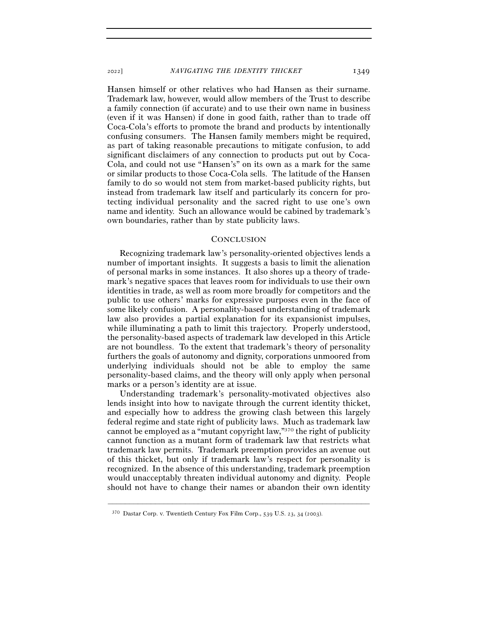<sup>2022</sup>] *NAVIGATING THE IDENTITY THICKET* 1349

Hansen himself or other relatives who had Hansen as their surname. Trademark law, however, would allow members of the Trust to describe a family connection (if accurate) and to use their own name in business (even if it was Hansen) if done in good faith, rather than to trade off Coca-Cola's efforts to promote the brand and products by intentionally confusing consumers. The Hansen family members might be required, as part of taking reasonable precautions to mitigate confusion, to add significant disclaimers of any connection to products put out by Coca-Cola, and could not use "Hansen's" on its own as a mark for the same or similar products to those Coca-Cola sells. The latitude of the Hansen family to do so would not stem from market-based publicity rights, but instead from trademark law itself and particularly its concern for protecting individual personality and the sacred right to use one's own name and identity. Such an allowance would be cabined by trademark's own boundaries, rather than by state publicity laws.

## **CONCLUSION**

Recognizing trademark law's personality-oriented objectives lends a number of important insights. It suggests a basis to limit the alienation of personal marks in some instances. It also shores up a theory of trademark's negative spaces that leaves room for individuals to use their own identities in trade, as well as room more broadly for competitors and the public to use others' marks for expressive purposes even in the face of some likely confusion. A personality-based understanding of trademark law also provides a partial explanation for its expansionist impulses, while illuminating a path to limit this trajectory. Properly understood, the personality-based aspects of trademark law developed in this Article are not boundless. To the extent that trademark's theory of personality furthers the goals of autonomy and dignity, corporations unmoored from underlying individuals should not be able to employ the same personality-based claims, and the theory will only apply when personal marks or a person's identity are at issue.

Understanding trademark's personality-motivated objectives also lends insight into how to navigate through the current identity thicket, and especially how to address the growing clash between this largely federal regime and state right of publicity laws. Much as trademark law cannot be employed as a "mutant copyright law,"370 the right of publicity cannot function as a mutant form of trademark law that restricts what trademark law permits. Trademark preemption provides an avenue out of this thicket, but only if trademark law's respect for personality is recognized. In the absence of this understanding, trademark preemption would unacceptably threaten individual autonomy and dignity. People should not have to change their names or abandon their own identity

<sup>370</sup> Dastar Corp. v. Twentieth Century Fox Film Corp., 539 U.S. 23, 34 (2003).